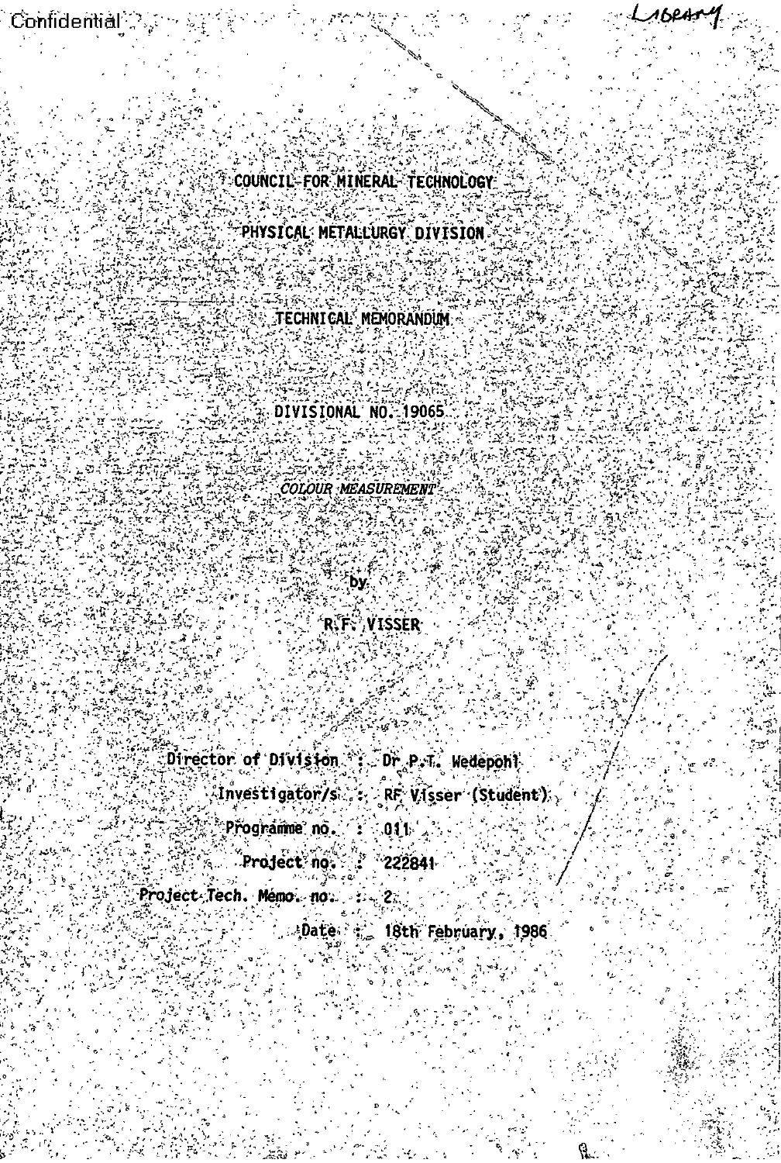$\text{Confidential} \cong \mathbb{Z} \times \mathbb{Z}$ 

COUNCIL-FOR MINERAL TECHNOLOGY

ri e p

LIBRAT

PHYSICAL METALLURGY DIVISION

technical mēmorandum;

DIVISIONAL NO. 19065

**COLOUR MEASUREMENT** 

**Fby:** 

**RFF** VISSER

Director of Division Dr P.T. Wedepont

 $\langle$ Investigator/s $\langle \cdot, \cdot \rangle$ RF Visser (Student),

 $2z$ 

: Přogramme, no  $\sim$  04 L

 $-222841$ Project no.

Project Tech. Memo no.

Date : 2 18th February, 1986

ो.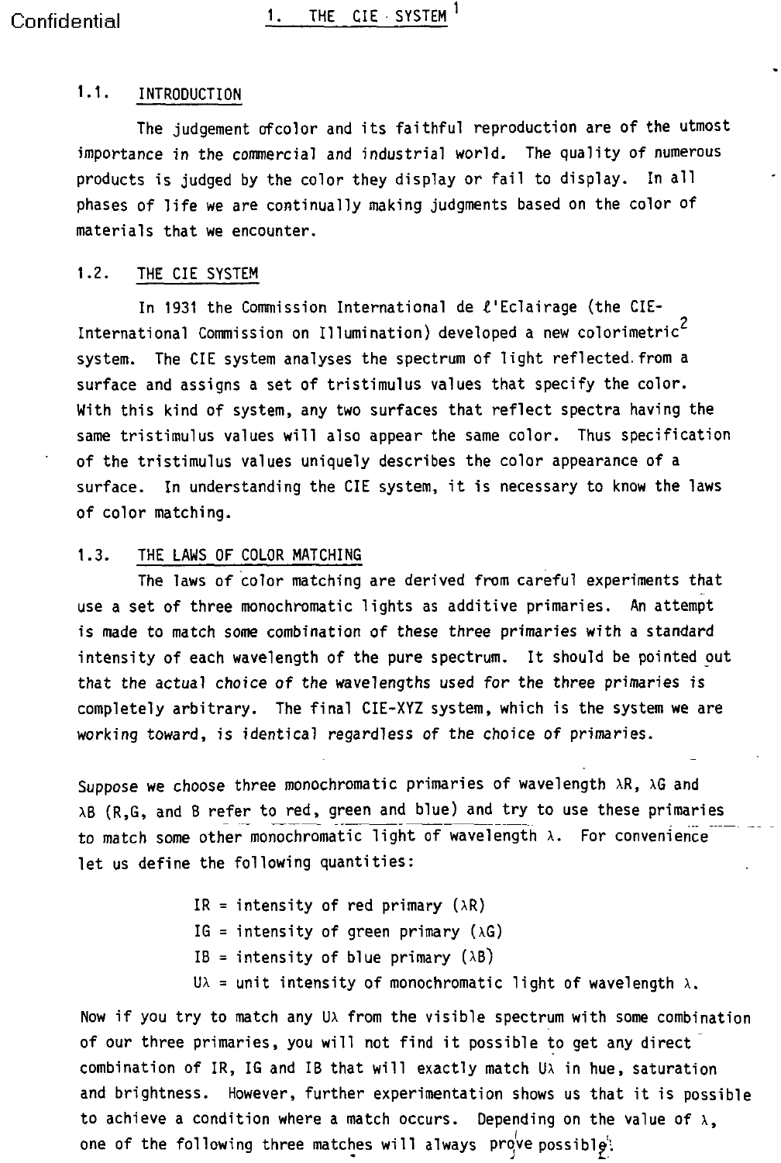### 1.1. INTRODUCTION

The judgement ofcolor and its faithful reproduction are of the utmost importance in the commercial and industrial world. The quality of numerous products is judged by the color they display or fail to display. In all phases of life we are continually making judgments based on the color of materials that we encounter.

#### 1.2. THE CIE SYSTEM

In 1931 the Commission International de £'Eclairage (the CIE-International Commission on Illumination) developed a new colorimetric system. The CIE system analyses the spectrum of light reflected. from a surface and assigns a set of tristimulus values that specify the color. With this kind of system, any two surfaces that reflect spectra having the same tristimulus values will also appear the same color. Thus specification of the tristimulus values uniquely describes the color appearance of a surface. In understanding the CIE system, it is necessary to know the laws of color matching.

#### 1.3. THE LAWS OF COLOR MATCHING

The laws of color matching are derived from careful experiments that use a set of three monochromatic lights as additive primaries. An attempt is made to match some combination of these three primaries with a standard intensity of each wavelength of the pure spectrum. It should be pointed out that the actual choice of the wavelengths used for the three primaries is completely arbitrary. The final CIE-XYZ system, which is the system we are working toward, is identical regardless of the choice of primaries.

Suppose we choose three monochromatic primaries of wavelength  $\lambda R$ ,  $\lambda G$  and AB (R,G, and B refer to red, green and blue) and try to use these primaries to match some other monochromatic light of wavelength  $\lambda$ . For convenience let us define the following quantities:

> IR = intensity of red primary  $(\lambda R)$ IG = intensity of green primary  $(\lambda G)$ IB = intensity of blue primary  $(\lambda B)$ U $\lambda$  = unit intensity of monochromatic light of wavelength  $\lambda$ .

Now if you try to match any Ux from the visible spectrum with some combination of our three primaries, you will not find it possible to get any direct combination of IR, IG and IB that will exactly match U $\lambda$  in hue, saturation and brightness. However, further experimentation shows us that it is possible to achieve a condition where a match occurs. Depending on the value of  $\lambda$ , one of the following three matches will always prove possible: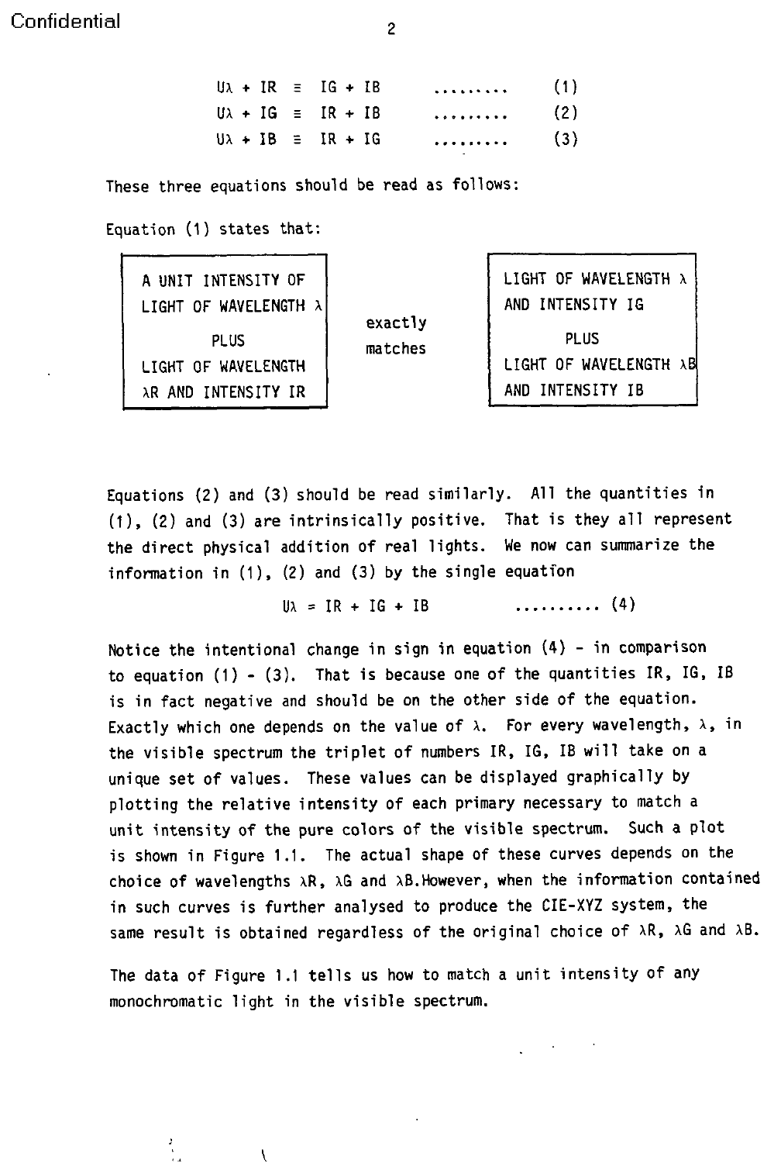$U\lambda + IR = IG + IB$  ......... (1)  $U\lambda + IG \equiv IR + IB$  ......... (2)  $U\lambda + IB = IR + IG$  ......... (3)

These three equations should be read as follows:

Equation (1) states that:

| A UNIT INTENSITY OF<br>LIGHT OF WAVELENGTH X<br><b>PLUS</b><br>LIGHT OF WAVELENGTH<br>AR AND INTENSITY IR | exactly<br>matches | LIGHT OF WAVELENGTH X<br>AND INTENSITY IG<br><b>PLUS</b><br>LIGHT OF WAVELENGTH AB<br>AND INTENSITY IB |
|-----------------------------------------------------------------------------------------------------------|--------------------|--------------------------------------------------------------------------------------------------------|
|-----------------------------------------------------------------------------------------------------------|--------------------|--------------------------------------------------------------------------------------------------------|

Equations (2) and (3) should be read similarly. All the quantities in (1), (2) and (3) are intrinsically positive. That is they all represent the direct physical addition of real lights. We now can summarize the information in (1), (2) and (3) by the single equation

 $U\lambda = IR + IG + IB$  ........... (4)

Notice the intentional change in sign in equation (4) - in comparison to equation  $(1)$  -  $(3)$ . That is because one of the quantities IR, IG, IB is in fact negative and should be on the other side of the equation. Exactly which one depends on the value of  $\lambda$ . For every wavelength,  $\lambda$ , in the visible spectrum the triplet of numbers IR, IG, IB will take on a unique set of values. These values can be displayed graphically by plotting the relative intensity of each primary necessary to match a unit intensity of the pure colors of the visible spectrum. Such a plot is shown in Figure 1.1. The actual shape of these curves depends on the choice of wavelengths  $\lambda R$ ,  $\lambda G$  and  $\lambda B$ . However, when the information contained in such curves is further analysed to produce the CIE-XYZ system, the same result is obtained regardless of the original choice of  $\lambda R$ ,  $\lambda G$  and  $\lambda B$ .

The data of Figure 1.1 tells us how to match a unit intensity of any monochromatic light in the visible spectrum.

l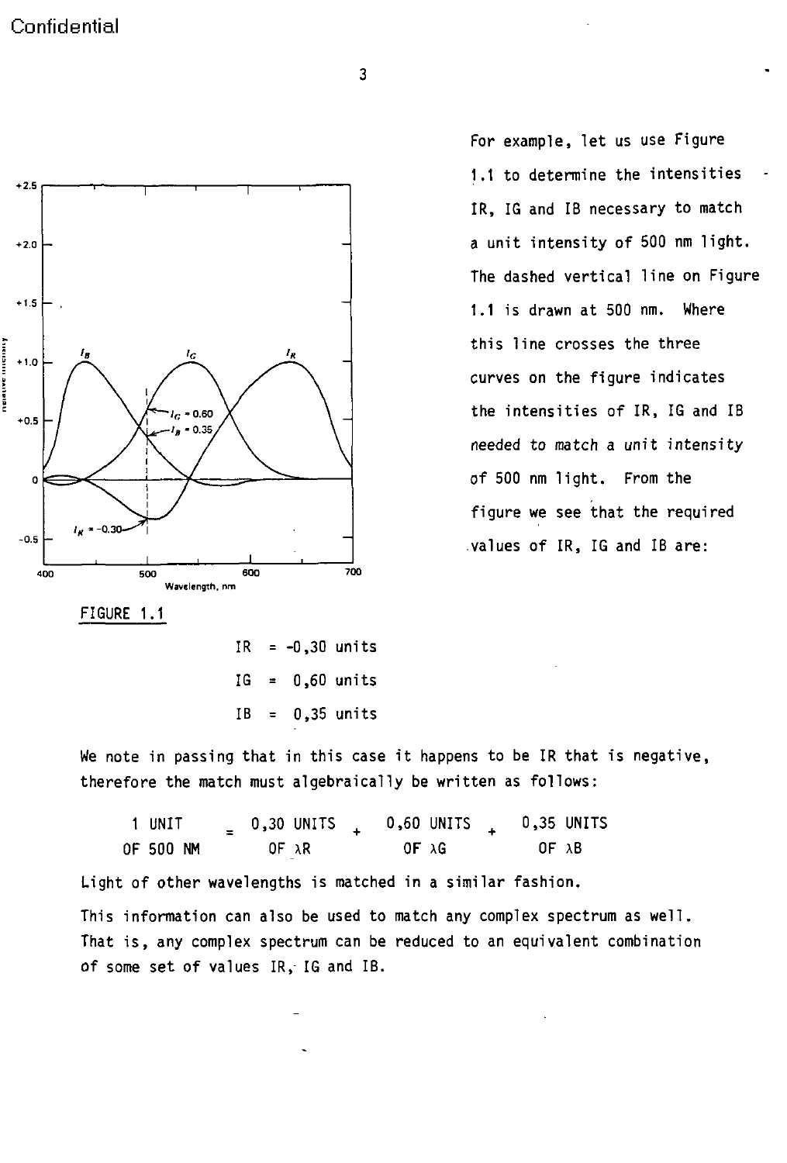

For example, let us use Figure 1.1 to determine the intensities IR, IG and IB necessary to match The dashed vertical line on Figure curves on the figure indicates 0.36<sup>/</sup> \ \ | needed to match a unit intensity figure we see that the required

FIGURE 1.1

IR =  $-0,30$  units  $IG = 0,60$  units  $IB = 0,35$  units

We note in passing that in this case it happens to be IR that is negative, therefore the match must algebraically be written as follows:

| 1 UNIT    | $0,30$ UNITS   | 0,60 UNITS | 0,35 UNITS       |
|-----------|----------------|------------|------------------|
| OF 500 NM | $OF \lambda R$ | OF AG      | OF <sub>AB</sub> |

Light of other wavelengths is matched in a similar fashion.

This information can also be used to match any complex spectrum as well. That is, any complex spectrum can be reduced to an equivalent combination of some set of values IR, IG and IB.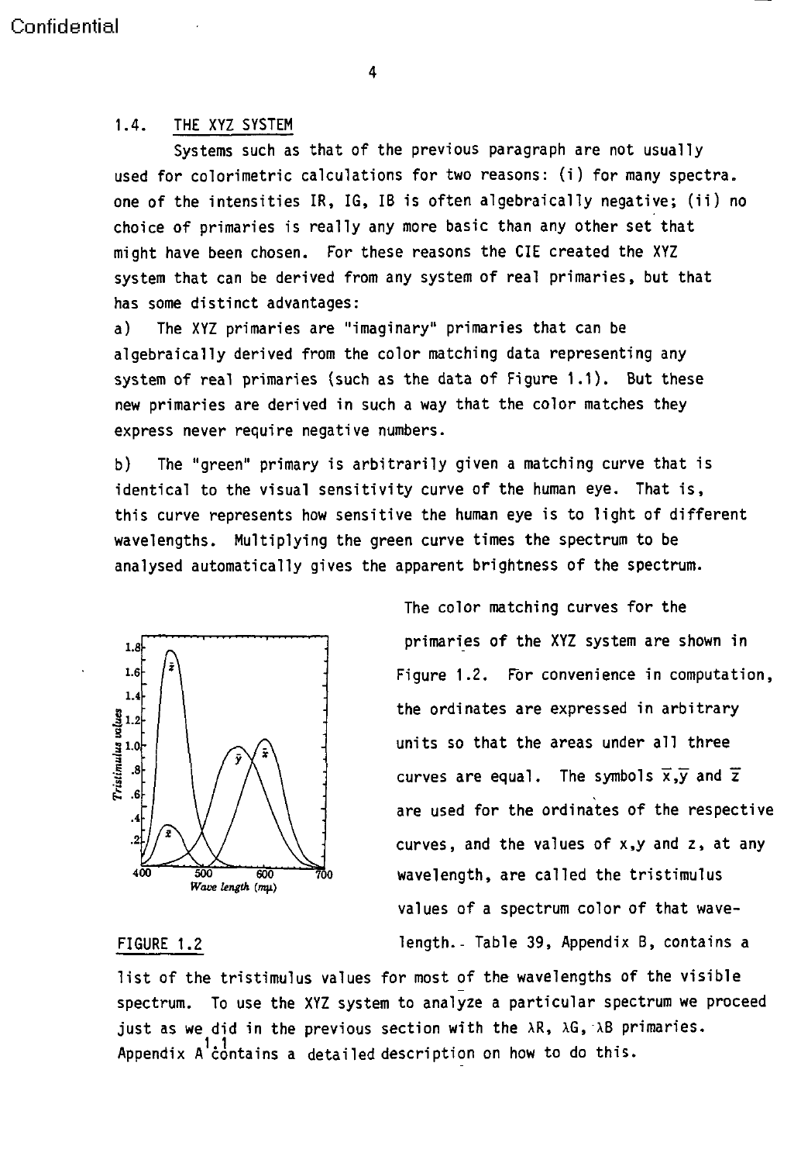#### 4

#### 1.4. THE XYZ SYSTEM

Systems such as that of the previous paragraph are not usually used for colorimetric calculations for two reasons: (i) for many spectra. one of the intensities IR, IG, IB is often algebraically negative; (ii) no choice of primaries is really any more basic than any other set that might have been chosen. For these reasons the CIE created the XYZ system that can be derived from any system of real primaries, but that has some distinct advantages:

a) The XYZ primaries are "imaginary" primaries that can be algebraically derived from the color matching data representing any system of real primaries (such as the data of Figure 1.1). But these new primaries are derived in such a way that the color matches they express never require negative numbers.

b) The "green" primary is arbitrarily given a matching curve that is identical to the visual sensitivity curve of the human eye. That is, this curve represents how sensitive the human eye is to light of different wavelengths. Multiplying the green curve times the spectrum to be analysed automatically gives the apparent brightness of the spectrum.



The color matching curves for the primaries of the XYZ system are shown in 1.6  $\binom{2}{1}$  **Figure 1.2.** For convenience in computation, **1 .** the ordinates are expressed in arbitrary units so that the areas under all three curves are equal. The symbols  $\overline{x}, \overline{y}$  and  $\overline{z}$  $\begin{array}{c|c|c|c|c|c} \hline \end{array}$   $\begin{array}{c|c|c} \hline \end{array}$   $\begin{array}{c|c} \hline \end{array}$   $\begin{array}{c} \hline \end{array}$  are used for the ordinates of the respective curves, and the values of x,y and z, at any **<sup>400</sup>500 6oo 700** wavelength, are called the tristimulus values of a spectrum color of that wave-FIGURE 1.2 **length.**- Table 39, Appendix B, contains a

list of the tristimulus values for most of the wavelengths of the visible spectrum. To use the XYZ system to analyze a particular spectrum we proceed just as we did in the previous section with the  $\lambda R$ ,  $\lambda G$ ,  $\lambda B$  primaries. Appendix  $A^{\dagger}$ contains a detailed description on how to do this.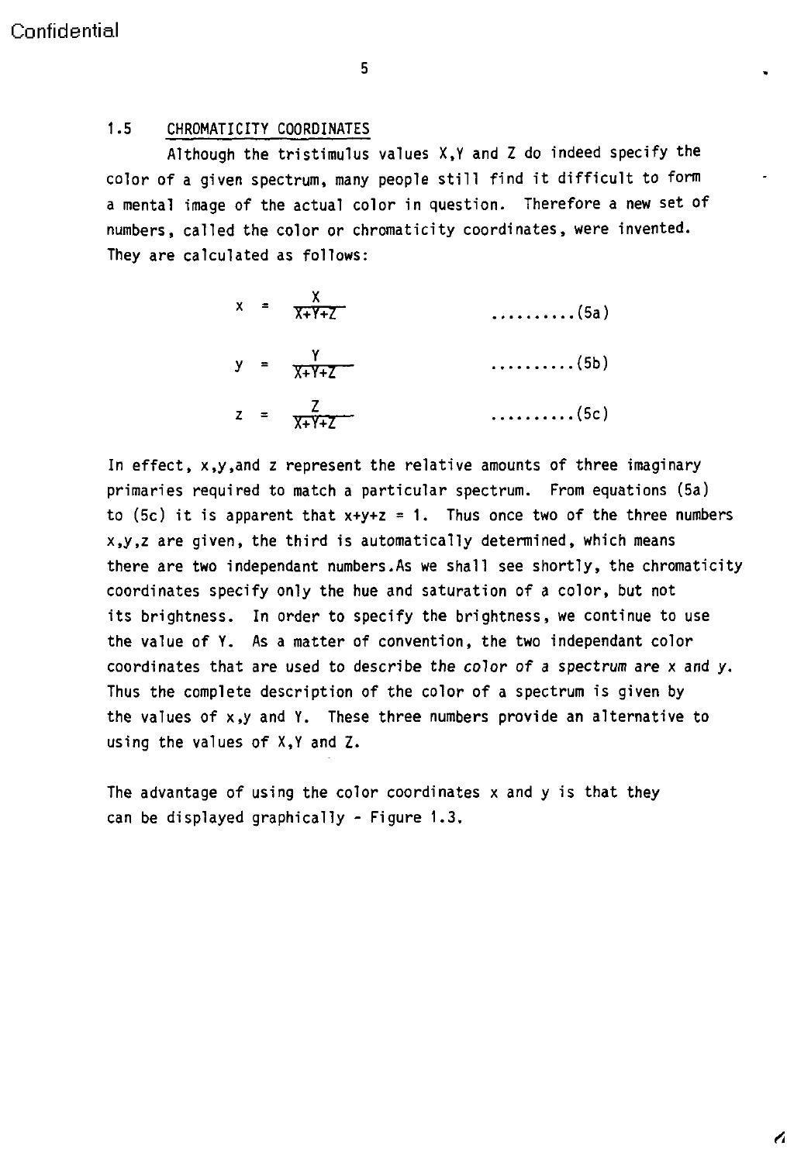5

#### 1.5 CHROMATICITY COORDINATES

Although the tristimulus values X,Y and Z do indeed specify the color of a given spectrum, many people still find it difficult to form a mental image of the actual color in question. Therefore a new set of numbers, called the color or chromaticity coordinates, were invented. They are calculated as follows:

$$
x = \frac{x}{x+Y+Z}
$$
 (5a)  

$$
y = \frac{y}{x+Y+Z}
$$
 (5b)  

$$
z = \frac{z}{x+Y+Z}
$$
 (5c)

In effect, x,y,and z represent the relative amounts of three imaginary primaries required to match a particular spectrum. From equations (5a) to (5c) it is apparent that  $x+y+z = 1$ . Thus once two of the three numbers x,y,z are given, the third is automatically determined, which means there are two independant numbers.As we shall see shortly, the chromaticity coordinates specify only the hue and saturation of a color, but not its brightness. In order to specify the brightness, we continue to use the value of Y. As a matter of convention, the two independant color coordinates that are used to describe the color of a spectrum are x and y. Thus the complete description of the color of a spectrum is given by the values of x,y and Y. These three numbers provide an alternative to using the values of X,Y and Z.

The advantage of using the color coordinates x and y is that they can be displayed graphically - Figure 1.3.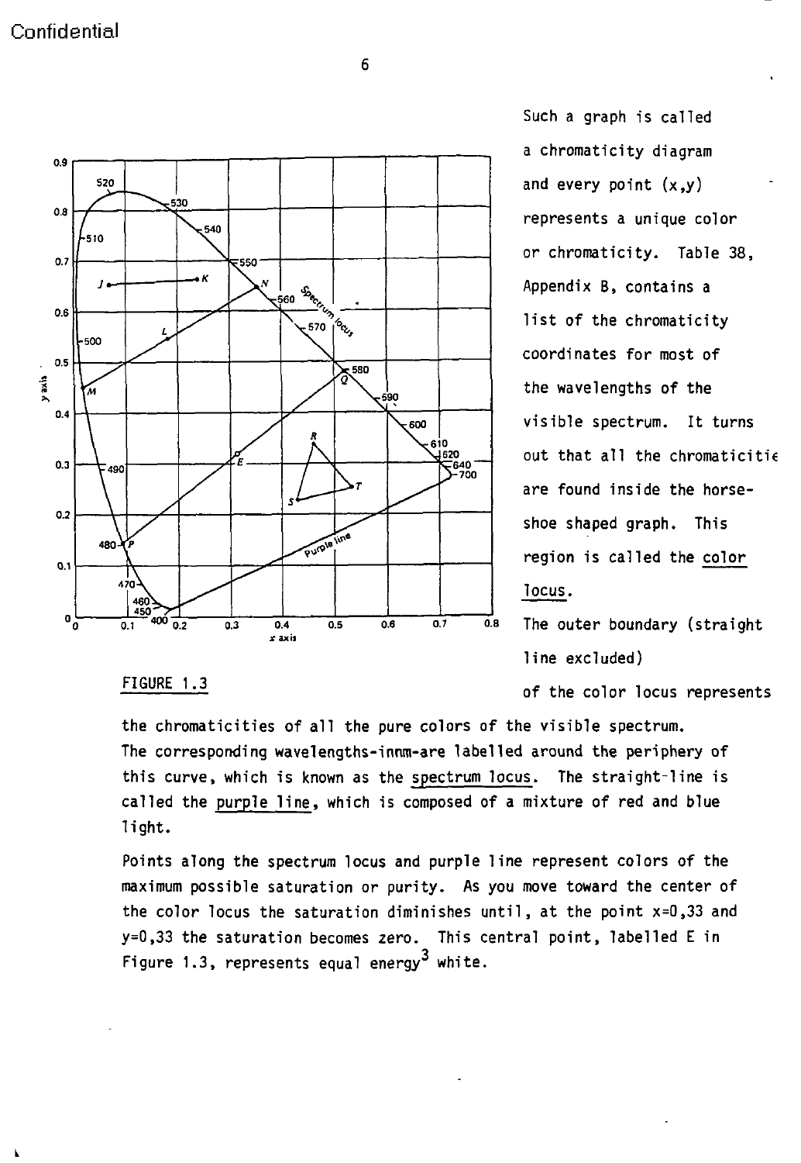

Such a graph is called a chromaticity diagram and every point  $(x,y)$ list of the chromaticity  $\overline{C_{\epsilon, {\rm sso}}}$  coordinates for most of  $\frac{1}{590}$  , the wavelengths of the  $\frac{\sum_{i=1}^{610} 510}{\sum_{i=1}^{640} 51}$  out that all the chromaticitie are found inside the horseshoe shaped graph. This  $\bar{P}^{\text{urop}}$  | | | | | region is called the color locus.

line excluded)

FIGURE 1.3 **FIGURE 1.3** of the color locus represents

**L**

the chromaticities of all the pure colors of the visible spectrum. The corresponding wavelengths-innm-are labelled around the periphery of this curve, which is known as the spectrum locus. The straight-line is called the purple line, which is composed of a mixture of red and blue light.

Points along the spectrum locus and purple line represent colors of the maximum possible saturation or purity. As you move toward the center of the color locus the saturation diminishes until, at the point x=0,33 and y=0,33 the saturation becomes zero. This central point, labelled E in Figure 1.3, represents equal energy<sup>3</sup> white.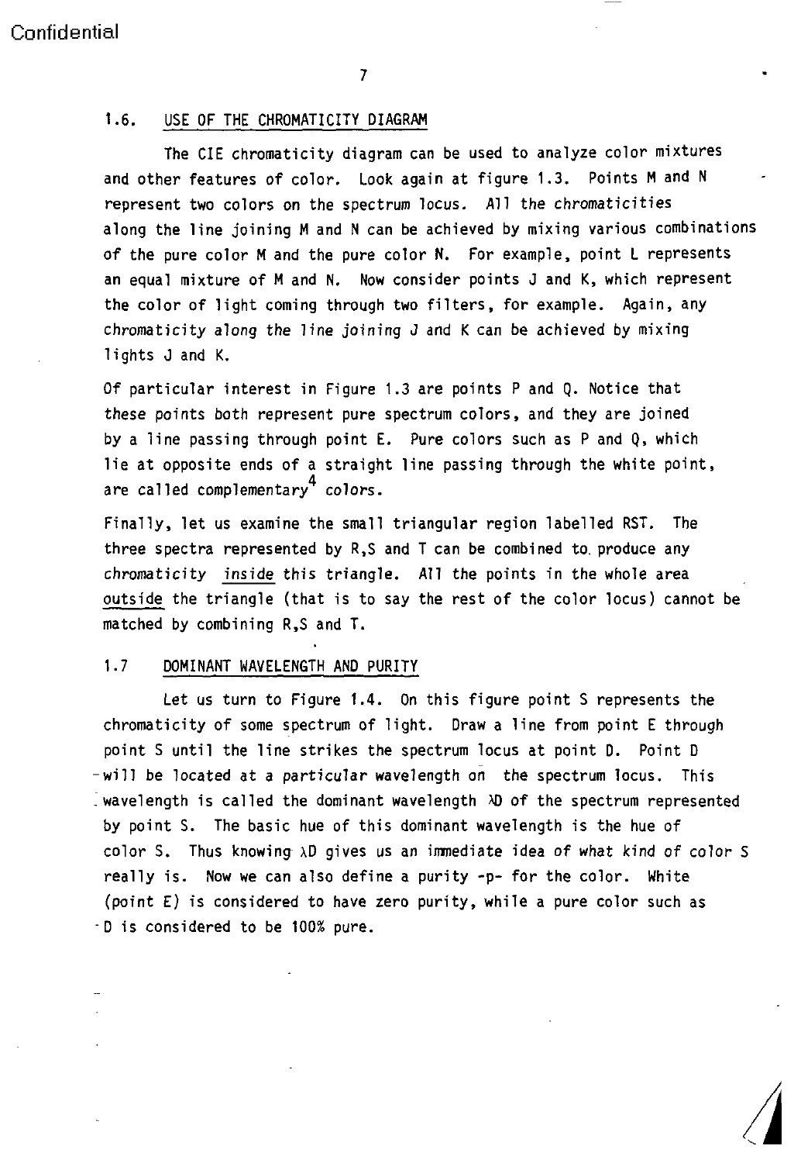7

#### 1.6. USE OF THE CHROMATICITY DIAGRAM

The CIE chromaticity diagram can be used to analyze color mixtures and other features of color. Look again at figure 1.3. Points M and N represent two colors on the spectrum locus. All the chromaticities along the line joining M and N can be achieved by mixing various combinations of the pure color M and the pure color N. For example, point L represents an equal mixture of M and N. Now consider points J and K, which represent the color of light coming through two filters, for example. Again, any chromaticity along the line joining J and K can be achieved by mixing lights J and K.

Of particular interest in Figure 1.3 are points P and Q. Notice that these points both represent pure spectrum colors, and they are joined by a line passing through point E. Pure colors such as P and Q, which lie at opposite ends of a straight line passing through the white point, are called complementary<sup>4</sup> colors.

Finally, let us examine the small triangular region labelled RST. The three spectra represented by R,S and T can be combined to. produce any chromaticity inside this triangle. All the points in the whole area outside the triangle (that is to say the rest of the color locus) cannot be matched by combining R,S and T.

#### 1.7 DOMINANT WAVELENGTH AND PURITY

Let us turn to Figure 1.4. On this figure point S represents the chromaticity of some spectrum of light. Draw a line from point E through point S until the line strikes the spectrum locus at point D. Point D -will be located at a particular wavelength on the spectrum locus. This wavelength is called the dominant wavelength AD of the spectrum represented by point S. The basic hue of this dominant wavelength is the hue of color S. Thus knowing  $\lambda$ D gives us an immediate idea of what kind of color S really is. Now we can also define a purity -p- for the color. White (point E) is considered to have zero purity, while a pure color such as D is considered to be 100% pure.

"4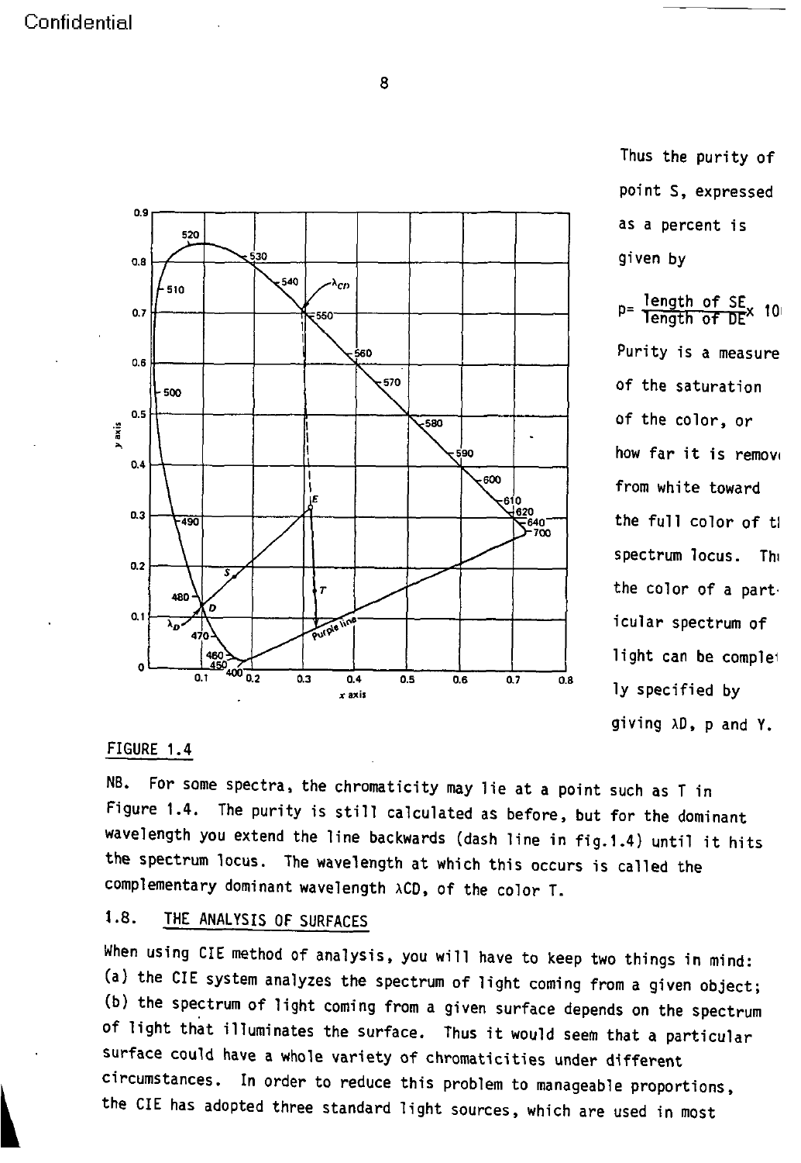8



Thus the purity of point **S,** expressed as a percent is

how far it is remove the full color of tl spectrum locus. The the color of a part icular spectrum of light can be complei giving AD, p and Y.

#### FIGURE 1.4

NB. For some spectra, the chromaticity may lie at a point such as T in Figure 1.4. The purity is still calculated as before, but for the dominant wavelength you extend the line backwards (dash line in fig.1.4) until it hits the spectrum locus. The wavelength at which this occurs is called the complementary dominant wavelength ACD, of the color T.

## 1.8. THE ANALYSIS OF SURFACES

When using CIE method of analysis, you will have to keep two things in mind: (a) the CIE system analyzes the spectrum of light coming from a given object; (b) the spectrum of light coming from a given surface depends on the spectrum of light that illuminates the surface. Thus it would seem that a particular surface could have a whole variety of chromaticities under different circumstances. In order to reduce this problem to manageable proportions, the CIE has adopted three standard light sources, which are used in most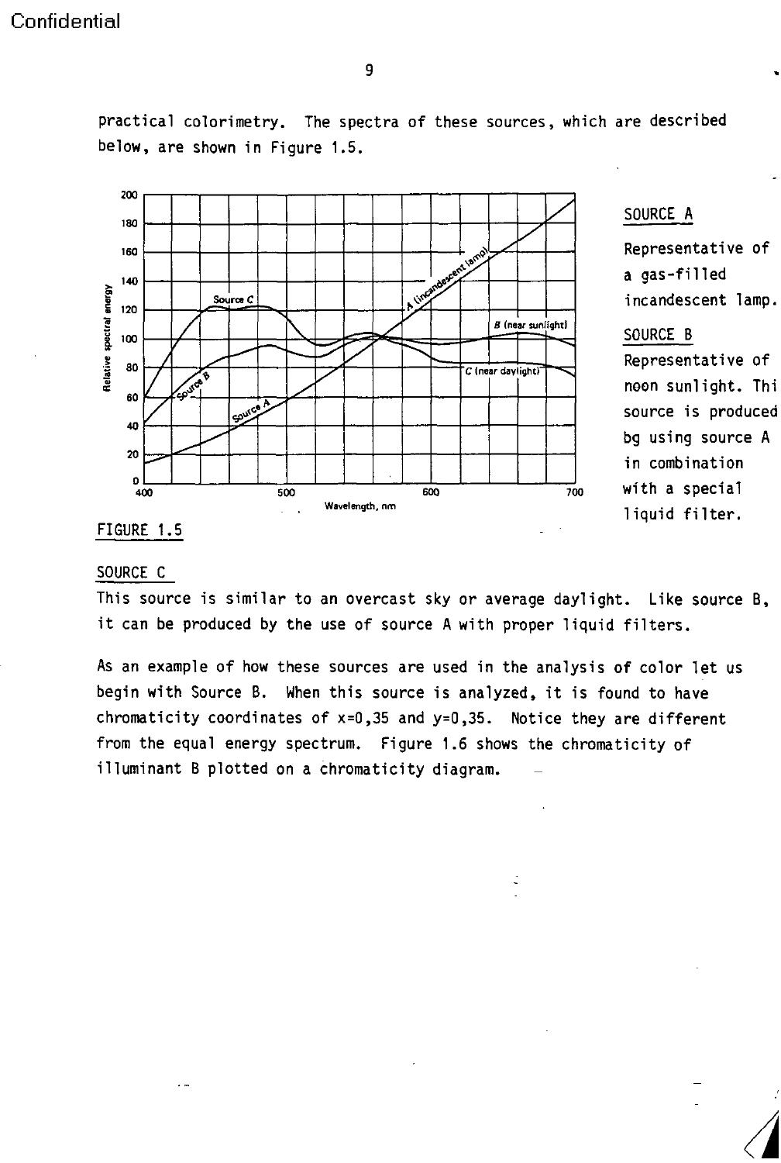practical colorimetry. The spectra of these sources, which are described below, are shown in Figure 1.5.



### SOURCE A

**£ > / /y** noon sunlight. Thi bg using source A **20** in combination liquid filter.

# SOURCE C

This source is similar to an overcast sky or average daylight. Like source B, it can be produced by the use of source A with proper liquid filters.

As an example of how these sources are used in the analysis of color let us begin with Source B. When this source is analyzed, it is found to have chromaticity coordinates of  $x=0,35$  and  $y=0,35$ . Notice they are different from the equal energy spectrum. Figure 1.6 shows the chromaticity of illuminant B plotted on a chromaticity diagram.

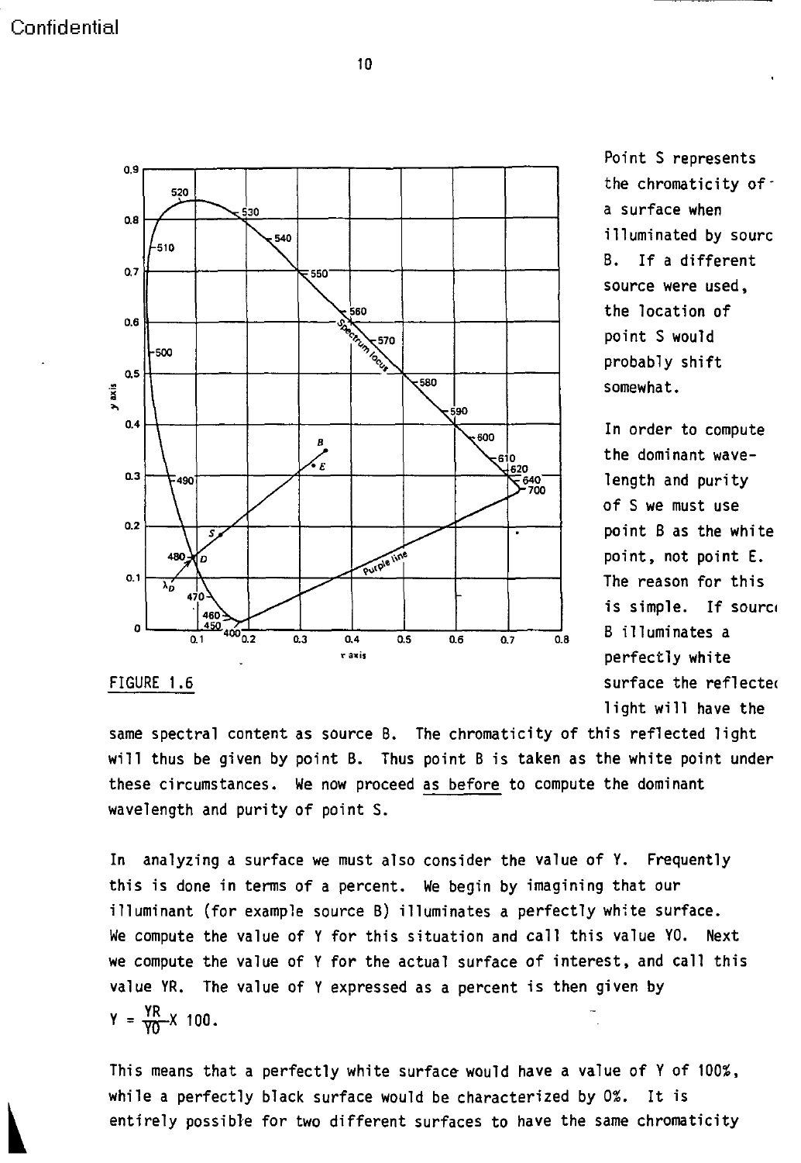

Point S represents the chromaticity ofa surface when source were used, **s56o** the location of probably shift

In order to compute the dominant wave- $\overline{\mathcal{F}}_{700}^{640}$  length and purity of S we must use FIGURE **1.6 surface** the **reflectec** light will have the

same spectral content as source B. The chromaticity of this reflected light will thus be given by point B. Thus point B is taken as the white point under these circumstances. We now proceed as before to compute the dominant wavelength and purity of point S.

In analyzing a surface we must also consider the value of Y. Frequently this is done in terms of a percent. We begin by imagining that our illuminant (for example source B) illuminates a perfectly white surface. We compute the value of Y for this situation and call this value VO. Next we compute the value of Y for the actual surface of interest, and call this value YR. The value of Y expressed as a percent is then given by  $Y = \frac{YR}{Y0}X$  100.

This means that a perfectly white surface would have a value of Y of 100%, while a perfectly black surface would be characterized by 0%. It is entirely possible for two different surfaces to have the same chromaticity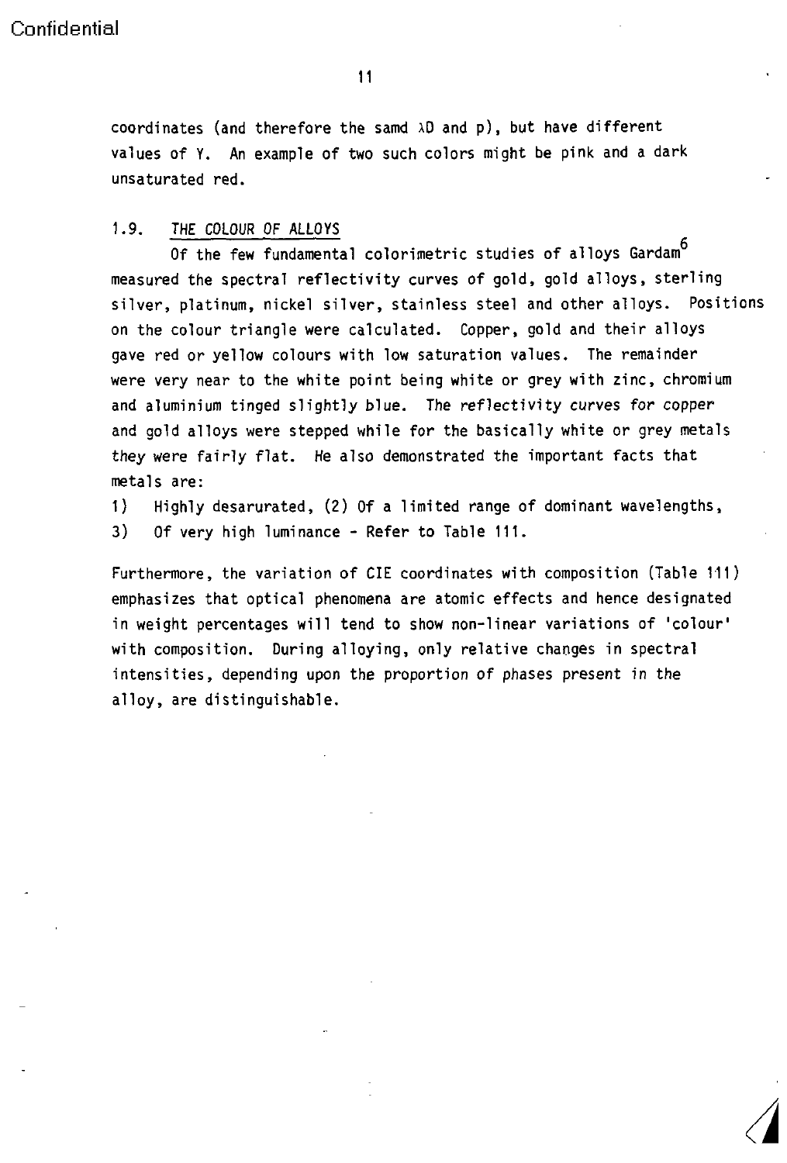coordinates (and therefore the samd  $\lambda$ D and p), but have different values of Y. An example of two such colors might be pink and a dark unsaturated red.

#### 1.9. THE COLOUR OF ALLOYS

Of the few fundamental colorimetric studies of alloys Gardam<sup>6</sup> measured the spectral reflectivity curves of gold, gold alloys, sterling silver, platinum, nickel silver, stainless steel and other alloys. Positions on the colour triangle were calculated. Copper, gold and their alloys gave red or yellow colours with low saturation values. The remainder were very near to the white point being white or grey with zinc, chromium and aluminium tinged slightly blue. The reflectivity curves for copper and gold alloys were stepped while for the basically white or grey metals they were fairly flat. He also demonstrated the important facts that metals are:

1) Highly desarurated, (2) Of a limited range of dominant wavelengths,

3) Of very high luminance - Refer to Table 111.

Furthermore, the variation of CIE coordinates with composition (Table 111) emphasizes that optical phenomena are atomic effects and hence designated in weight percentages will tend to show non-linear variations of 'colour' with composition. During alloying, only relative changes in spectral intensities, depending upon the proportion of phases present in the alloy, are distinguishable.

A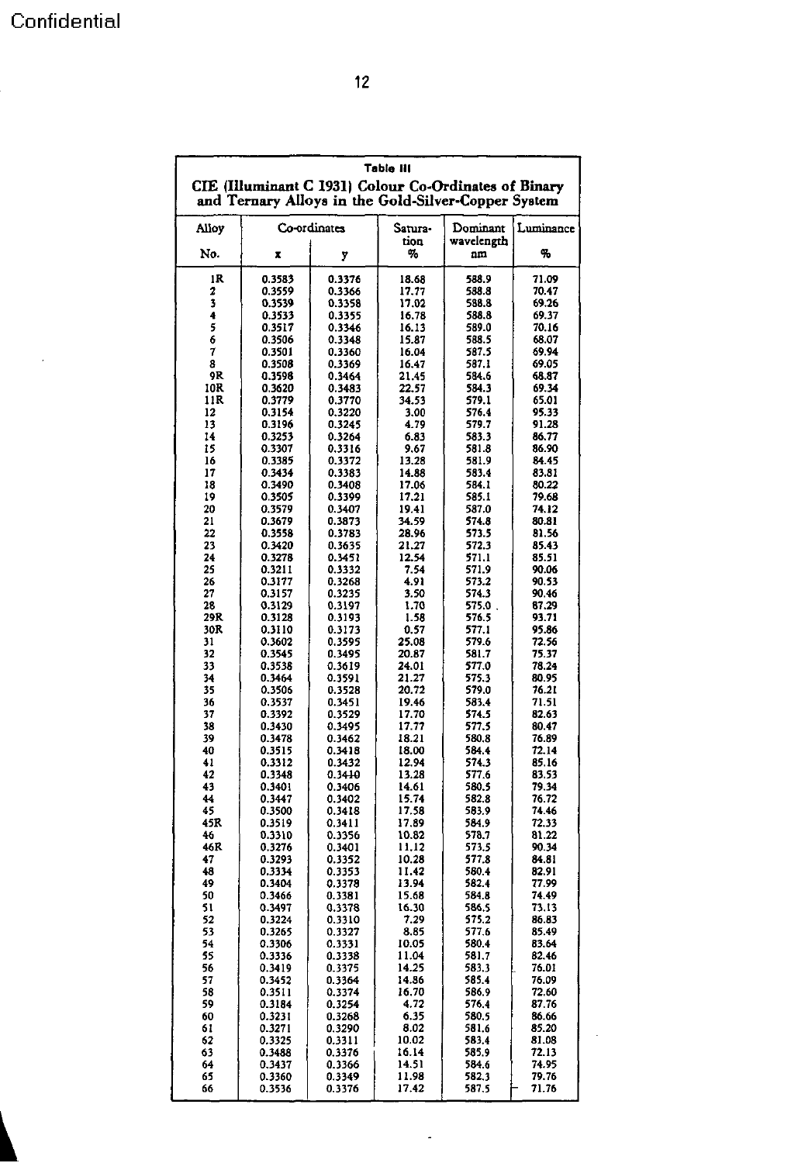$\overline{\phantom{a}}$ 

|           |                                                                                                              |                  | Table III       |                        |                |
|-----------|--------------------------------------------------------------------------------------------------------------|------------------|-----------------|------------------------|----------------|
|           | CIE (Illuminant C 1931) Colour Co-Ordinates of Binary<br>and Ternary Alloys in the Gold-Silver-Copper System |                  |                 |                        |                |
| Alloy     |                                                                                                              | Co-ordinates     | Satura-<br>tion | Dominant<br>wavelength | Luminance      |
| No.       | X                                                                                                            | y                | %               | nm                     | %              |
| ıR        | 0.3583                                                                                                       | 0.3376           | 18.68           | 588.9                  | 71.09          |
| 2<br>3    | 0.3559<br>0.3539                                                                                             | 0.3366<br>0.3358 | 17.77<br>17.02  | 588.8<br>588.8         | 70.47<br>69.26 |
| 4         | 0.3533                                                                                                       | 0.3355           | 16.78           | 588.8                  | 69.37          |
| 5         | 0.3517                                                                                                       | 0.3346           | 16.13           | 589.0                  | 70.16          |
| 6         | 0.3506                                                                                                       | 0.3348           | 15.87           | 588.5                  | 68.07          |
| 7<br>8    | 0.3501<br>0.3508                                                                                             | 0.3360<br>0.3369 | 16.04<br>16.47  | 587.5<br>587.1         | 69.94<br>69.05 |
| 9R        | 0.3598                                                                                                       | 0.3464           | 21.45           | 584.6                  | 68.87          |
| 10R       | 0.3620                                                                                                       | 0.3483           | 22.57           | 584.3                  | 69.34          |
| 11R<br>12 | 0.3779<br>0.3154                                                                                             | 0.3770<br>0.3220 | 34.53<br>3.00   | 579.1<br>576.4         | 65.01<br>95.33 |
| 13        | 0.3196                                                                                                       | 0.3245           | 4.79            | 579.7                  | 91.28          |
| 14        | 0.3253                                                                                                       | 0.3264           | 6.83            | 583.3                  | 86.77          |
| 15<br>16  | 0.3307<br>0.3385                                                                                             | 0.3316<br>0.3372 | 9.67<br>13.28   | 581.8<br>581.9         | 86.90<br>84.45 |
| 17        | 0.3434                                                                                                       | 0.3383           | 14.88           | 583.4                  | 83.81          |
| 18        | 0.3490                                                                                                       | 0.3408           | 17.06           | 584.1                  | 80.22          |
| 19        | 0.3505                                                                                                       | 0.3399           | 17.21           | 585. I                 | 79.68          |
| 20<br>21  | 0.3579<br>0.3679                                                                                             | 0.3407<br>0.3873 | 19.41<br>34.59  | 587.0<br>574.8         | 74.12<br>80.81 |
| 22        | 0.3558                                                                                                       | 0.3783           | 28.96           | 573.5                  | 81.56          |
| 23        | 0.3420                                                                                                       | 0.3635           | 21.27           | 572.3                  | 85.43          |
| 24<br>25  | 0.3278<br>0.3211                                                                                             | 0.3451<br>0.3332 | 12.54<br>7.54   | 571.1<br>571.9         | 85.51<br>90.06 |
| 26        | 0.3177                                                                                                       | 0.3268           | 4.91            | 573.2                  | 90.53          |
| 27        | 0.3157                                                                                                       | 0.3235           | 3.50            | 574.3                  | 90.46          |
| 28<br>29R | 0.3129<br>0.3128                                                                                             | 0.3197<br>0.3193 | 1.70<br>1.58    | 575.0,<br>576.5        | 87.29<br>93.71 |
| 30R       | 0.3110                                                                                                       | 0.3173           | 0.57            | 577.1                  | 95.86          |
| 31        | 0.3602                                                                                                       | 0.3595           | 25.08           | 579.6                  | 72.56          |
| 32<br>33  | 0.3545                                                                                                       | 0.3495           | 20.87           | 581.7                  | 75.37<br>78.24 |
| 34        | 0.3538<br>0.3464                                                                                             | 0.3619<br>0.3591 | 24.01<br>21.27  | 577.0<br>575.3         | 80.95          |
| 35        | 0.3506                                                                                                       | 0.3528           | 20.72           | 579.0                  | 76.21          |
| 36        | 0.3537                                                                                                       | 0.3451           | 19.46           | 583.4                  | 71.51          |
| 37<br>38  | 0.3392<br>0.3430                                                                                             | 0.3529<br>0.3495 | 17.70<br>17.77  | 574.5<br>577.5         | 82.63<br>80.47 |
| 39        | 0.3478                                                                                                       | 0.3462           | 18.21           | 580,8                  | 76.89          |
| 40        | 0.3515                                                                                                       | 0.3418           | 18.00           | 584.4                  | 72.14          |
| 41<br>42  | 0.3312<br>0.3348                                                                                             | 0.3432<br>0.3410 | 12.94<br>13.28  | 574.3<br>577.6         | 85.16<br>83.53 |
| 43        | 0.3401                                                                                                       | 0.3406           | 14.61           | 580.5                  | 79.34          |
| 44        | 0.3447                                                                                                       | 0.3402           | 15.74           | 582.8                  | 76.72          |
| 45<br>45R | 0.3500<br>0.3519                                                                                             | 0.3418<br>0.3411 | 17.58<br>17.89  | 583.9<br>584.9         | 74.46<br>72.33 |
| 46        | 0.3310                                                                                                       | 0.3356           | 10.82           | 578.7                  | 81.22          |
| 46R       | 0.3276                                                                                                       | 0.3401           | 11.12           | 573.5                  | 90.34          |
| 47<br>48  | 0.3293<br>0.3334                                                                                             | 0.3352<br>0.3353 | 10.28<br>11.42  | 577.8<br>580.4         | 84.81<br>82.91 |
| 49        | 0.3404                                                                                                       | 0.3378           | 13.94           | 582.4                  | 77.99          |
| 50        | 0.3466                                                                                                       | 0.3381           | 15.68           | 584.8                  | 74.49          |
| 51        | 0.3497<br>0.3224                                                                                             | 0.3378           | 16.30           | 586.5<br>575.2         | 73.13          |
| 52<br>53  | 0.3265                                                                                                       | 0.3310<br>0.3327 | 7.29<br>8.85    | 577.6                  | 86.83<br>85.49 |
| 54        | 0.3306                                                                                                       | 0.3331           | 10.05           | 580.4                  | 83.64          |
| 55        | 0.3336                                                                                                       | 0.3338           | 11.04           | 581.7                  | 82.46          |
| 56<br>57  | 0.3419<br>0.3452                                                                                             | 0.3375<br>0.3364 | 14.25<br>14.56  | 583.3<br>585.4         | 76.01<br>76.09 |
| 58        | 0.3511                                                                                                       | 0.3374           | 16.70           | 586.9                  | 72.60          |
| 59        | 0.3184                                                                                                       | 0.3254           | 4.72            | 576.4                  | 87.76          |
| 60        | 0.3231                                                                                                       | 0.3268           | 6.35<br>8.02    | 580.5                  | 86.66<br>85.20 |
| 61<br>62  | 0.3271<br>0.3325                                                                                             | 0.3290<br>0.3311 | 10.02           | 581.6<br>583.4         | 81.08          |
| 63        | 0.3488                                                                                                       | 0.3376           | 16.14           | 585.9                  | 72.13          |
| 64        | 0.3437                                                                                                       | 0.3366           | 14.51           | 584.6                  | 74.95          |
| 65        | 0.3360                                                                                                       | 0.3349           | 11.98           | 582.3                  | 79.76          |

66 0.3536 0.3376 17.42 587.5 71.76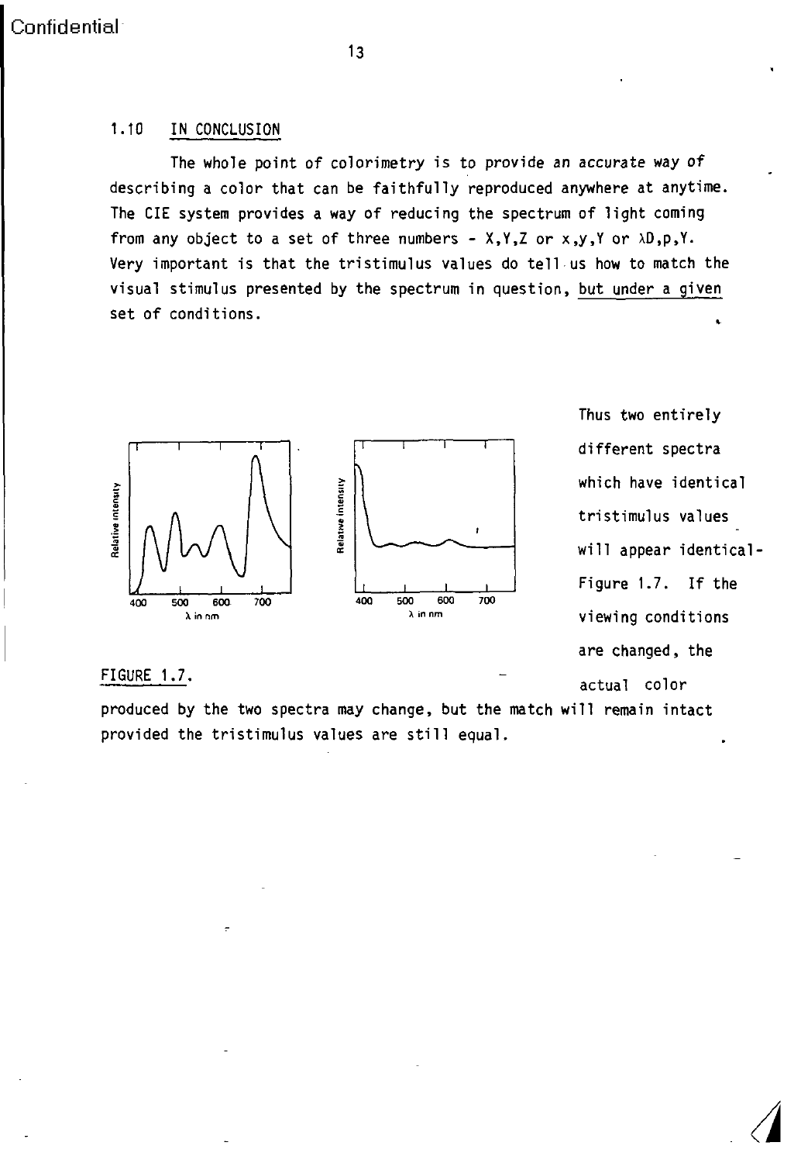#### 1.10 IN CONCLUSION

The whole point of colorimetry is to provide an accurate way of describing a color that can be faithfully reproduced anywhere at anytime. The CIE system provides a way of reducing the spectrum of light coming from any object to a set of three numbers -  $X,Y,Z$  or  $x,y,Y$  or  $\lambda D, p,Y$ . Very important is that the tristimulus values do tell us how to match the visual stimulus presented by the spectrum in question, but under a given set of conditions.



Thus two entirely different spectra which have identical will appear identical- $\frac{1}{100}$  Figure 1.7. If the are changed, the FIGURE FIGURE 1.7. 1.7. -. , - actual color

produced by the two spectra may change, but the match will remain intact provided the tristimulus values are still equal.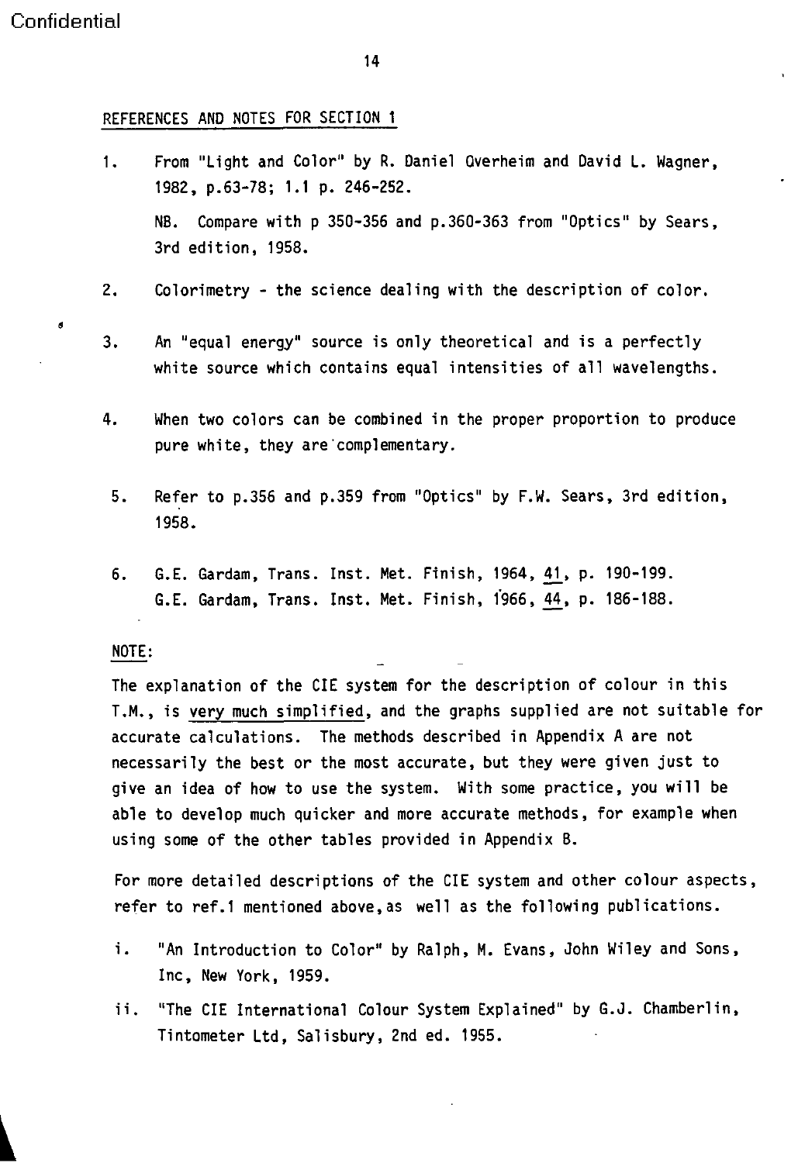9

14

#### REFERENCES AND NOTES FOR SECTION 1

- 1. From "Light and Color" by R. Daniel Qverheim and David L. Wagner, 1982, p.63-78; 1.1 p. 246-252. NB. Compare with p 350-356 and p.360-363 from "Optics" by Sears, 3rd edition, 1958.
- 2. Colorimetry the science dealing with the description of color.
- 3. An "equal energy" source is only theoretical and is a perfectly white source which contains equal intensities of all wavelengths.
- 4. When two colors can be combined in the proper proportion to produce pure white, they are complementary.
	- 5. Refer to p.356 and p.359 from "Optics" by F.W. Sears, 3rd edition, 1958.
	- 6. G.E. Gardam, Trans. Inst. Met. Finish, 1964, 41, p. 190-199. G.E. Gardam, Trans. Inst. Met. Finish, 1966, 44, p. 186-188.

#### NOTE:

The explanation of the CIE system for the description of colour in this T.M., is very much simplified, and the graphs supplied are not suitable for accurate calculations. The methods described in Appendix A are not necessarily the best or the most accurate, but they were given just to give an idea of how to use the system. With some practice, you will be able to develop much quicker and more accurate methods, for example when using some of the other tables provided in Appendix B.

For more detailed descriptions of the CIE system and other colour aspects, refer to ref.1 mentioned above,as well as the following publications.

- i. "An Introduction to Color" by Ralph, M. Evans, John Wiley and Sons, Inc, New York, 1959.
- ii. "The CIE International Colour System Explained" by G.J. Chamberlin, Tintometer Ltd, Salisbury, 2nd ed. 1955.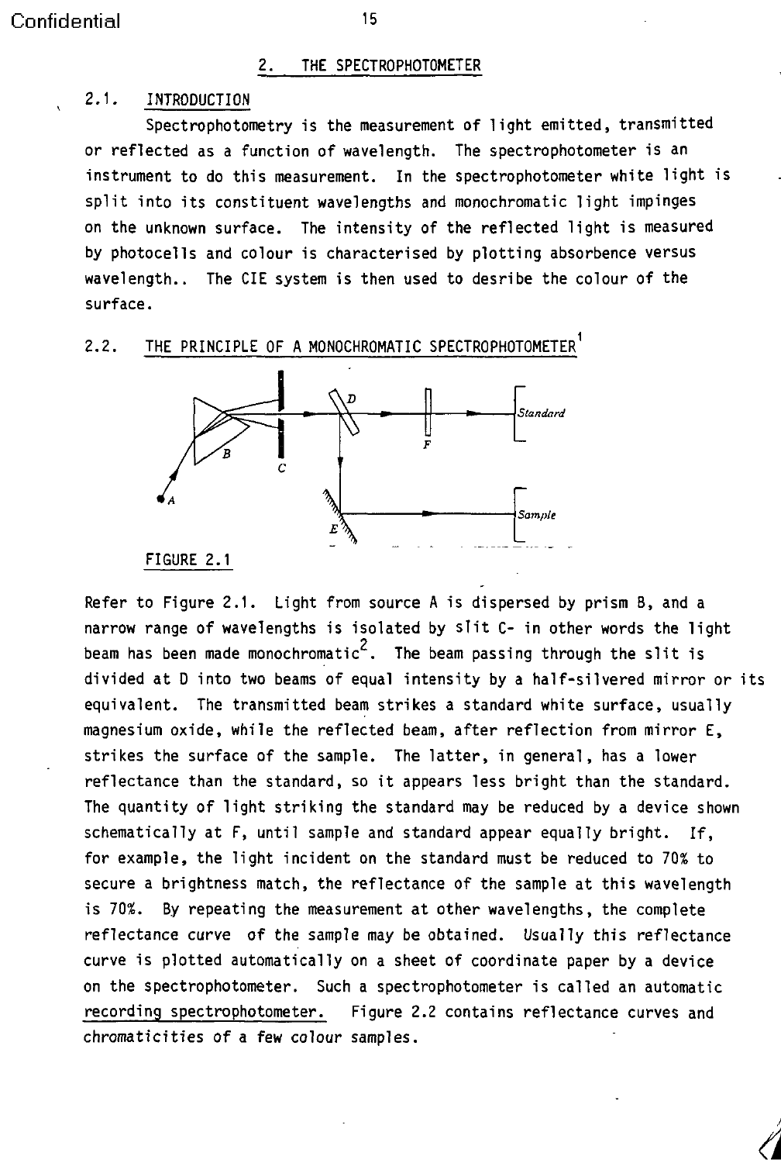#### 2. THE SPECTROPHOTOMETER

#### 2.1. INTRODUCTION

Spectrophotometry is the measurement of light emitted, transmitted or reflected as a function of wavelength. The spectrophotometer is an instrument to do this measurement. In the spectrophotometer white light is split into its constituent wavelengths and monochromatic light impinges on the unknown surface. The intensity of the reflected light is measured by photocells and colour is characterised by plotting absorbence versus wavelength.. The CIE system is then used to desribe the colour of the surface.

### 2.2. THE PRINCIPLE OF A MONOCHROMATIC SPECTROPHOTOMETER<sup>1</sup>



Refer to Figure 2.1. Light from source A is dispersed by prism B, and a narrow range of wavelengths is isolated by slit C- in other words the light beam has been made monochromatic<sup>2</sup>. The beam passing through the slit is divided at D into two beams of equal intensity by a half-silvered mirror or its equivalent. The transmitted beam strikes a standard white surface, usually magnesium oxide, while the reflected beam, after reflection from mirror E, strikes the surface of the sample. The latter, in general, has a lower reflectance than the standard, so it appears less bright than the standard. The quantity of light striking the standard may be reduced by a device shown schematically at F, until sample and standard appear equally bright. If, for example, the light incident on the standard must be reduced to 70% to secure a brightness match, the reflectance of the sample at this wavelength is 70%. By repeating the measurement at other wavelengths, the complete reflectance curve of the sample may be obtained. Usually this reflectance curve is plotted automatically on a sheet of coordinate paper by a device on the spectrophotometer. Such a spectrophotometer is called an automatic recording spectrophotometer. Figure 2.2 contains reflectance curves and chromaticities of a few colour samples.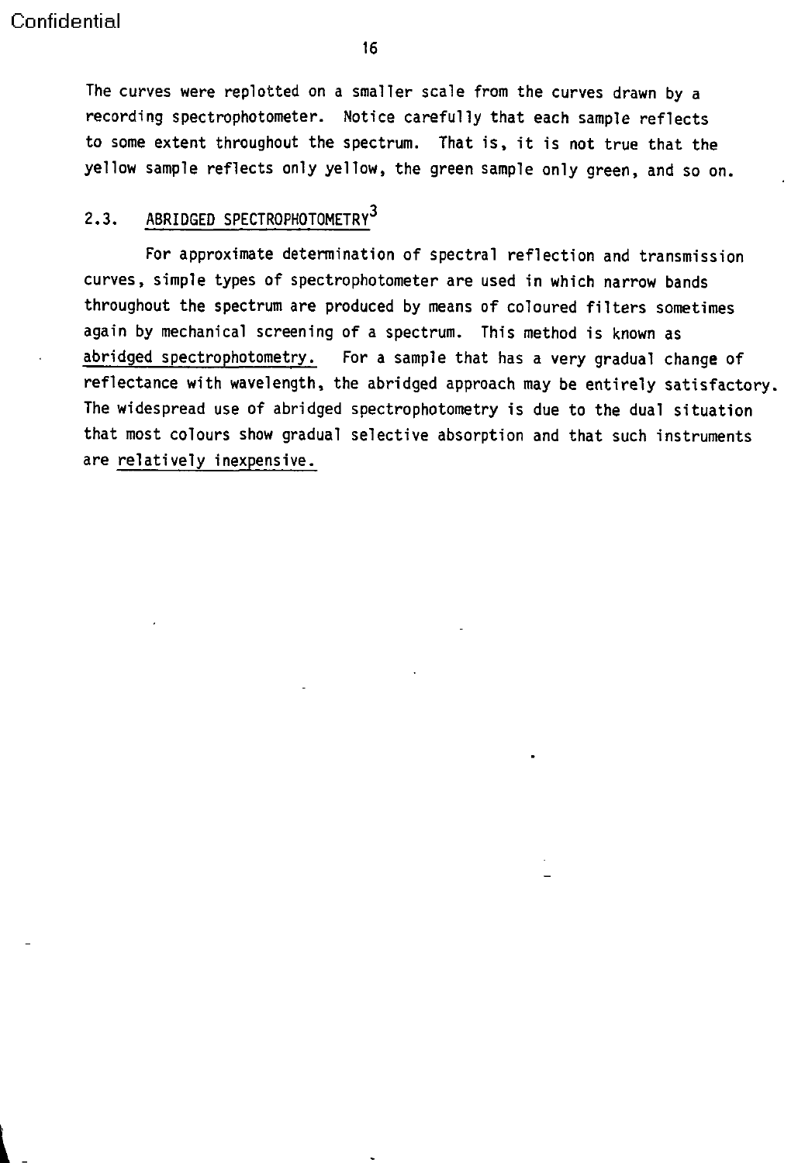The curves were replotted on a smaller scale from the curves drawn by a recording spectrophotometer. Notice carefully that each sample reflects to some extent throughout the spectrum. That is, it is not true that the yellow sample reflects only yellow, the green sample only green, and so on.

## 2.3. ABRIDGED SPECTROPHOTOMETRY<sup>3</sup>

For approximate determination of spectral reflection and transmission curves, simple types of spectrophotometer are used in which narrow bands throughout the spectrum are produced by means of coloured filters sometimes again by mechanical screening of a spectrum. This method is known as abridged spectrophotometry. For a sample that has a very gradual change of reflectance with wavelength, the abridged approach may be entirely satisfactory. The widespread use of abridged spectrophotometry is due to the dual situation that most colours show gradual selective absorption and that such instruments are relatively inexpensive.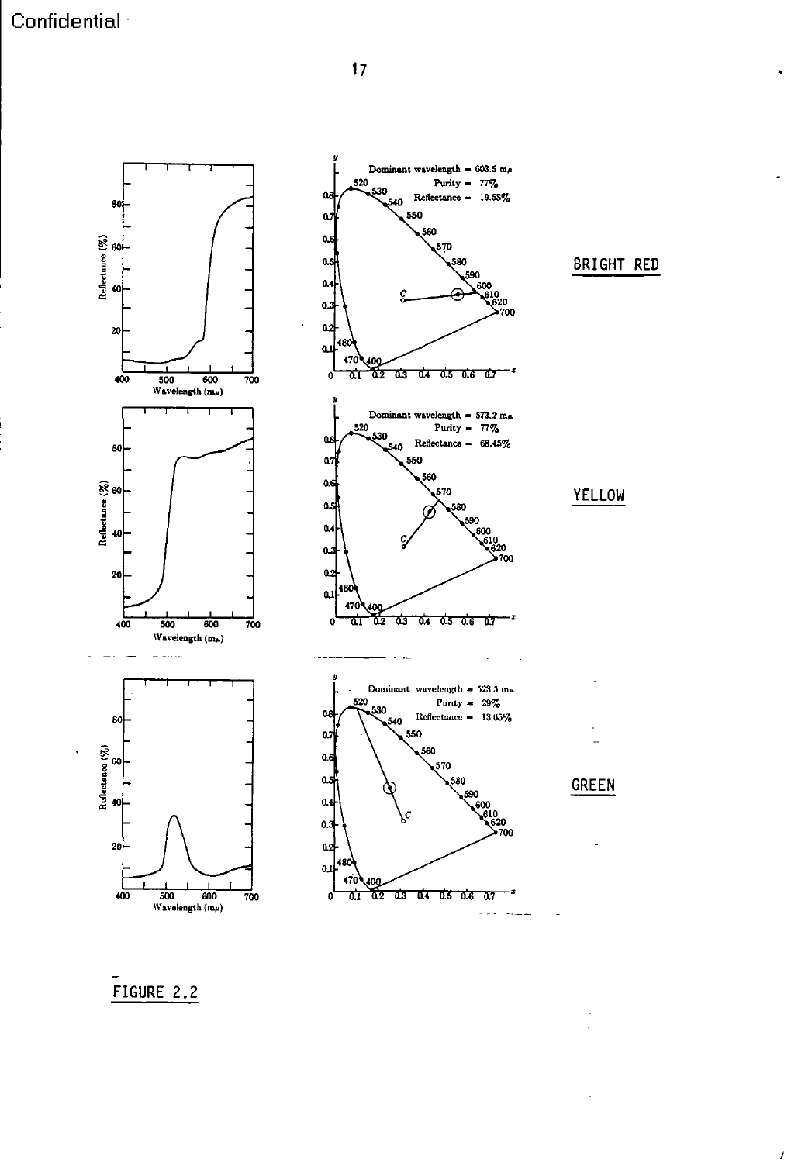Confidential<sup>®</sup>



 $\overline{1}$ 

## FIGURE 2.2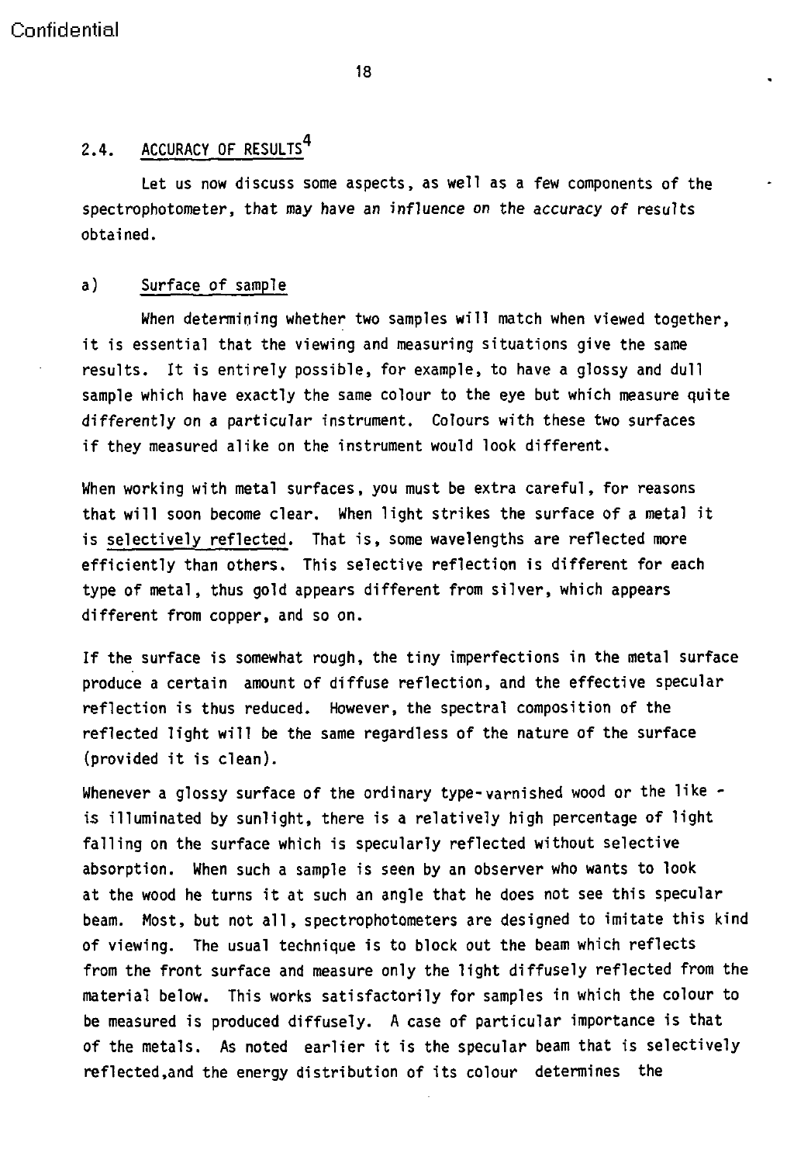#### **18**

## 2.4. ACCURACY OF RESULTS<sup>4</sup>

Let us now discuss some aspects, as well as a few components of the spectrophotometer, that may have an influence on the accuracy of results obtained.

#### a) Surface of sample

When determining whether two samples will match when viewed together, it is essential that the viewing and measuring situations give the same results. It is entirely possible, for example, to have a glossy and dull sample which have exactly the same colour to the eye but which measure quite differently on a particular instrument. Colours with these two surfaces if they measured alike on the instrument would look different,

When working with metal surfaces, you must be extra careful, for reasons that will soon become clear. When light strikes the surface of a metal it is selectively reflected. That is, some wavelengths are reflected more efficiently than others. This selective reflection is different for each type of metal, thus gold appears different from silver, which appears different from copper, and so on.

If the surface is somewhat rough, the tiny imperfections in the metal surface produce a certain amount of diffuse reflection, and the effective specular reflection is thus reduced. However, the spectral composition of the reflected light will be the same regardless of the nature of the surface (provided it is clean).

Whenever a glossy surface of the ordinary type-varnished wood or the like is illuminated by sunlight, there is a relatively high percentage of light falling on the surface which is specularly reflected without selective absorption. When such a sample is seen by an observer who wants to look at the wood he turns it at such an angle that he does not see this specular beam. Most, but not all, spectrophotometers are designed to imitate this kind of viewing. The usual technique is to block out the beam which reflects from the front surface and measure only the light diffusely reflected from the material below. This works satisfactorily for samples in which the colour to be measured is produced diffusely. A case of particular importance is that of the metals. As noted earlier it is the specular beam that is selectively reflected,and the energy distribution of its colour determines the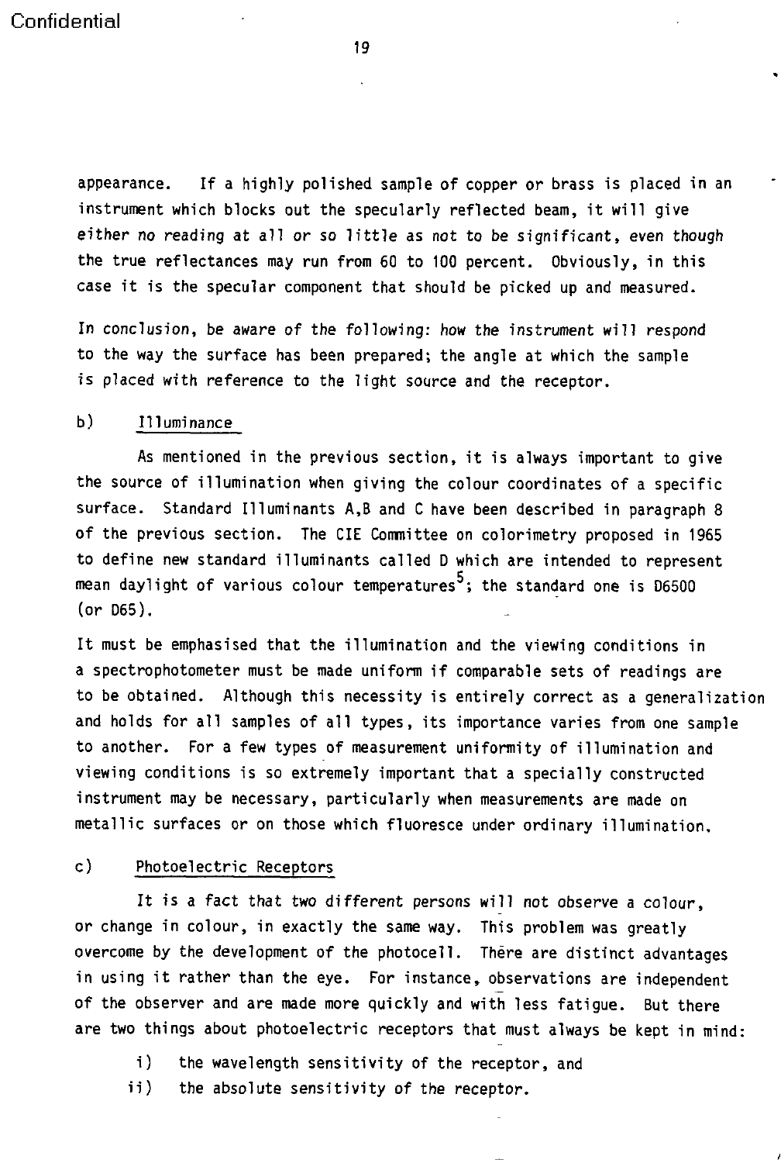appearance. If a highly polished sample of copper or brass is placed in an instrument which blocks out the specularly reflected beam, it will give either no reading at all or so little as not to be significant, even though the true reflectances may run from 60 to 100 percent. Obviously, in this case it is the specular component that should be picked up and measured.

In conclusion, be aware of the following: how the instrument will respond to the way the surface has been prepared; the angle at which the sample is placed with reference to the light source and the receptor.

#### b) Illuminance

As mentioned in the previous section, it is always important to give the source of illumination when giving the colour coordinates of a specific surface. Standard Illuminants A,B and C have been described in paragraph 8 of the previous section. The CIE Committee on colorimetry proposed in 1965 to define new standard illuminants called D which are intended to represent mean daylight of various colour temperatures $^5$ ; the standard one is D6500 (or D65).

It must be emphasised that the illumination and the viewing conditions in a spectrophotometer must be made uniform if comparable sets of readings are to be obtained. Although this necessity is entirely correct as a generalization and holds for all samples of all types, its importance varies from one sample to another. For a few types of measurement uniformity of illumination and viewing conditions is so extremely important that a specially constructed instrument may be necessary, particularly when measurements are made on metallic surfaces or on those which fluoresce under ordinary illumination.

#### c) Photoelectric Receptors

It is a fact that two different persons will not observe a colour, or change in colour, in exactly the same way. This problem was greatly overcome by the development of the photocell. There are distinct advantages in using it rather than the eye. For instance, observations are independent of the observer and are made more quickly and with less fatigue. But there are two things about photoelectric receptors that must always be kept in mind:

- i) the wavelength sensitivity of the receptor, and
- ii) the absolute sensitivity of the receptor.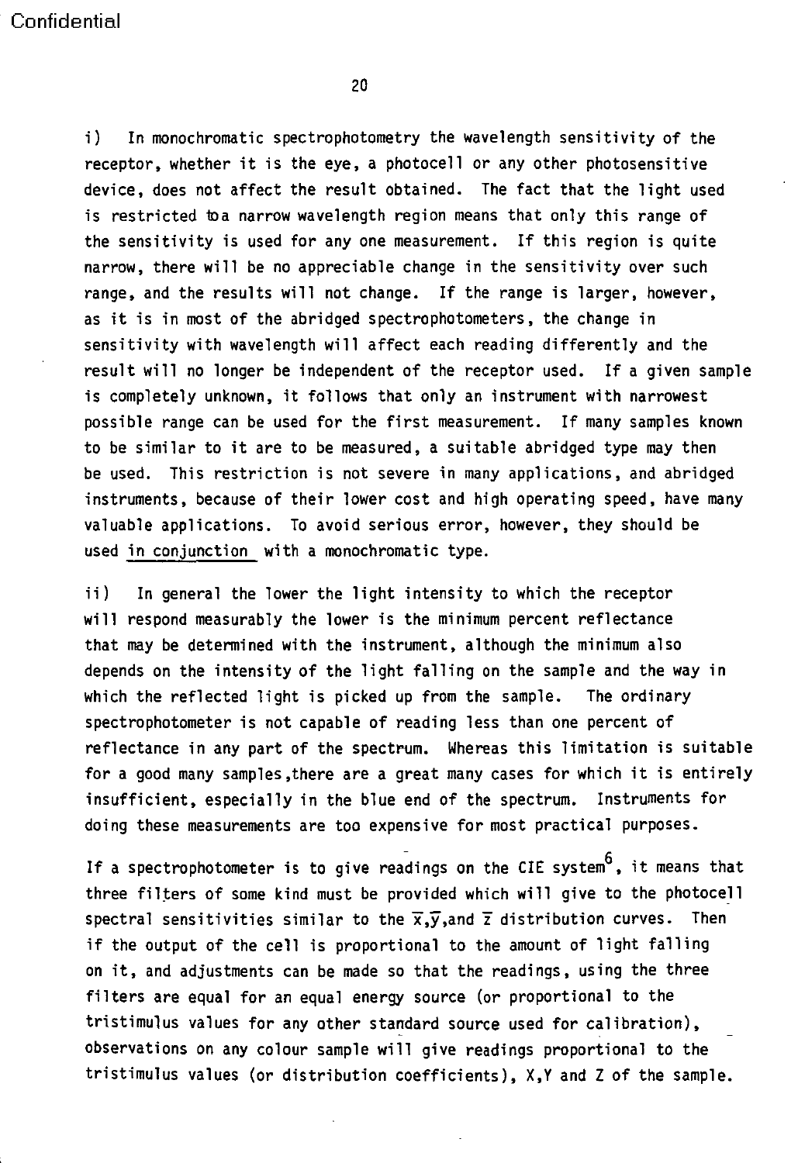i) In monochromatic spectrophotometry the wavelength sensitivity of the receptor, whether it is the eye, a photocell or any other photosensitive device, does not affect the result obtained. The fact that the light used is restricted to a narrow wavelength region means that only this range of the sensitivity is used for any one measurement. If this region is quite narrow, there will be no appreciable change in the sensitivity over such range, and the results will not change. If the range is larger, however, as it is in most of the abridged spectrophotometers, the change in sensitivity with wavelength will affect each reading differently and the result will no longer be independent of the receptor used. If a given sample is completely unknown, it follows that only an instrument with narrowest possible range can be used for the first measurement. If many samples known to be similar to it are to be measured, a suitable abridged type may then be used. This restriction is not severe in many applications, and abridged instruments, because of their lower cost and high operating speed, have many valuable applications. To avoid serious error, however, they should be used in conjunction with a monochromatic type.

ii) In general the lower the light intensity to which the receptor will respond measurably the lower is the minimum percent reflectance that may be determined with the instrument, although the minimum also depends on the intensity of the light falling on the sample and the way in which the reflected light is picked up from the sample. The ordinary spectrophotometer is not capable of reading less than one percent of reflectance in any part of the spectrum. Whereas this limitation is suitable for a good many samples,there are a great many cases for which it is entirely insufficient, especially in the blue end of the spectrum. Instruments for doing these measurements are too expensive for most practical purposes.

If a spectrophotometer is to give readings on the CIE system  $^6$ , it means that three filters of some kind must be provided which will give to the photocell spectral sensitivities similar to the  $\overline{x},\overline{y},$  and  $\overline{z}$  distribution curves. Then if the output of the cell is proportional to the amount of light falling on it, and adjustments can be made so that the readings, using the three filters are equal for an equal energy source (or proportional to the tristimulus values for any other standard source used for calibration), observations on any colour sample will give readings proportional to the tristimulus values (or distribution coefficients), XY and Z of the sample.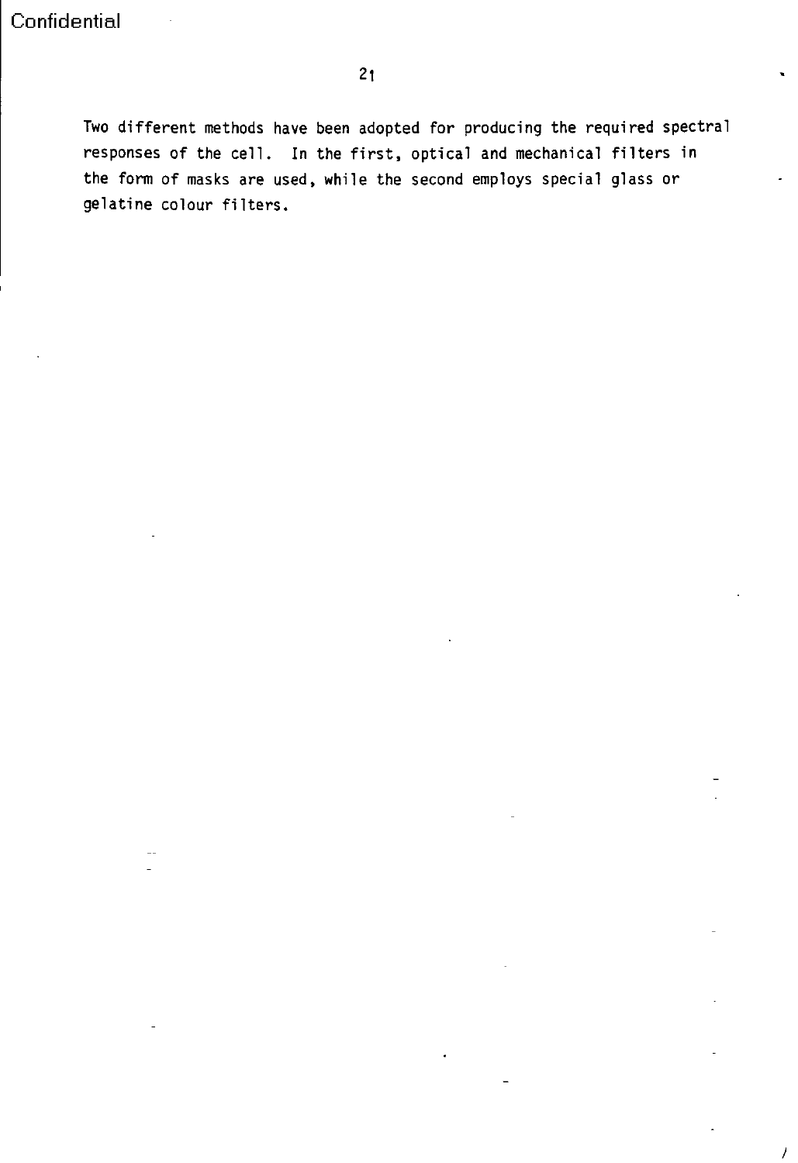I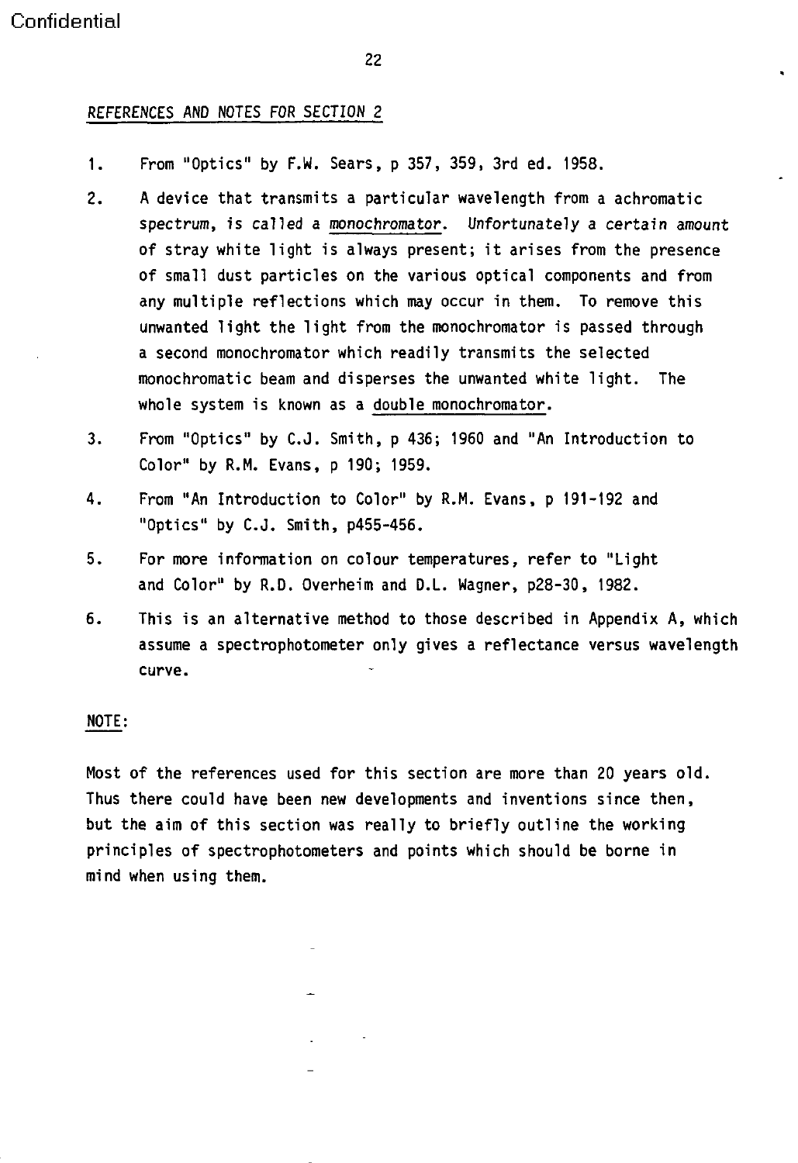#### REFERENCES AND NOTES FOR SECTION 2

- 1. From "Optics" by F.W. Sears, p 357, 359, 3rd ed. 1958.
- 2. A device that transmits a particular wavelength from a achromatic spectrum, is called a monochromator. Unfortunately a certain amount of stray white light is always present; it arises from the presence of small dust particles on the various optical components and from any multiple reflections which may occur in them. To remove this unwanted light the light from the monochromator is passed through a second monochromator which readily transmits the selected monochromatic beam and disperses the unwanted white light. The whole system is known as a double monochromator.
- 3. From "Optics" by C.J. Smith, p 436; 1960 and "An Introduction to Color" by R.M. Evans, p 190; 1959.
- 4. From "An Introduction to Color" by R.M. Evans, p 191-192 and "Optics" by C.J. Smith, p455-456.
- 5. For more information on colour temperatures, refer to "Light and Color" by R.D. Overheim and D.L. Wagner, p28-30, 1982.
- 6. This is an alternative method to those described in Appendix A, which assume a spectrophotometer only gives a reflectance versus wavelength curve.

#### NOTE:

Most of the references used for this section are more than 20 years old. Thus there could have been new developments and inventions since then, but the aim of this section was really to briefly outline the working principles of spectrophotometers and points which should be borne in mind when using them.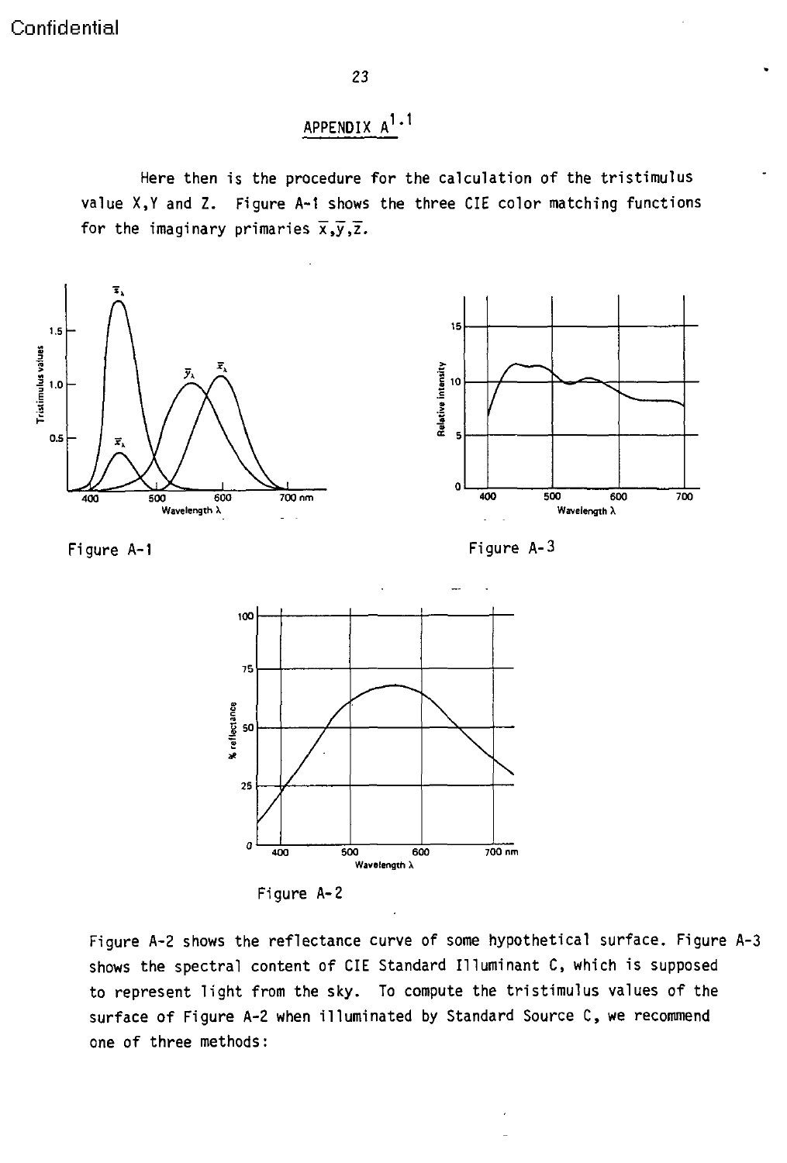## APPENDIX  $A^1 \cdot 1$

Here then is the procedure for the calculation of the tristimulus value X,Y and Z. Figure A-i shows the three CIE color matching functions for the imaginary primaries  $\overline{x}, \overline{y}, \overline{z}$ .



**100- 75 -- ---------------------------- I50 -- -- / - ----- -\ -- - 25** o **400 500 600 700 nm Wavelength X**

Figure A-2

Figure A-2 shows the reflectance curve of some hypothetical surface. Figure A-3 shows the spectral content of CIE Standard Illuminant C, which is supposed to represent light from the sky. To compute the tristimulus values of the surface of Figure A-2 when illuminated by Standard Source C, we recommend one of three methods: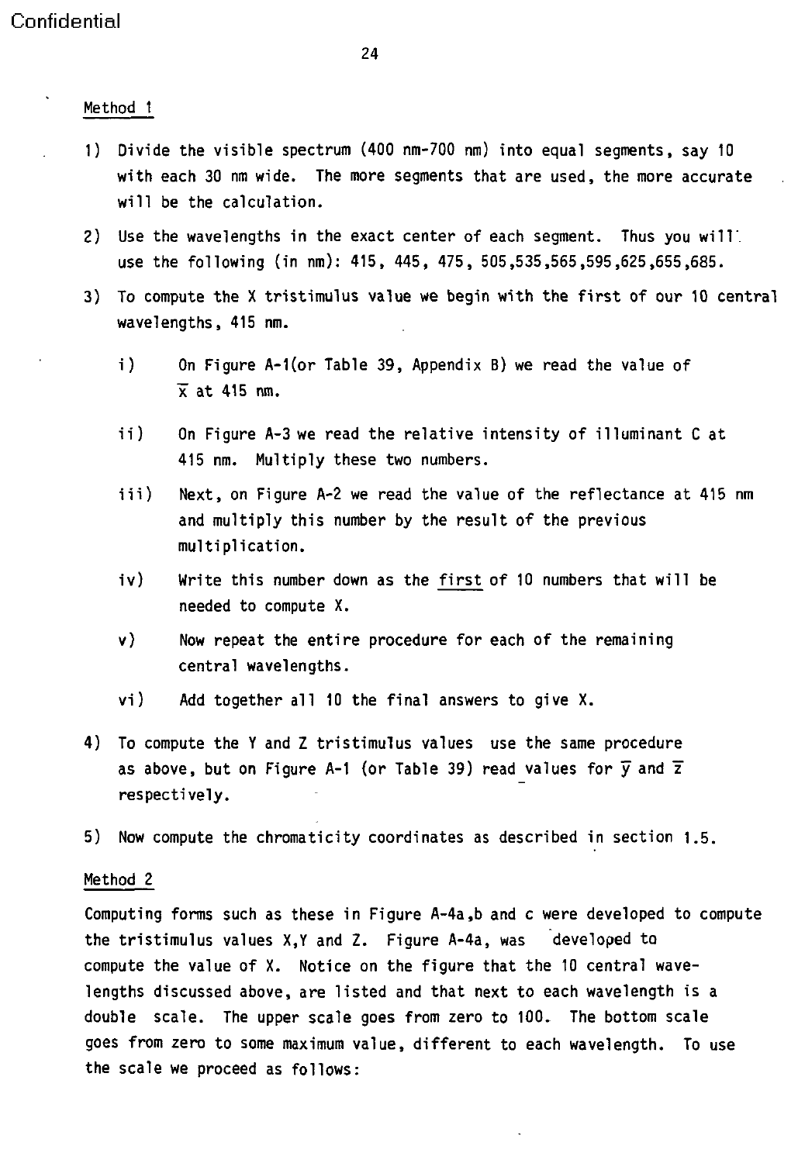Method 1

- 1) Divide the visible spectrum (400 nm-700 nm) into equal segments, say 10 with each 30 nm wide. The more segments that are used, the more accurate will be the calculation.
- 2) Use the wavelengths in the exact center of each segment. Thus you **will'.** use the following (in nm): 415, 445, 475, 505,535,565,595,625,655,685.
- 3) To compute the X tristimulus value we begin with the first of our 10 central wavelengths, 415 nm.
	- i) On Figure A-1(or Table 39, Appendix B) we read the value of  $\overline{x}$  at 415 nm.
	- ii) On Figure A-3 we read the relative intensity of illuminant C at 415 nm. Multiply these two numbers.
	- iii) Next, on Figure A-2 we read the value of the reflectance at 415 nm and multiply this number by the result of the previous multiplication.
	- iv) Write this number down as the first of 10 numbers that will be needed to compute X.
	- v) Now repeat the entire procedure for each of the remaining central wavelengths.
	- vi) Add together all 10 the final answers to give X.
- 4) To compute the Y and Z tristimulus values use the same procedure as above, but on Figure A-1 (or Table 39) read values for  $\bar{y}$  and  $\bar{z}$ respectively.
- 5) Now compute the chromaticity coordinates as described in section 1.5.

#### Method 2

Computing forms such as these in Figure A-4a,b and c were developed to compute the tristimulus values X,Y and Z. Figure A-4a, was developed to compute the value of X. Notice on the figure that the 10 central wavelengths discussed above, are listed and that next to each wavelength is a double scale. The upper scale goes from zero to 100. The bottom scale goes from zero to some maximum value, different to each wavelength. To use the scale we proceed as follows: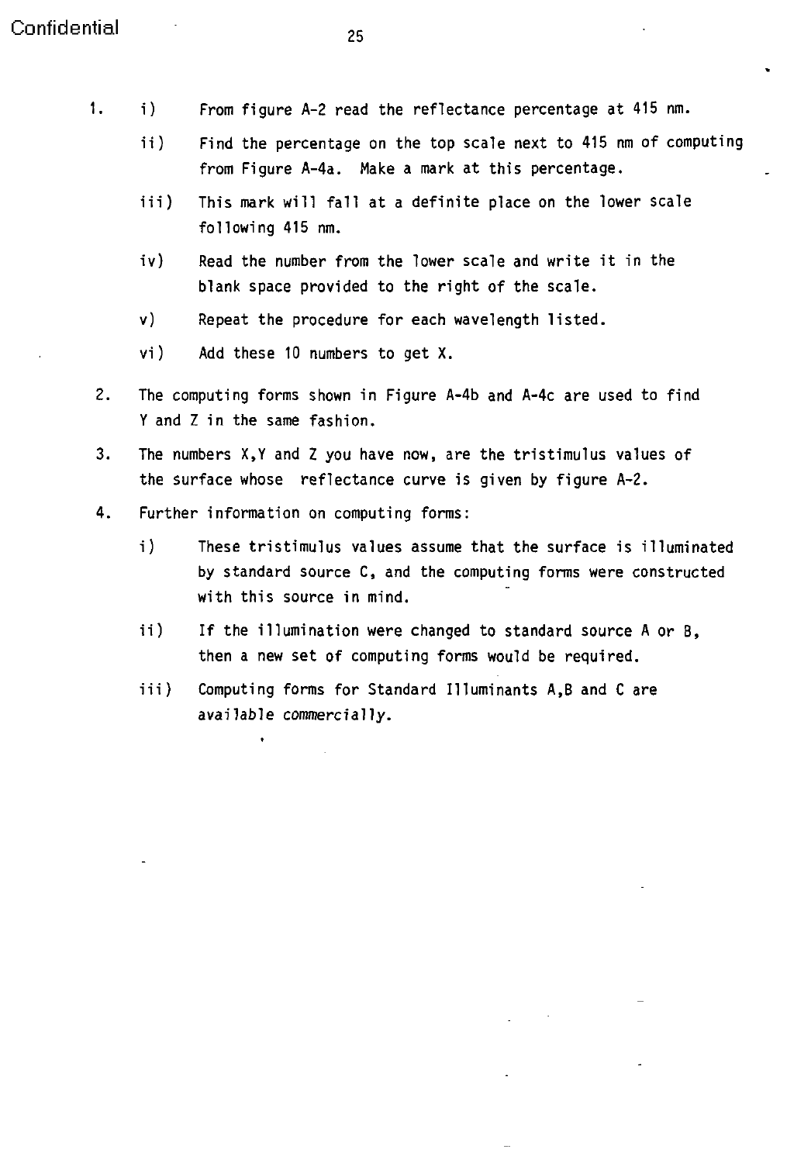- 1. i) From figure A-2 read the reflectance percentage at 415 nm.
	- ii) Find the percentage on the top scale next to 415 nm of computing from Figure A-4a. Make a mark at this percentage.
	- iii) This mark will fall at a definite place on the lower scale following 415 nm.
	- iv) Read the number from the lower scale and write it in the blank space provided to the right of the scale.
	- v) Repeat the procedure for each wavelength listed.
	- vi) Add these 10 numbers to get X.
- 2. The computing forms shown in Figure A-4b and A-4c are used to find Y and Z in the same fashion.
- 3. The numbers X,Y and Z you have now, are the tristimulus values of the surface whose reflectance curve is given by figure A-2.
- 4. Further information on computing forms:
	- i) These tristimulus values assume that the surface is illuminated by standard source C, and the computing forms were constructed with this source in mind.
	- ii) If the illumination were changed to standard source A or B, then a new set of computing forms would be required.
	- iii) Computing forms for Standard Illuminants A,B and C are available commercially.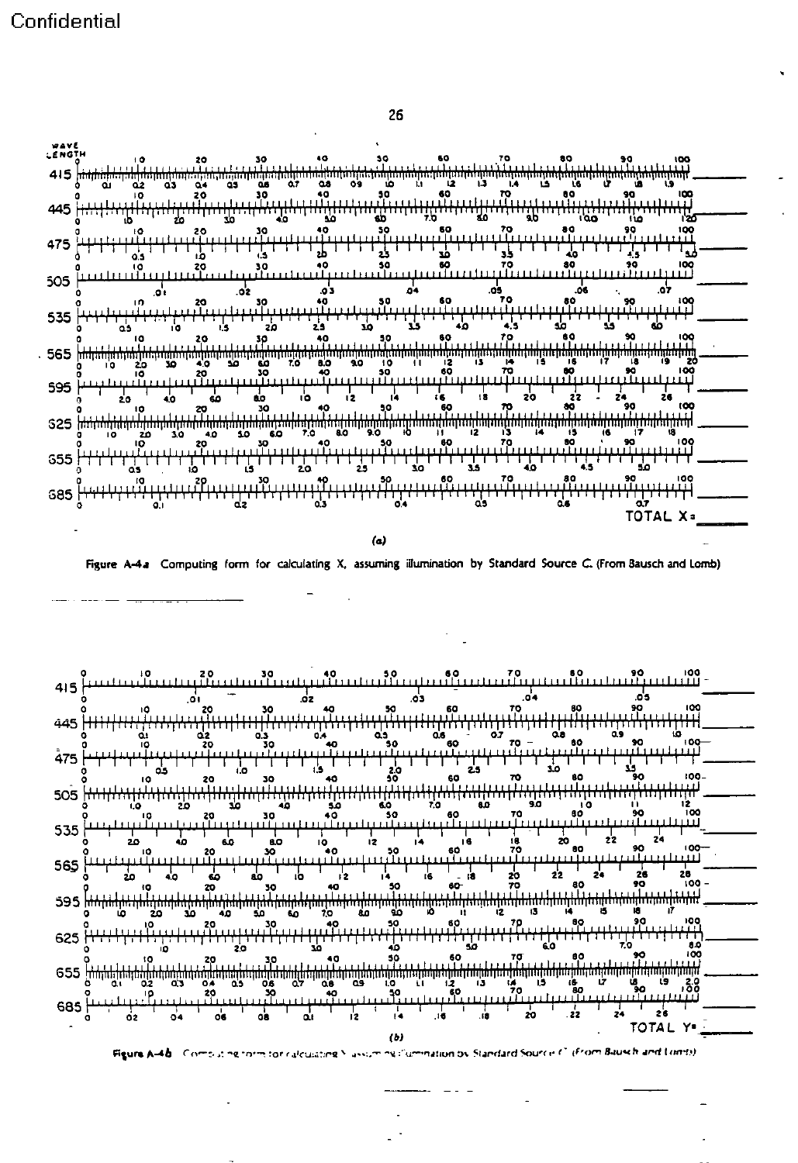



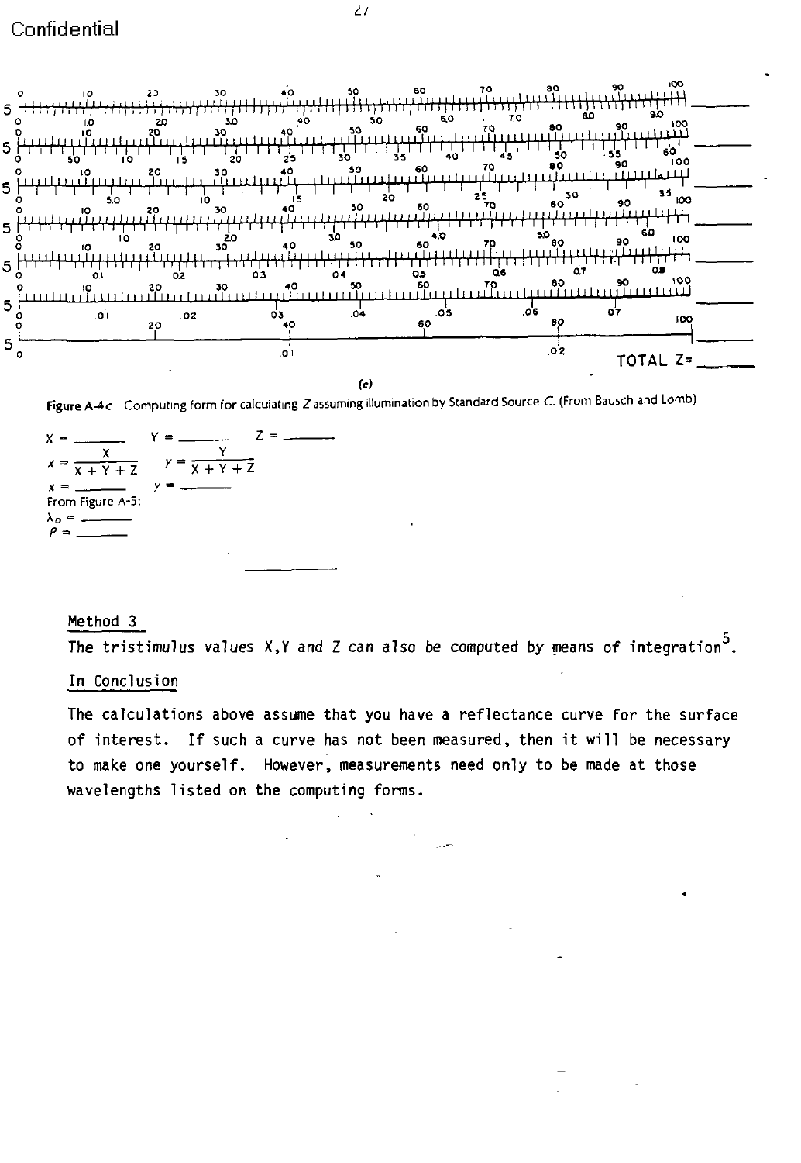

Figure A-4c Computing form for calculating Z assuming illumination by Standard Source C. (From Bausch and Lomb)

Z  $\overline{x + y +}$  $\overline{+}$  $Y +$ From Figure A-5:

### Method 3

The tristimulus values  $X, Y$  and Z can also be computed by means of integration<sup>5</sup>.

#### In Conclusion

The calculations above assume that you have a reflectance curve for the surface of interest. If such a curve has not been measured, then it will be necessary to make one yourself. However, measurements need only to be made at those wavelengths listed on the computing forms.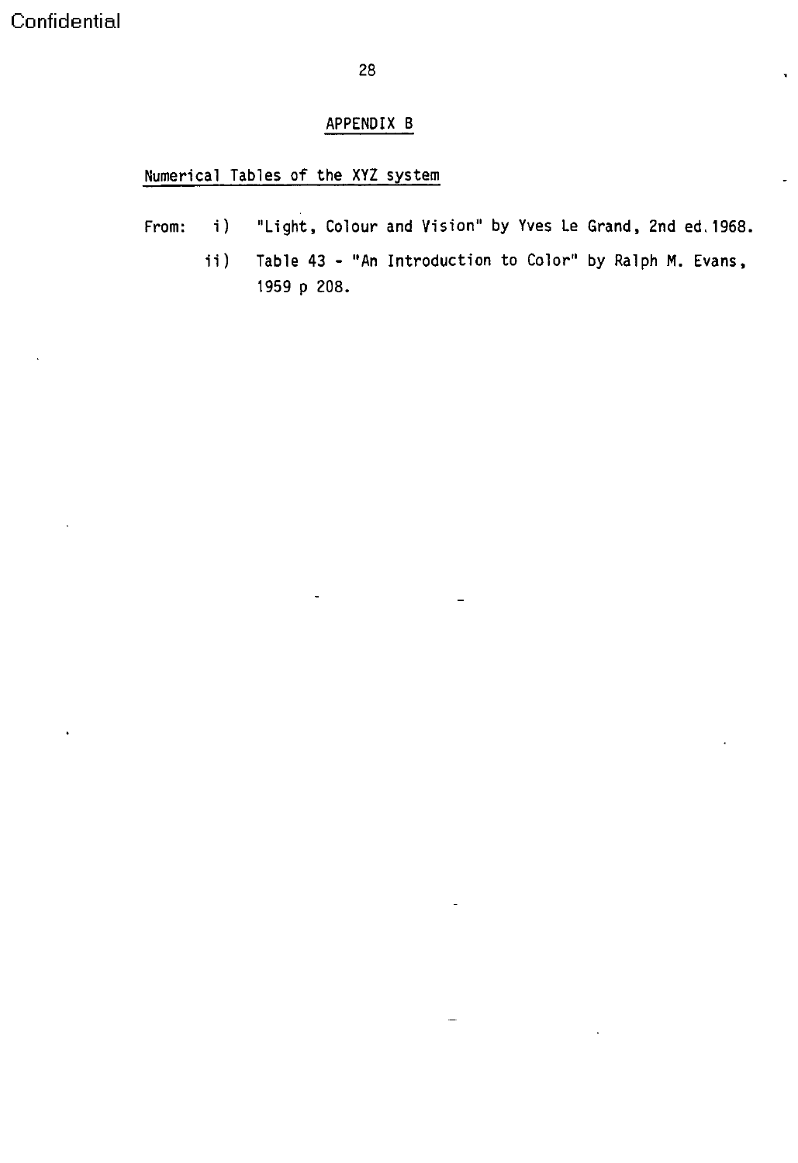28

### APPENDIX B

### Numerical Tables of the XYZ system

- From: i) "Light, Colour and Vision" by Yves Le Grand, 2nd ed. 1968.
	- ii) Table 43 "An Introduction to Color" by Ralph M. Evans, 1959 p 208.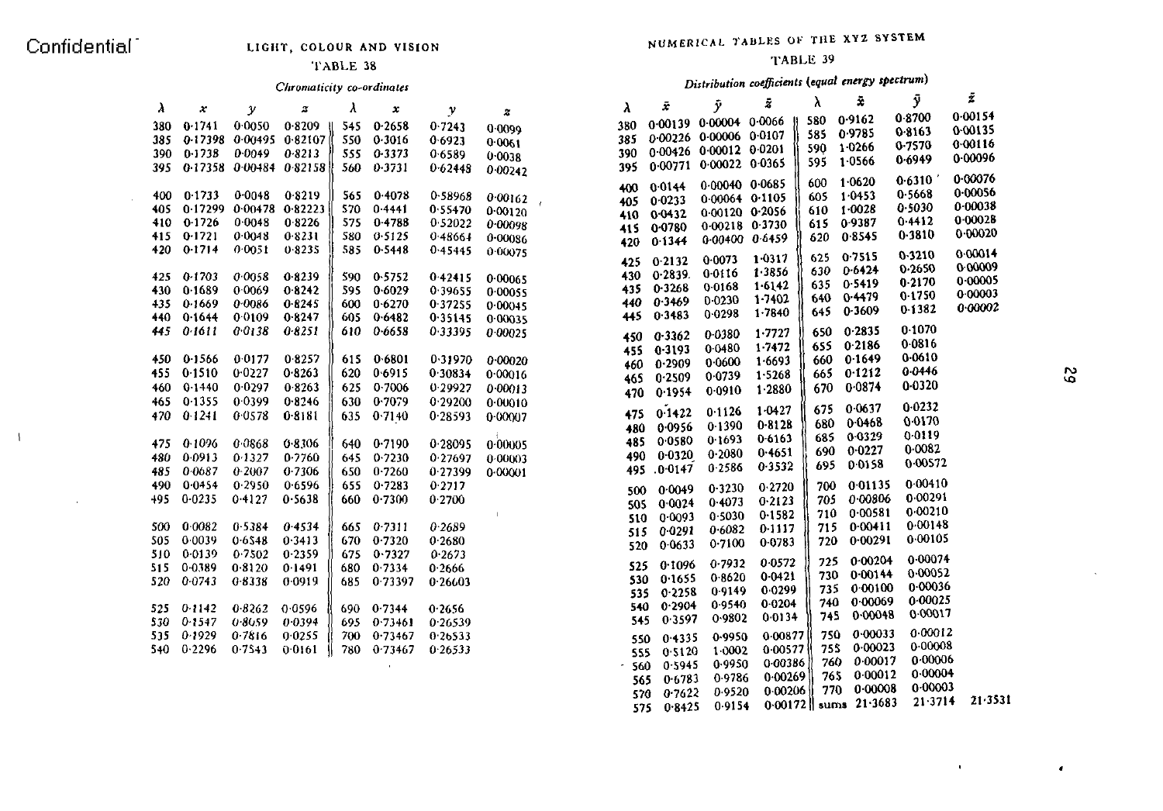$\mathcal{A}$ 

 $\lambda$ 

 $\sim$ 

### TABLE 38 TABLE 39

| λ    | $\boldsymbol{x}$ | $\mathcal{Y}$           | $\boldsymbol{z}$                 | λ   | $\pmb{\chi}$ | $\mathcal{Y}$ | $\boldsymbol{z}$ | λ          | x             | y                      | ×         | $\mathbf{a}$ |           | ,       |        |
|------|------------------|-------------------------|----------------------------------|-----|--------------|---------------|------------------|------------|---------------|------------------------|-----------|--------------|-----------|---------|--------|
| 380  | 0.1741           | 0.0050                  | 0.8209                           | 545 | 0.2658       | 0.7243        |                  | 380        |               | 0.00139 0.00004 0.0066 |           | 580          | 0.9162    | 0.8700  | 0.0015 |
| 385  |                  |                         | $-0.17398$ $-0.00495$ $-0.82107$ | 550 | 0.3016       | 0.6923        | 0.0099           | 385        |               | 0.00226 0.00006 0.0107 |           | 585          | 09785     | 0.8163  | 0.0013 |
| 390- | 0.1738           | 0.0049                  | 0.8213                           | 555 | 0.3373       | 0.6589        | 0.0061           | 390        |               | 0.00426 0.00012 0.0201 |           | 590          | 10266     | 0.7570  | 0.0011 |
| 395  |                  |                         | $0.17358$ $0.00484$ $0.82158$    | 560 | 0.3731       | 0.62448       | 0.0038           | 395        |               | 0.00771 0.00022 0.0365 |           | 595          | 1.0566    | 0.6949  | 0.0009 |
|      |                  |                         |                                  |     |              |               | 0.00242          |            |               |                        |           |              | 1.0620    | 0.6310  | 0.0007 |
|      |                  |                         |                                  |     |              |               |                  | 400        | 0.0144        | 0-00040 0-0685         |           | 600          |           | 0.5668  | 0.0005 |
| 400. | 0.1733           | 0.0048                  | 0.8219                           | 565 | 0.4078       | 0.58968       | 0.00162          | 405        | 0.0233        | $0.00064$ $0.1105$     |           | 605          | 1 0 4 5 3 | 0.5030  | 0.0003 |
| 405. |                  | 0.17299 0.00478 0.82223 |                                  | 570 | 0.4441       | 0.55470       | 0.00120          | 410        | 0.0432        | 0-00120 0-2056         |           | 610          | 1.0028    | 0.4412  | 0.0002 |
| 410  | 0.1726           | 0.0048                  | 0.8226                           | 575 | 0.4788       | 0.52022       | 0.00098          | 415        | 0.0780        | $0.00218$ $0.3730$     |           | 615          | 0.9387    | 0.3810  | 0.0002 |
| 415  | 0.1721           | 0.0048                  | 0.8231                           | 580 | 0.5125       | 0.48664       | 0.00086          | 420        | 0.1344        | $0.00400$ $0.6459$     |           | 620          | 0.8545    |         |        |
| 420. | 0.1714           | 0.0051                  | 0.8235                           |     | 585 0.5448   | 0.45445       | 0.00075          | 425        | 0.2132        | 0.0073                 | 1.0317    | 625          | 0.7515    | 0.3210  | 0.0001 |
|      |                  |                         |                                  |     |              |               |                  |            | 0.2839.       | 0.0116                 | 1.3856    | 630          | 0.6424    | 0.2650  | 0.0000 |
| 425  | 0.1703           | 0.0058                  | 08239                            | 590 | 0.5752       | 0.42415       | 0.00065          | 430<br>435 | 0.3268        | 0.0168                 | 1.6142    | 635          | 0.5419    | 0.2170  | 0.000  |
| 430  | 0.1689           | 0.0069                  | 08242                            | 595 | 0.6029       | 0 3 9 6 5 5   | 0.00055          |            | 0.3469        | 0.0230                 | 1.7402    | 640          | 0.4479    | 0.1750  | 0.000  |
| 435. | 0.1669           | 0.0086                  | 0.8245                           | 600 | 0.6270       | 0.37255       | 0.00045          | 440        | 0.3483        | 0.0298                 | 1.7840    | 645          | 0.3609    | 0-1382  | 0.000  |
| 440. | 0.1644           | 0.0109                  | 0.8247                           | 605 | 0.6482       | 0.35145       | 0.00035          | 445        |               |                        |           |              |           | 0.1070  |        |
| 445  | 0.1611           | 0.0138                  | 0.8251                           | 610 | 0.6658       | 0.33395       | 0.00025          | 450        | 0.3362        | 0.0380                 | 1.7727    | 650          | 0.2835    |         |        |
|      |                  |                         |                                  |     |              |               |                  | 455        | 0.3193        | 0.0480                 | 1.7472    | 655          | 0.2186    | 0.0816  |        |
| 450  | 0.1566           | 0.0177                  | 0.8257                           | 615 | 0.6801       | 0.31970       | 0.00020          | 460        | 0.2909        | 0.0600                 | 1 6 6 9 3 | 660          | 0.1649    | 0.0610  |        |
| 455  | 0.1510           | 0.0227                  | 0.8263                           | 620 | 0.6915       | 0.30834       | 0.00016          | 465        | 0.2509        | 0.0739                 | 1 5 2 6 8 | 665          | 0.1212    | 0.0446  |        |
| 460  | 0.1440           | 0 0 2 9 7               | 0.8263                           | 625 | 0.7006       | 0.29927       | 0.00013          | 470        | 0.1954        | 0.0910                 | 1 2 8 8 0 | 670          | 0.0874    | 0.0320  |        |
| 465. | 0.1355           | 0 0 3 9 9               | 0.8246                           | 630 | 0.7079       | 0.29200       | 0.00010          |            |               |                        | 1 0 4 2 7 | 675          | 0.0637    | 0.0232  |        |
| 470  | 0.1241           | 0.0578                  | 0.8181                           | 635 | 0.7140       | 0.28593       | 0.00007          | 475        | 0.1422        | 01126                  |           | 680          | 0.0468    | 0.0170  |        |
|      |                  |                         |                                  |     |              |               |                  | 480        | 0 0 9 5 6     | 0.1390                 | 0.8128    |              | 0.0329    | 0.0119  |        |
| 475  | 0.1096           | 0.0868                  | 0.8306                           | 640 | 0.7190       | 0.28095       | 0.00005          | 485        | 0.0580        | 0.1693                 | 0.6163    | 685          | 0.0227    | 0.0082  |        |
| 480  | 0.0913           | 0 1 3 2 7               | 0 7760                           | 645 | 0.7230       | 0.27697       | 0.00003          | 490        | 0.0320        | 0.2080                 | 0.4651    | 690          | 0.0158    | 0.00572 |        |
| 485  | 0.0687           | 0 2007                  | 0 7306                           | 650 | 0.7260       | 0 27399       | 0.00001          | 495        | 0.0147        | 0.2586                 | 0.3532    | 695          |           |         |        |
| 490  | 0.0454           | 0.2950                  | 06596                            | 655 | 0.7283       | 0.2717        |                  | 500        | 0.0049        | 0.3230                 | 0.2720    | 700          | 0.01135   | 0.00410 |        |
| 495. | $0 - 0235$       | 0.4127                  | 0.5638                           | 660 | 0.7300       | 0.2700        |                  | 505        | 0.0024        | 0.4073                 | 0.2123    | 705          | 0.00806   | 0.00291 |        |
|      |                  |                         |                                  |     |              |               | $\sim 10^{-11}$  | 510        | 0.0093        | 0.5030                 | 0.1582    | 710          | 0.00581   | 0.00210 |        |
| 500. | 0.0082           | 0.5384                  | 04534                            | 665 | 0.7311       | 0.2689        |                  | 515        | 0 0 2 9 1     | 0.6082                 | 0.1117    | 715          | 0.00411   | 0.00148 |        |
| 505. | 0.0039           | 0.6548                  | 0.3413                           | 670 | 0.7320       | 0.2680        |                  |            | 0 0 6 3 3     | 0.7100                 | 0.0783    | 720          | 0.00291   | 0.00105 |        |
| 510  | 0.0139           | 0.7502                  | 0.2359                           | 675 | 0.7327       | 0.2673        |                  | 520        |               |                        |           |              |           | 0.00074 |        |
| 515  | 0.0389           | 0.8120                  | 0 1491                           | 680 | 0.7334       | 0 2666        |                  | 525        | 0.1096        | 0.7932                 | 0.0572    | 725          | 0.00204   | 0.00052 |        |
| 520  | 0.0743           | 0.8338                  | 0 0 9 1 9                        | 685 | 0.73397      | 0.26603       |                  | 530        | 0.1655        | 0.8620                 | 0.0421    | 730          | 0.00144   |         |        |
|      |                  |                         |                                  |     |              |               |                  | 535        | 0.2258        | 0.9149                 | 0.0299    | 735          | 0.00100   | 0.00036 |        |
| 525  | 0.1142           | 0.8262                  | 0.0596                           | 690 | 0.7344       | 0.2656        |                  | 540        | 0.2904        | 0.9540                 | 0.0204    | 740          | 0 00069   | 0.00025 |        |
| 530  | 0.1547           | 0.8059                  | 0.0394                           | 695 | 0.73461      | 0.26539       |                  | 545        | 0.3597        | 0.9802                 | 0.0134    | 745          | 0 00048   | 0.00017 |        |
| 535  | 0.1929           | 0.7816                  | 0.0255                           | 700 | 0.73467      | 0.26533       |                  | 550        | 0.4335        | 0.9950                 | 0.00877   | 750          | 0.00033   | 0.00012 |        |
| 540  | 0.2296           | 0.7543                  | 0.0161                           | 780 | 0.73467      | 0.26533       |                  | 555        | 0.5120        | 1.0002                 | 0.00577   | 755          | 0.00023   | 0.00008 |        |
|      |                  |                         |                                  |     |              |               |                  |            | $-560$ 0.5945 | 0.9950                 | 0.00386   | 760          | 0.00017   | 0.00006 |        |
|      |                  |                         |                                  |     |              |               |                  |            |               |                        |           |              |           |         |        |

### Chromaticity co-ordinates Distribution coefficients *(equal* energy spectrum)

| 0.00154<br>0.8700<br>0.9162<br>580<br>0.00139 0.00004 0.0066<br>380<br>0.1741<br>0.0050<br>0.2658<br>380.<br>0.8209<br>0.7243<br>545.<br>0.0099<br>0-00135<br>0.8163<br>09785<br>585<br>0.00226 0.00006 0.0107<br>385<br>$0.17398$ $0.00495$ $0.82107$ (<br>550<br>0.3016<br>385<br>0.6923<br>0.0061<br>0.00116<br>0.7570<br>10266<br>590<br>0.00426 0.00012 0.0201<br>390 0.1738<br>0.0049<br>0.8213<br>0.3373<br>390<br>555<br>0.6589<br>0.0038<br>0-00096<br>0.6949<br>1.0566<br>595<br>0.00771 0.00022 0.0365<br>395<br>395 0-17358 0-00484 0-82158<br>0.3731<br>560<br>0.62448<br>0.00242<br>0.00076<br>0.6310<br>1.0620<br>600<br>0.00040 0.0685<br>0.0144<br>400<br>0.00056<br>0.5668<br>400 0.1733<br>0.0048<br>0.8219<br>0.4078<br>1 0 4 5 3<br>565.<br>0.58968<br>605<br>0.00162<br>$0.00064$ $0.1105$<br>0.0233<br>405<br>$\rightarrow$<br>0.00038<br>0.5030<br>405 0.17299<br>1.0028<br>$0.00478$ 0.82223<br>570<br>0.4441<br>0.55470<br>610<br>0.00120<br>0-00120 0-2056<br>0.0432<br>410<br>0.00028<br>0.4412<br>410 0-1726<br>0.0048<br>0.8226<br>0.4788<br>575<br>0.52022<br>0.9387<br>615<br>0.00098<br>0-00218 0-3730<br>0.0780<br>415<br>$0 - 00020$<br>0.3810<br>415 0.1721<br>0.0048<br>0.8231<br>580 0.5125<br>0.48664<br>0.8545<br>620<br>0.00086<br>0.00400 0.6459<br>0.1344<br>420<br>420 0.1714<br>0.0051<br>0.8235<br>585 0.5448<br>0.45445<br>0.00075<br>0.00014<br>0.3210<br>0.7515<br>$1 - 0317$<br>625<br>0.0073<br>0.2132<br>425<br>0.00009<br>0.2650<br>0.6424<br>630<br>1.3856<br>0.0116<br>0.2839.<br>430<br>425 0-1703<br>0.0058<br>08239<br>590 0.5752<br>0.42415<br>0.00065<br>0.00005<br>0.2170<br>0.5419<br>635<br>1.6142<br>0.0168<br>0.3268<br>435<br>0.0069<br>08242<br>430 -<br>0.1689<br>595 0.6029<br>0.39655<br>0.00055<br>0.00003<br>0.1750<br>0.4479<br>640<br>1.7402<br>0.0230<br>0.3469<br>440<br>0.1669<br>0.0086<br>0.8245<br>0.6270<br>600<br>0.37255<br>435.<br>0.00045<br>0.00002<br>0.1382<br>0.3609<br>645<br>1.7840<br>0.0298<br>0.3483<br>0.1644<br>0.0109<br>0.8247<br>445<br>440.<br>605 0.6482<br>0.35145<br>0.00035<br>0.1070<br>0.0138<br>0.2835<br>0.1611<br>0.8251<br>445<br>610<br>0.6658<br>0.33395<br>1.7727<br>650<br>0.00025<br>$0 - 0380$<br>0.3362<br>450<br>0.0816<br>0.2186<br>655<br>1.7472<br>0.0480<br>0.3193<br>455<br>0.0610<br>0.8257<br>0.1649<br>450 0-1566<br>0.0177<br>0.6801<br>0.31970<br>615<br>660<br>0.00020<br>1.6693<br>0 0 6 0 0<br>0.2909<br>460.<br>0.0446<br>0.8263<br>0.1212<br>0.1510<br>0.0227<br>0.6915<br>0.30834<br>455 -<br>620<br>665<br>0.00016<br>1 5 2 6 8<br>0.0739<br>0.2509<br>465<br>0.0320<br>0.0874<br>0 0 2 9 7<br>0.8263<br>0.7006<br>460 0.1440<br>625<br>0.29927<br>670<br>0.00013<br>1 2 8 8 0<br>0.0910<br>0.1954<br>470<br>465 0.1355<br>00399<br>0.8246<br>0.7079<br>630<br>0.29200<br>0.00010<br>0.0232<br>0.0637<br>1.0427<br>675<br>01126<br>0.1422<br>475<br>470 0.1241<br>0.0578<br>0.8181<br>0.7140<br>635<br>0.28593<br>0.00007<br>0.0170<br>0.0468<br>680<br>0.8128<br>0.1390<br>0.0956<br>480<br>0.0119<br>0.0329<br>685<br>0.6163<br>0.1693<br>0.0580<br>485<br>0.0868<br>475 0.1096<br>0.8306<br>640 0.7190<br>0.28095<br>0.00005<br>0.0082<br>0.0227<br>690<br>0.4651<br>0.2080<br>0.0320<br>490<br>0.0913<br>0.7760<br>01327<br>0.7230<br>0.27697<br>480 -<br>645<br>0.00003<br>0.00572<br>0.0158<br>695<br>0.3532<br>0.2586<br>0.0147<br>495<br>0.0687<br>0 2007<br>0 7 3 0 6<br>0.7260<br>650<br>0 27399<br>485.<br>0.00001<br>0.00410<br>0.01135<br>0.0454<br>0.2950<br>0.6596<br>0.7283<br>0.2717<br>700<br>490 -<br>655<br>0.2720<br>0.3230<br>0.0049<br>500<br>0.00291<br>495 0-0235<br>0.00806<br>0.4127<br>0.5638<br>0.7300<br>0.2700<br>660<br>705<br>0.2123<br>0.4073<br>0.0024<br>505<br>0.00210<br>0.00581<br>710<br>0.1582<br>0.5030<br>0.0093<br>510<br>0.00148<br>500 0.0082<br>0.5384<br>0.4534<br>0.2689<br>0.00411<br>0.7311<br>665<br>715<br>0.1117<br>0.6082<br>0 0 2 9 1<br>515<br>0.00105<br>505 0.0039<br>0.6548<br>0.3413<br>0.2680<br>0.00291<br>670<br>0.7320<br>720<br>0.0783<br>0.7100<br>0 0 6 3 3<br>520<br>510 0-0139<br>0.7502<br>0.2359<br>0.7327<br>0.2673<br>675<br>0.00074<br>0.00204<br>725<br>0.0572<br>0.7932<br>0.1096<br>525<br>515 0-0389<br>0.8120<br>0 1491<br>680<br>0.7334<br>0 2666<br>0.00052<br>0.00144<br>730<br>0.0421<br>0.8620<br>0.1655<br>530<br>520 0.0743<br>0.8338<br>0 0 9 1 9<br>0.73397<br>0 26603<br>685.<br>0.00036<br>0.00100<br>735<br>0.0299<br>0.9149<br>0.2258<br>535<br>0.00025<br>0 00069<br>740<br>0.0204<br>0.9540<br>0.2904<br>540<br>525 0-1142<br>0.8262<br>0.0596<br>0.7344<br>0.2656<br>690-<br>0.00017<br>0.00048<br>745<br>0.0134<br>0.9802<br>0.3597<br>545<br>530 0-1547<br>0.8059<br>0.0394<br>0.73461<br>0.26539<br>695.<br>0.00012<br>0.00033<br>750.<br>535 0-1929<br>0.7816<br>0.0255<br>0.00877<br>700<br>0.73467<br>0.26533<br>0.9950<br>0.4335<br>550<br>0.00008<br>0.00023<br>755<br>540 0.2296<br>0.00577<br>0.7543<br>0.0161<br>0.73467<br>0.26533<br>780<br>1.0002<br>0.5120<br>555<br>0.00006<br>0.00017<br>760<br>0.00386<br>0.9950<br>0.5945<br>$-560$<br>0.00004<br>0.00012<br>765<br>0.00269<br>0.9786<br>0.6783<br>565<br>0 00003<br>0.00008<br>770<br>0.00206<br>0.9520<br>0.7622<br>570<br>21.3531<br>$21 - 3714$<br>$0.00172$ sums 21.3683<br>0.9154<br>575 0.8425 | $\lambda$ | x | $\mathcal{Y}$ | 2 | λ | x | y | z | $\lambda$ | Ī | ŷ | ż | λ | ž | ÿ | z |
|-----------------------------------------------------------------------------------------------------------------------------------------------------------------------------------------------------------------------------------------------------------------------------------------------------------------------------------------------------------------------------------------------------------------------------------------------------------------------------------------------------------------------------------------------------------------------------------------------------------------------------------------------------------------------------------------------------------------------------------------------------------------------------------------------------------------------------------------------------------------------------------------------------------------------------------------------------------------------------------------------------------------------------------------------------------------------------------------------------------------------------------------------------------------------------------------------------------------------------------------------------------------------------------------------------------------------------------------------------------------------------------------------------------------------------------------------------------------------------------------------------------------------------------------------------------------------------------------------------------------------------------------------------------------------------------------------------------------------------------------------------------------------------------------------------------------------------------------------------------------------------------------------------------------------------------------------------------------------------------------------------------------------------------------------------------------------------------------------------------------------------------------------------------------------------------------------------------------------------------------------------------------------------------------------------------------------------------------------------------------------------------------------------------------------------------------------------------------------------------------------------------------------------------------------------------------------------------------------------------------------------------------------------------------------------------------------------------------------------------------------------------------------------------------------------------------------------------------------------------------------------------------------------------------------------------------------------------------------------------------------------------------------------------------------------------------------------------------------------------------------------------------------------------------------------------------------------------------------------------------------------------------------------------------------------------------------------------------------------------------------------------------------------------------------------------------------------------------------------------------------------------------------------------------------------------------------------------------------------------------------------------------------------------------------------------------------------------------------------------------------------------------------------------------------------------------------------------------------------------------------------------------------------------------------------------------------------------------------------------------------------------------------------------------------------------------------------------------------------------------------------------------------------------------------------------------------------------------------------------------------------------------------------------------------------------------------------------------------------------------------------------------------------------------------------------------------------------------------------------------------------------------------------------------------------------------------------------------------------------------------------------------------------------------------------------------------------------------------------------------------------------------------------------------------------------------------------------------------------------------------------------------------------------------------------------------------------------------------------------------------------------------------------------------------------------------------------------------------------------------------------------------------------------------------------------------------------------------------------------------------------------------------------------------------------------------|-----------|---|---------------|---|---|---|---|---|-----------|---|---|---|---|---|---|---|
|                                                                                                                                                                                                                                                                                                                                                                                                                                                                                                                                                                                                                                                                                                                                                                                                                                                                                                                                                                                                                                                                                                                                                                                                                                                                                                                                                                                                                                                                                                                                                                                                                                                                                                                                                                                                                                                                                                                                                                                                                                                                                                                                                                                                                                                                                                                                                                                                                                                                                                                                                                                                                                                                                                                                                                                                                                                                                                                                                                                                                                                                                                                                                                                                                                                                                                                                                                                                                                                                                                                                                                                                                                                                                                                                                                                                                                                                                                                                                                                                                                                                                                                                                                                                                                                                                                                                                                                                                                                                                                                                                                                                                                                                                                                                                                                                                                                                                                                                                                                                                                                                                                                                                                                                                                                                                                                 |           |   |               |   |   |   |   |   |           |   |   |   |   |   |   |   |
|                                                                                                                                                                                                                                                                                                                                                                                                                                                                                                                                                                                                                                                                                                                                                                                                                                                                                                                                                                                                                                                                                                                                                                                                                                                                                                                                                                                                                                                                                                                                                                                                                                                                                                                                                                                                                                                                                                                                                                                                                                                                                                                                                                                                                                                                                                                                                                                                                                                                                                                                                                                                                                                                                                                                                                                                                                                                                                                                                                                                                                                                                                                                                                                                                                                                                                                                                                                                                                                                                                                                                                                                                                                                                                                                                                                                                                                                                                                                                                                                                                                                                                                                                                                                                                                                                                                                                                                                                                                                                                                                                                                                                                                                                                                                                                                                                                                                                                                                                                                                                                                                                                                                                                                                                                                                                                                 |           |   |               |   |   |   |   |   |           |   |   |   |   |   |   |   |
|                                                                                                                                                                                                                                                                                                                                                                                                                                                                                                                                                                                                                                                                                                                                                                                                                                                                                                                                                                                                                                                                                                                                                                                                                                                                                                                                                                                                                                                                                                                                                                                                                                                                                                                                                                                                                                                                                                                                                                                                                                                                                                                                                                                                                                                                                                                                                                                                                                                                                                                                                                                                                                                                                                                                                                                                                                                                                                                                                                                                                                                                                                                                                                                                                                                                                                                                                                                                                                                                                                                                                                                                                                                                                                                                                                                                                                                                                                                                                                                                                                                                                                                                                                                                                                                                                                                                                                                                                                                                                                                                                                                                                                                                                                                                                                                                                                                                                                                                                                                                                                                                                                                                                                                                                                                                                                                 |           |   |               |   |   |   |   |   |           |   |   |   |   |   |   |   |
|                                                                                                                                                                                                                                                                                                                                                                                                                                                                                                                                                                                                                                                                                                                                                                                                                                                                                                                                                                                                                                                                                                                                                                                                                                                                                                                                                                                                                                                                                                                                                                                                                                                                                                                                                                                                                                                                                                                                                                                                                                                                                                                                                                                                                                                                                                                                                                                                                                                                                                                                                                                                                                                                                                                                                                                                                                                                                                                                                                                                                                                                                                                                                                                                                                                                                                                                                                                                                                                                                                                                                                                                                                                                                                                                                                                                                                                                                                                                                                                                                                                                                                                                                                                                                                                                                                                                                                                                                                                                                                                                                                                                                                                                                                                                                                                                                                                                                                                                                                                                                                                                                                                                                                                                                                                                                                                 |           |   |               |   |   |   |   |   |           |   |   |   |   |   |   |   |
|                                                                                                                                                                                                                                                                                                                                                                                                                                                                                                                                                                                                                                                                                                                                                                                                                                                                                                                                                                                                                                                                                                                                                                                                                                                                                                                                                                                                                                                                                                                                                                                                                                                                                                                                                                                                                                                                                                                                                                                                                                                                                                                                                                                                                                                                                                                                                                                                                                                                                                                                                                                                                                                                                                                                                                                                                                                                                                                                                                                                                                                                                                                                                                                                                                                                                                                                                                                                                                                                                                                                                                                                                                                                                                                                                                                                                                                                                                                                                                                                                                                                                                                                                                                                                                                                                                                                                                                                                                                                                                                                                                                                                                                                                                                                                                                                                                                                                                                                                                                                                                                                                                                                                                                                                                                                                                                 |           |   |               |   |   |   |   |   |           |   |   |   |   |   |   |   |
|                                                                                                                                                                                                                                                                                                                                                                                                                                                                                                                                                                                                                                                                                                                                                                                                                                                                                                                                                                                                                                                                                                                                                                                                                                                                                                                                                                                                                                                                                                                                                                                                                                                                                                                                                                                                                                                                                                                                                                                                                                                                                                                                                                                                                                                                                                                                                                                                                                                                                                                                                                                                                                                                                                                                                                                                                                                                                                                                                                                                                                                                                                                                                                                                                                                                                                                                                                                                                                                                                                                                                                                                                                                                                                                                                                                                                                                                                                                                                                                                                                                                                                                                                                                                                                                                                                                                                                                                                                                                                                                                                                                                                                                                                                                                                                                                                                                                                                                                                                                                                                                                                                                                                                                                                                                                                                                 |           |   |               |   |   |   |   |   |           |   |   |   |   |   |   |   |
|                                                                                                                                                                                                                                                                                                                                                                                                                                                                                                                                                                                                                                                                                                                                                                                                                                                                                                                                                                                                                                                                                                                                                                                                                                                                                                                                                                                                                                                                                                                                                                                                                                                                                                                                                                                                                                                                                                                                                                                                                                                                                                                                                                                                                                                                                                                                                                                                                                                                                                                                                                                                                                                                                                                                                                                                                                                                                                                                                                                                                                                                                                                                                                                                                                                                                                                                                                                                                                                                                                                                                                                                                                                                                                                                                                                                                                                                                                                                                                                                                                                                                                                                                                                                                                                                                                                                                                                                                                                                                                                                                                                                                                                                                                                                                                                                                                                                                                                                                                                                                                                                                                                                                                                                                                                                                                                 |           |   |               |   |   |   |   |   |           |   |   |   |   |   |   |   |
|                                                                                                                                                                                                                                                                                                                                                                                                                                                                                                                                                                                                                                                                                                                                                                                                                                                                                                                                                                                                                                                                                                                                                                                                                                                                                                                                                                                                                                                                                                                                                                                                                                                                                                                                                                                                                                                                                                                                                                                                                                                                                                                                                                                                                                                                                                                                                                                                                                                                                                                                                                                                                                                                                                                                                                                                                                                                                                                                                                                                                                                                                                                                                                                                                                                                                                                                                                                                                                                                                                                                                                                                                                                                                                                                                                                                                                                                                                                                                                                                                                                                                                                                                                                                                                                                                                                                                                                                                                                                                                                                                                                                                                                                                                                                                                                                                                                                                                                                                                                                                                                                                                                                                                                                                                                                                                                 |           |   |               |   |   |   |   |   |           |   |   |   |   |   |   |   |
|                                                                                                                                                                                                                                                                                                                                                                                                                                                                                                                                                                                                                                                                                                                                                                                                                                                                                                                                                                                                                                                                                                                                                                                                                                                                                                                                                                                                                                                                                                                                                                                                                                                                                                                                                                                                                                                                                                                                                                                                                                                                                                                                                                                                                                                                                                                                                                                                                                                                                                                                                                                                                                                                                                                                                                                                                                                                                                                                                                                                                                                                                                                                                                                                                                                                                                                                                                                                                                                                                                                                                                                                                                                                                                                                                                                                                                                                                                                                                                                                                                                                                                                                                                                                                                                                                                                                                                                                                                                                                                                                                                                                                                                                                                                                                                                                                                                                                                                                                                                                                                                                                                                                                                                                                                                                                                                 |           |   |               |   |   |   |   |   |           |   |   |   |   |   |   |   |
|                                                                                                                                                                                                                                                                                                                                                                                                                                                                                                                                                                                                                                                                                                                                                                                                                                                                                                                                                                                                                                                                                                                                                                                                                                                                                                                                                                                                                                                                                                                                                                                                                                                                                                                                                                                                                                                                                                                                                                                                                                                                                                                                                                                                                                                                                                                                                                                                                                                                                                                                                                                                                                                                                                                                                                                                                                                                                                                                                                                                                                                                                                                                                                                                                                                                                                                                                                                                                                                                                                                                                                                                                                                                                                                                                                                                                                                                                                                                                                                                                                                                                                                                                                                                                                                                                                                                                                                                                                                                                                                                                                                                                                                                                                                                                                                                                                                                                                                                                                                                                                                                                                                                                                                                                                                                                                                 |           |   |               |   |   |   |   |   |           |   |   |   |   |   |   |   |
|                                                                                                                                                                                                                                                                                                                                                                                                                                                                                                                                                                                                                                                                                                                                                                                                                                                                                                                                                                                                                                                                                                                                                                                                                                                                                                                                                                                                                                                                                                                                                                                                                                                                                                                                                                                                                                                                                                                                                                                                                                                                                                                                                                                                                                                                                                                                                                                                                                                                                                                                                                                                                                                                                                                                                                                                                                                                                                                                                                                                                                                                                                                                                                                                                                                                                                                                                                                                                                                                                                                                                                                                                                                                                                                                                                                                                                                                                                                                                                                                                                                                                                                                                                                                                                                                                                                                                                                                                                                                                                                                                                                                                                                                                                                                                                                                                                                                                                                                                                                                                                                                                                                                                                                                                                                                                                                 |           |   |               |   |   |   |   |   |           |   |   |   |   |   |   |   |
|                                                                                                                                                                                                                                                                                                                                                                                                                                                                                                                                                                                                                                                                                                                                                                                                                                                                                                                                                                                                                                                                                                                                                                                                                                                                                                                                                                                                                                                                                                                                                                                                                                                                                                                                                                                                                                                                                                                                                                                                                                                                                                                                                                                                                                                                                                                                                                                                                                                                                                                                                                                                                                                                                                                                                                                                                                                                                                                                                                                                                                                                                                                                                                                                                                                                                                                                                                                                                                                                                                                                                                                                                                                                                                                                                                                                                                                                                                                                                                                                                                                                                                                                                                                                                                                                                                                                                                                                                                                                                                                                                                                                                                                                                                                                                                                                                                                                                                                                                                                                                                                                                                                                                                                                                                                                                                                 |           |   |               |   |   |   |   |   |           |   |   |   |   |   |   |   |
|                                                                                                                                                                                                                                                                                                                                                                                                                                                                                                                                                                                                                                                                                                                                                                                                                                                                                                                                                                                                                                                                                                                                                                                                                                                                                                                                                                                                                                                                                                                                                                                                                                                                                                                                                                                                                                                                                                                                                                                                                                                                                                                                                                                                                                                                                                                                                                                                                                                                                                                                                                                                                                                                                                                                                                                                                                                                                                                                                                                                                                                                                                                                                                                                                                                                                                                                                                                                                                                                                                                                                                                                                                                                                                                                                                                                                                                                                                                                                                                                                                                                                                                                                                                                                                                                                                                                                                                                                                                                                                                                                                                                                                                                                                                                                                                                                                                                                                                                                                                                                                                                                                                                                                                                                                                                                                                 |           |   |               |   |   |   |   |   |           |   |   |   |   |   |   |   |
|                                                                                                                                                                                                                                                                                                                                                                                                                                                                                                                                                                                                                                                                                                                                                                                                                                                                                                                                                                                                                                                                                                                                                                                                                                                                                                                                                                                                                                                                                                                                                                                                                                                                                                                                                                                                                                                                                                                                                                                                                                                                                                                                                                                                                                                                                                                                                                                                                                                                                                                                                                                                                                                                                                                                                                                                                                                                                                                                                                                                                                                                                                                                                                                                                                                                                                                                                                                                                                                                                                                                                                                                                                                                                                                                                                                                                                                                                                                                                                                                                                                                                                                                                                                                                                                                                                                                                                                                                                                                                                                                                                                                                                                                                                                                                                                                                                                                                                                                                                                                                                                                                                                                                                                                                                                                                                                 |           |   |               |   |   |   |   |   |           |   |   |   |   |   |   |   |
|                                                                                                                                                                                                                                                                                                                                                                                                                                                                                                                                                                                                                                                                                                                                                                                                                                                                                                                                                                                                                                                                                                                                                                                                                                                                                                                                                                                                                                                                                                                                                                                                                                                                                                                                                                                                                                                                                                                                                                                                                                                                                                                                                                                                                                                                                                                                                                                                                                                                                                                                                                                                                                                                                                                                                                                                                                                                                                                                                                                                                                                                                                                                                                                                                                                                                                                                                                                                                                                                                                                                                                                                                                                                                                                                                                                                                                                                                                                                                                                                                                                                                                                                                                                                                                                                                                                                                                                                                                                                                                                                                                                                                                                                                                                                                                                                                                                                                                                                                                                                                                                                                                                                                                                                                                                                                                                 |           |   |               |   |   |   |   |   |           |   |   |   |   |   |   |   |
|                                                                                                                                                                                                                                                                                                                                                                                                                                                                                                                                                                                                                                                                                                                                                                                                                                                                                                                                                                                                                                                                                                                                                                                                                                                                                                                                                                                                                                                                                                                                                                                                                                                                                                                                                                                                                                                                                                                                                                                                                                                                                                                                                                                                                                                                                                                                                                                                                                                                                                                                                                                                                                                                                                                                                                                                                                                                                                                                                                                                                                                                                                                                                                                                                                                                                                                                                                                                                                                                                                                                                                                                                                                                                                                                                                                                                                                                                                                                                                                                                                                                                                                                                                                                                                                                                                                                                                                                                                                                                                                                                                                                                                                                                                                                                                                                                                                                                                                                                                                                                                                                                                                                                                                                                                                                                                                 |           |   |               |   |   |   |   |   |           |   |   |   |   |   |   |   |
|                                                                                                                                                                                                                                                                                                                                                                                                                                                                                                                                                                                                                                                                                                                                                                                                                                                                                                                                                                                                                                                                                                                                                                                                                                                                                                                                                                                                                                                                                                                                                                                                                                                                                                                                                                                                                                                                                                                                                                                                                                                                                                                                                                                                                                                                                                                                                                                                                                                                                                                                                                                                                                                                                                                                                                                                                                                                                                                                                                                                                                                                                                                                                                                                                                                                                                                                                                                                                                                                                                                                                                                                                                                                                                                                                                                                                                                                                                                                                                                                                                                                                                                                                                                                                                                                                                                                                                                                                                                                                                                                                                                                                                                                                                                                                                                                                                                                                                                                                                                                                                                                                                                                                                                                                                                                                                                 |           |   |               |   |   |   |   |   |           |   |   |   |   |   |   |   |
|                                                                                                                                                                                                                                                                                                                                                                                                                                                                                                                                                                                                                                                                                                                                                                                                                                                                                                                                                                                                                                                                                                                                                                                                                                                                                                                                                                                                                                                                                                                                                                                                                                                                                                                                                                                                                                                                                                                                                                                                                                                                                                                                                                                                                                                                                                                                                                                                                                                                                                                                                                                                                                                                                                                                                                                                                                                                                                                                                                                                                                                                                                                                                                                                                                                                                                                                                                                                                                                                                                                                                                                                                                                                                                                                                                                                                                                                                                                                                                                                                                                                                                                                                                                                                                                                                                                                                                                                                                                                                                                                                                                                                                                                                                                                                                                                                                                                                                                                                                                                                                                                                                                                                                                                                                                                                                                 |           |   |               |   |   |   |   |   |           |   |   |   |   |   |   |   |
|                                                                                                                                                                                                                                                                                                                                                                                                                                                                                                                                                                                                                                                                                                                                                                                                                                                                                                                                                                                                                                                                                                                                                                                                                                                                                                                                                                                                                                                                                                                                                                                                                                                                                                                                                                                                                                                                                                                                                                                                                                                                                                                                                                                                                                                                                                                                                                                                                                                                                                                                                                                                                                                                                                                                                                                                                                                                                                                                                                                                                                                                                                                                                                                                                                                                                                                                                                                                                                                                                                                                                                                                                                                                                                                                                                                                                                                                                                                                                                                                                                                                                                                                                                                                                                                                                                                                                                                                                                                                                                                                                                                                                                                                                                                                                                                                                                                                                                                                                                                                                                                                                                                                                                                                                                                                                                                 |           |   |               |   |   |   |   |   |           |   |   |   |   |   |   |   |
|                                                                                                                                                                                                                                                                                                                                                                                                                                                                                                                                                                                                                                                                                                                                                                                                                                                                                                                                                                                                                                                                                                                                                                                                                                                                                                                                                                                                                                                                                                                                                                                                                                                                                                                                                                                                                                                                                                                                                                                                                                                                                                                                                                                                                                                                                                                                                                                                                                                                                                                                                                                                                                                                                                                                                                                                                                                                                                                                                                                                                                                                                                                                                                                                                                                                                                                                                                                                                                                                                                                                                                                                                                                                                                                                                                                                                                                                                                                                                                                                                                                                                                                                                                                                                                                                                                                                                                                                                                                                                                                                                                                                                                                                                                                                                                                                                                                                                                                                                                                                                                                                                                                                                                                                                                                                                                                 |           |   |               |   |   |   |   |   |           |   |   |   |   |   |   |   |
|                                                                                                                                                                                                                                                                                                                                                                                                                                                                                                                                                                                                                                                                                                                                                                                                                                                                                                                                                                                                                                                                                                                                                                                                                                                                                                                                                                                                                                                                                                                                                                                                                                                                                                                                                                                                                                                                                                                                                                                                                                                                                                                                                                                                                                                                                                                                                                                                                                                                                                                                                                                                                                                                                                                                                                                                                                                                                                                                                                                                                                                                                                                                                                                                                                                                                                                                                                                                                                                                                                                                                                                                                                                                                                                                                                                                                                                                                                                                                                                                                                                                                                                                                                                                                                                                                                                                                                                                                                                                                                                                                                                                                                                                                                                                                                                                                                                                                                                                                                                                                                                                                                                                                                                                                                                                                                                 |           |   |               |   |   |   |   |   |           |   |   |   |   |   |   |   |
|                                                                                                                                                                                                                                                                                                                                                                                                                                                                                                                                                                                                                                                                                                                                                                                                                                                                                                                                                                                                                                                                                                                                                                                                                                                                                                                                                                                                                                                                                                                                                                                                                                                                                                                                                                                                                                                                                                                                                                                                                                                                                                                                                                                                                                                                                                                                                                                                                                                                                                                                                                                                                                                                                                                                                                                                                                                                                                                                                                                                                                                                                                                                                                                                                                                                                                                                                                                                                                                                                                                                                                                                                                                                                                                                                                                                                                                                                                                                                                                                                                                                                                                                                                                                                                                                                                                                                                                                                                                                                                                                                                                                                                                                                                                                                                                                                                                                                                                                                                                                                                                                                                                                                                                                                                                                                                                 |           |   |               |   |   |   |   |   |           |   |   |   |   |   |   |   |
|                                                                                                                                                                                                                                                                                                                                                                                                                                                                                                                                                                                                                                                                                                                                                                                                                                                                                                                                                                                                                                                                                                                                                                                                                                                                                                                                                                                                                                                                                                                                                                                                                                                                                                                                                                                                                                                                                                                                                                                                                                                                                                                                                                                                                                                                                                                                                                                                                                                                                                                                                                                                                                                                                                                                                                                                                                                                                                                                                                                                                                                                                                                                                                                                                                                                                                                                                                                                                                                                                                                                                                                                                                                                                                                                                                                                                                                                                                                                                                                                                                                                                                                                                                                                                                                                                                                                                                                                                                                                                                                                                                                                                                                                                                                                                                                                                                                                                                                                                                                                                                                                                                                                                                                                                                                                                                                 |           |   |               |   |   |   |   |   |           |   |   |   |   |   |   |   |
|                                                                                                                                                                                                                                                                                                                                                                                                                                                                                                                                                                                                                                                                                                                                                                                                                                                                                                                                                                                                                                                                                                                                                                                                                                                                                                                                                                                                                                                                                                                                                                                                                                                                                                                                                                                                                                                                                                                                                                                                                                                                                                                                                                                                                                                                                                                                                                                                                                                                                                                                                                                                                                                                                                                                                                                                                                                                                                                                                                                                                                                                                                                                                                                                                                                                                                                                                                                                                                                                                                                                                                                                                                                                                                                                                                                                                                                                                                                                                                                                                                                                                                                                                                                                                                                                                                                                                                                                                                                                                                                                                                                                                                                                                                                                                                                                                                                                                                                                                                                                                                                                                                                                                                                                                                                                                                                 |           |   |               |   |   |   |   |   |           |   |   |   |   |   |   |   |
|                                                                                                                                                                                                                                                                                                                                                                                                                                                                                                                                                                                                                                                                                                                                                                                                                                                                                                                                                                                                                                                                                                                                                                                                                                                                                                                                                                                                                                                                                                                                                                                                                                                                                                                                                                                                                                                                                                                                                                                                                                                                                                                                                                                                                                                                                                                                                                                                                                                                                                                                                                                                                                                                                                                                                                                                                                                                                                                                                                                                                                                                                                                                                                                                                                                                                                                                                                                                                                                                                                                                                                                                                                                                                                                                                                                                                                                                                                                                                                                                                                                                                                                                                                                                                                                                                                                                                                                                                                                                                                                                                                                                                                                                                                                                                                                                                                                                                                                                                                                                                                                                                                                                                                                                                                                                                                                 |           |   |               |   |   |   |   |   |           |   |   |   |   |   |   |   |
|                                                                                                                                                                                                                                                                                                                                                                                                                                                                                                                                                                                                                                                                                                                                                                                                                                                                                                                                                                                                                                                                                                                                                                                                                                                                                                                                                                                                                                                                                                                                                                                                                                                                                                                                                                                                                                                                                                                                                                                                                                                                                                                                                                                                                                                                                                                                                                                                                                                                                                                                                                                                                                                                                                                                                                                                                                                                                                                                                                                                                                                                                                                                                                                                                                                                                                                                                                                                                                                                                                                                                                                                                                                                                                                                                                                                                                                                                                                                                                                                                                                                                                                                                                                                                                                                                                                                                                                                                                                                                                                                                                                                                                                                                                                                                                                                                                                                                                                                                                                                                                                                                                                                                                                                                                                                                                                 |           |   |               |   |   |   |   |   |           |   |   |   |   |   |   |   |
|                                                                                                                                                                                                                                                                                                                                                                                                                                                                                                                                                                                                                                                                                                                                                                                                                                                                                                                                                                                                                                                                                                                                                                                                                                                                                                                                                                                                                                                                                                                                                                                                                                                                                                                                                                                                                                                                                                                                                                                                                                                                                                                                                                                                                                                                                                                                                                                                                                                                                                                                                                                                                                                                                                                                                                                                                                                                                                                                                                                                                                                                                                                                                                                                                                                                                                                                                                                                                                                                                                                                                                                                                                                                                                                                                                                                                                                                                                                                                                                                                                                                                                                                                                                                                                                                                                                                                                                                                                                                                                                                                                                                                                                                                                                                                                                                                                                                                                                                                                                                                                                                                                                                                                                                                                                                                                                 |           |   |               |   |   |   |   |   |           |   |   |   |   |   |   |   |
|                                                                                                                                                                                                                                                                                                                                                                                                                                                                                                                                                                                                                                                                                                                                                                                                                                                                                                                                                                                                                                                                                                                                                                                                                                                                                                                                                                                                                                                                                                                                                                                                                                                                                                                                                                                                                                                                                                                                                                                                                                                                                                                                                                                                                                                                                                                                                                                                                                                                                                                                                                                                                                                                                                                                                                                                                                                                                                                                                                                                                                                                                                                                                                                                                                                                                                                                                                                                                                                                                                                                                                                                                                                                                                                                                                                                                                                                                                                                                                                                                                                                                                                                                                                                                                                                                                                                                                                                                                                                                                                                                                                                                                                                                                                                                                                                                                                                                                                                                                                                                                                                                                                                                                                                                                                                                                                 |           |   |               |   |   |   |   |   |           |   |   |   |   |   |   |   |
|                                                                                                                                                                                                                                                                                                                                                                                                                                                                                                                                                                                                                                                                                                                                                                                                                                                                                                                                                                                                                                                                                                                                                                                                                                                                                                                                                                                                                                                                                                                                                                                                                                                                                                                                                                                                                                                                                                                                                                                                                                                                                                                                                                                                                                                                                                                                                                                                                                                                                                                                                                                                                                                                                                                                                                                                                                                                                                                                                                                                                                                                                                                                                                                                                                                                                                                                                                                                                                                                                                                                                                                                                                                                                                                                                                                                                                                                                                                                                                                                                                                                                                                                                                                                                                                                                                                                                                                                                                                                                                                                                                                                                                                                                                                                                                                                                                                                                                                                                                                                                                                                                                                                                                                                                                                                                                                 |           |   |               |   |   |   |   |   |           |   |   |   |   |   |   |   |
|                                                                                                                                                                                                                                                                                                                                                                                                                                                                                                                                                                                                                                                                                                                                                                                                                                                                                                                                                                                                                                                                                                                                                                                                                                                                                                                                                                                                                                                                                                                                                                                                                                                                                                                                                                                                                                                                                                                                                                                                                                                                                                                                                                                                                                                                                                                                                                                                                                                                                                                                                                                                                                                                                                                                                                                                                                                                                                                                                                                                                                                                                                                                                                                                                                                                                                                                                                                                                                                                                                                                                                                                                                                                                                                                                                                                                                                                                                                                                                                                                                                                                                                                                                                                                                                                                                                                                                                                                                                                                                                                                                                                                                                                                                                                                                                                                                                                                                                                                                                                                                                                                                                                                                                                                                                                                                                 |           |   |               |   |   |   |   |   |           |   |   |   |   |   |   |   |
|                                                                                                                                                                                                                                                                                                                                                                                                                                                                                                                                                                                                                                                                                                                                                                                                                                                                                                                                                                                                                                                                                                                                                                                                                                                                                                                                                                                                                                                                                                                                                                                                                                                                                                                                                                                                                                                                                                                                                                                                                                                                                                                                                                                                                                                                                                                                                                                                                                                                                                                                                                                                                                                                                                                                                                                                                                                                                                                                                                                                                                                                                                                                                                                                                                                                                                                                                                                                                                                                                                                                                                                                                                                                                                                                                                                                                                                                                                                                                                                                                                                                                                                                                                                                                                                                                                                                                                                                                                                                                                                                                                                                                                                                                                                                                                                                                                                                                                                                                                                                                                                                                                                                                                                                                                                                                                                 |           |   |               |   |   |   |   |   |           |   |   |   |   |   |   |   |
|                                                                                                                                                                                                                                                                                                                                                                                                                                                                                                                                                                                                                                                                                                                                                                                                                                                                                                                                                                                                                                                                                                                                                                                                                                                                                                                                                                                                                                                                                                                                                                                                                                                                                                                                                                                                                                                                                                                                                                                                                                                                                                                                                                                                                                                                                                                                                                                                                                                                                                                                                                                                                                                                                                                                                                                                                                                                                                                                                                                                                                                                                                                                                                                                                                                                                                                                                                                                                                                                                                                                                                                                                                                                                                                                                                                                                                                                                                                                                                                                                                                                                                                                                                                                                                                                                                                                                                                                                                                                                                                                                                                                                                                                                                                                                                                                                                                                                                                                                                                                                                                                                                                                                                                                                                                                                                                 |           |   |               |   |   |   |   |   |           |   |   |   |   |   |   |   |
|                                                                                                                                                                                                                                                                                                                                                                                                                                                                                                                                                                                                                                                                                                                                                                                                                                                                                                                                                                                                                                                                                                                                                                                                                                                                                                                                                                                                                                                                                                                                                                                                                                                                                                                                                                                                                                                                                                                                                                                                                                                                                                                                                                                                                                                                                                                                                                                                                                                                                                                                                                                                                                                                                                                                                                                                                                                                                                                                                                                                                                                                                                                                                                                                                                                                                                                                                                                                                                                                                                                                                                                                                                                                                                                                                                                                                                                                                                                                                                                                                                                                                                                                                                                                                                                                                                                                                                                                                                                                                                                                                                                                                                                                                                                                                                                                                                                                                                                                                                                                                                                                                                                                                                                                                                                                                                                 |           |   |               |   |   |   |   |   |           |   |   |   |   |   |   |   |
|                                                                                                                                                                                                                                                                                                                                                                                                                                                                                                                                                                                                                                                                                                                                                                                                                                                                                                                                                                                                                                                                                                                                                                                                                                                                                                                                                                                                                                                                                                                                                                                                                                                                                                                                                                                                                                                                                                                                                                                                                                                                                                                                                                                                                                                                                                                                                                                                                                                                                                                                                                                                                                                                                                                                                                                                                                                                                                                                                                                                                                                                                                                                                                                                                                                                                                                                                                                                                                                                                                                                                                                                                                                                                                                                                                                                                                                                                                                                                                                                                                                                                                                                                                                                                                                                                                                                                                                                                                                                                                                                                                                                                                                                                                                                                                                                                                                                                                                                                                                                                                                                                                                                                                                                                                                                                                                 |           |   |               |   |   |   |   |   |           |   |   |   |   |   |   |   |
|                                                                                                                                                                                                                                                                                                                                                                                                                                                                                                                                                                                                                                                                                                                                                                                                                                                                                                                                                                                                                                                                                                                                                                                                                                                                                                                                                                                                                                                                                                                                                                                                                                                                                                                                                                                                                                                                                                                                                                                                                                                                                                                                                                                                                                                                                                                                                                                                                                                                                                                                                                                                                                                                                                                                                                                                                                                                                                                                                                                                                                                                                                                                                                                                                                                                                                                                                                                                                                                                                                                                                                                                                                                                                                                                                                                                                                                                                                                                                                                                                                                                                                                                                                                                                                                                                                                                                                                                                                                                                                                                                                                                                                                                                                                                                                                                                                                                                                                                                                                                                                                                                                                                                                                                                                                                                                                 |           |   |               |   |   |   |   |   |           |   |   |   |   |   |   |   |
|                                                                                                                                                                                                                                                                                                                                                                                                                                                                                                                                                                                                                                                                                                                                                                                                                                                                                                                                                                                                                                                                                                                                                                                                                                                                                                                                                                                                                                                                                                                                                                                                                                                                                                                                                                                                                                                                                                                                                                                                                                                                                                                                                                                                                                                                                                                                                                                                                                                                                                                                                                                                                                                                                                                                                                                                                                                                                                                                                                                                                                                                                                                                                                                                                                                                                                                                                                                                                                                                                                                                                                                                                                                                                                                                                                                                                                                                                                                                                                                                                                                                                                                                                                                                                                                                                                                                                                                                                                                                                                                                                                                                                                                                                                                                                                                                                                                                                                                                                                                                                                                                                                                                                                                                                                                                                                                 |           |   |               |   |   |   |   |   |           |   |   |   |   |   |   |   |
|                                                                                                                                                                                                                                                                                                                                                                                                                                                                                                                                                                                                                                                                                                                                                                                                                                                                                                                                                                                                                                                                                                                                                                                                                                                                                                                                                                                                                                                                                                                                                                                                                                                                                                                                                                                                                                                                                                                                                                                                                                                                                                                                                                                                                                                                                                                                                                                                                                                                                                                                                                                                                                                                                                                                                                                                                                                                                                                                                                                                                                                                                                                                                                                                                                                                                                                                                                                                                                                                                                                                                                                                                                                                                                                                                                                                                                                                                                                                                                                                                                                                                                                                                                                                                                                                                                                                                                                                                                                                                                                                                                                                                                                                                                                                                                                                                                                                                                                                                                                                                                                                                                                                                                                                                                                                                                                 |           |   |               |   |   |   |   |   |           |   |   |   |   |   |   |   |
|                                                                                                                                                                                                                                                                                                                                                                                                                                                                                                                                                                                                                                                                                                                                                                                                                                                                                                                                                                                                                                                                                                                                                                                                                                                                                                                                                                                                                                                                                                                                                                                                                                                                                                                                                                                                                                                                                                                                                                                                                                                                                                                                                                                                                                                                                                                                                                                                                                                                                                                                                                                                                                                                                                                                                                                                                                                                                                                                                                                                                                                                                                                                                                                                                                                                                                                                                                                                                                                                                                                                                                                                                                                                                                                                                                                                                                                                                                                                                                                                                                                                                                                                                                                                                                                                                                                                                                                                                                                                                                                                                                                                                                                                                                                                                                                                                                                                                                                                                                                                                                                                                                                                                                                                                                                                                                                 |           |   |               |   |   |   |   |   |           |   |   |   |   |   |   |   |
|                                                                                                                                                                                                                                                                                                                                                                                                                                                                                                                                                                                                                                                                                                                                                                                                                                                                                                                                                                                                                                                                                                                                                                                                                                                                                                                                                                                                                                                                                                                                                                                                                                                                                                                                                                                                                                                                                                                                                                                                                                                                                                                                                                                                                                                                                                                                                                                                                                                                                                                                                                                                                                                                                                                                                                                                                                                                                                                                                                                                                                                                                                                                                                                                                                                                                                                                                                                                                                                                                                                                                                                                                                                                                                                                                                                                                                                                                                                                                                                                                                                                                                                                                                                                                                                                                                                                                                                                                                                                                                                                                                                                                                                                                                                                                                                                                                                                                                                                                                                                                                                                                                                                                                                                                                                                                                                 |           |   |               |   |   |   |   |   |           |   |   |   |   |   |   |   |
|                                                                                                                                                                                                                                                                                                                                                                                                                                                                                                                                                                                                                                                                                                                                                                                                                                                                                                                                                                                                                                                                                                                                                                                                                                                                                                                                                                                                                                                                                                                                                                                                                                                                                                                                                                                                                                                                                                                                                                                                                                                                                                                                                                                                                                                                                                                                                                                                                                                                                                                                                                                                                                                                                                                                                                                                                                                                                                                                                                                                                                                                                                                                                                                                                                                                                                                                                                                                                                                                                                                                                                                                                                                                                                                                                                                                                                                                                                                                                                                                                                                                                                                                                                                                                                                                                                                                                                                                                                                                                                                                                                                                                                                                                                                                                                                                                                                                                                                                                                                                                                                                                                                                                                                                                                                                                                                 |           |   |               |   |   |   |   |   |           |   |   |   |   |   |   |   |
|                                                                                                                                                                                                                                                                                                                                                                                                                                                                                                                                                                                                                                                                                                                                                                                                                                                                                                                                                                                                                                                                                                                                                                                                                                                                                                                                                                                                                                                                                                                                                                                                                                                                                                                                                                                                                                                                                                                                                                                                                                                                                                                                                                                                                                                                                                                                                                                                                                                                                                                                                                                                                                                                                                                                                                                                                                                                                                                                                                                                                                                                                                                                                                                                                                                                                                                                                                                                                                                                                                                                                                                                                                                                                                                                                                                                                                                                                                                                                                                                                                                                                                                                                                                                                                                                                                                                                                                                                                                                                                                                                                                                                                                                                                                                                                                                                                                                                                                                                                                                                                                                                                                                                                                                                                                                                                                 |           |   |               |   |   |   |   |   |           |   |   |   |   |   |   |   |
|                                                                                                                                                                                                                                                                                                                                                                                                                                                                                                                                                                                                                                                                                                                                                                                                                                                                                                                                                                                                                                                                                                                                                                                                                                                                                                                                                                                                                                                                                                                                                                                                                                                                                                                                                                                                                                                                                                                                                                                                                                                                                                                                                                                                                                                                                                                                                                                                                                                                                                                                                                                                                                                                                                                                                                                                                                                                                                                                                                                                                                                                                                                                                                                                                                                                                                                                                                                                                                                                                                                                                                                                                                                                                                                                                                                                                                                                                                                                                                                                                                                                                                                                                                                                                                                                                                                                                                                                                                                                                                                                                                                                                                                                                                                                                                                                                                                                                                                                                                                                                                                                                                                                                                                                                                                                                                                 |           |   |               |   |   |   |   |   |           |   |   |   |   |   |   |   |
|                                                                                                                                                                                                                                                                                                                                                                                                                                                                                                                                                                                                                                                                                                                                                                                                                                                                                                                                                                                                                                                                                                                                                                                                                                                                                                                                                                                                                                                                                                                                                                                                                                                                                                                                                                                                                                                                                                                                                                                                                                                                                                                                                                                                                                                                                                                                                                                                                                                                                                                                                                                                                                                                                                                                                                                                                                                                                                                                                                                                                                                                                                                                                                                                                                                                                                                                                                                                                                                                                                                                                                                                                                                                                                                                                                                                                                                                                                                                                                                                                                                                                                                                                                                                                                                                                                                                                                                                                                                                                                                                                                                                                                                                                                                                                                                                                                                                                                                                                                                                                                                                                                                                                                                                                                                                                                                 |           |   |               |   |   |   |   |   |           |   |   |   |   |   |   |   |
|                                                                                                                                                                                                                                                                                                                                                                                                                                                                                                                                                                                                                                                                                                                                                                                                                                                                                                                                                                                                                                                                                                                                                                                                                                                                                                                                                                                                                                                                                                                                                                                                                                                                                                                                                                                                                                                                                                                                                                                                                                                                                                                                                                                                                                                                                                                                                                                                                                                                                                                                                                                                                                                                                                                                                                                                                                                                                                                                                                                                                                                                                                                                                                                                                                                                                                                                                                                                                                                                                                                                                                                                                                                                                                                                                                                                                                                                                                                                                                                                                                                                                                                                                                                                                                                                                                                                                                                                                                                                                                                                                                                                                                                                                                                                                                                                                                                                                                                                                                                                                                                                                                                                                                                                                                                                                                                 |           |   |               |   |   |   |   |   |           |   |   |   |   |   |   |   |

 $\bar{\mathbf{A}}$ 

 $\bullet$ 

 $\mathbf{u}$  .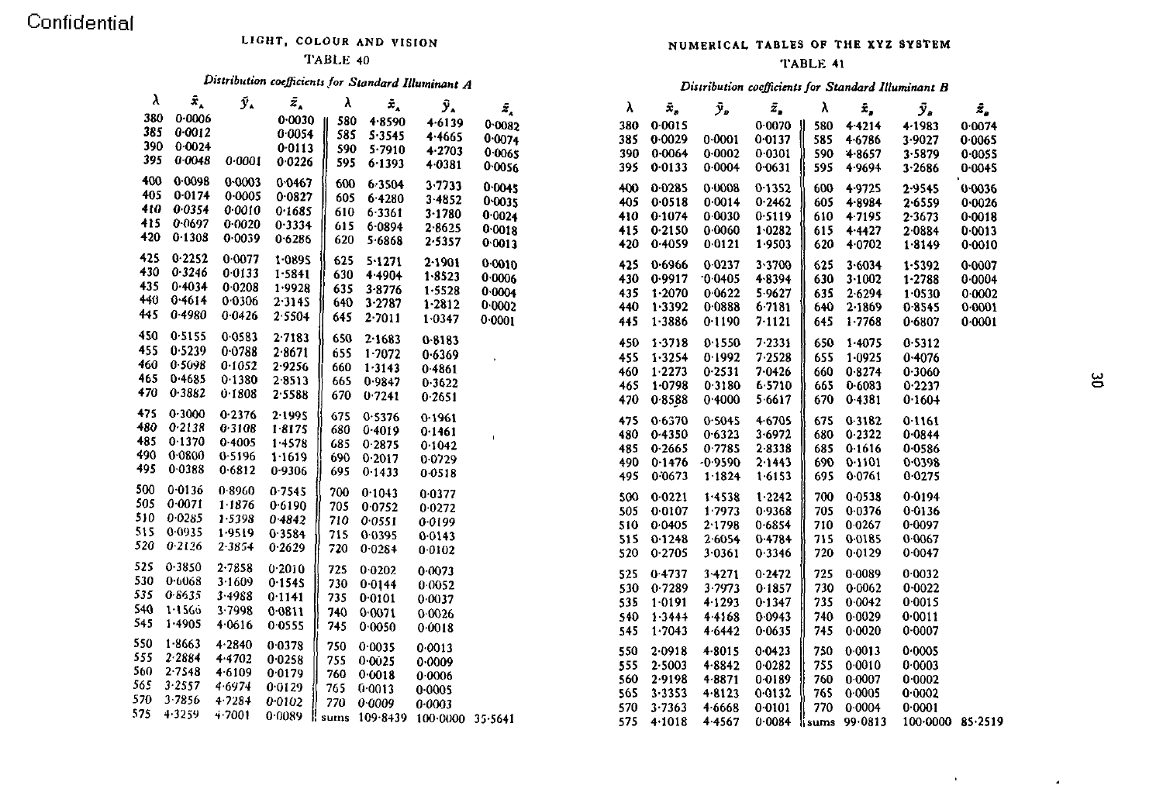### LIGHT, COLOUR AND VISION

#### TABLE 40

## Distribution coefficients for Standard Illuminant A

| λ   | $\bar{x}_{\scriptscriptstyle\lambda}$ | $\tilde{\mathbf{y}}_{\mathbf{A}}$ | $\bar{z}_{\star}$ | λ       | $\bar{\mathbf{x}}_\mathrm{A}$ | $\bar{\mathbf{y}}_{\star}$ | $\bar{z}_{_{\scriptscriptstyle{A}}}$ |
|-----|---------------------------------------|-----------------------------------|-------------------|---------|-------------------------------|----------------------------|--------------------------------------|
| 380 | 0.0006                                |                                   | 0.0030            | 580     | 48590                         | 46139                      | 0.0082                               |
| 385 | 0.0012                                |                                   | 0.0054            | 585     | 5 3 5 4 5                     | 4.4665                     | 0.0074                               |
| 390 | 0.0024                                |                                   | 0.0113            | 590     | 5.7910                        | 4.2703                     | 0.0065                               |
| 395 | 0.0048                                | 0.0001                            | 0.0226            | 595     | 6.1393                        | 4.0381                     | 0.0056                               |
| 400 | 0.0098                                | 0.0003                            | 0.0467            | 600     | 6 3 5 0 4                     | 3.7733                     | 0.0045                               |
| 405 | 0.0174                                | 0.0005                            | 0.0827            | 605     | 64280                         | 3.4852                     | 0.0035                               |
| 410 | 0.0354                                | 0.0010                            | 0.1685            | 610     | 6.3361                        | 3.1780                     | 0.0024                               |
| 415 | 0.0697                                | 0.0020                            | 0.3334            | 615     | 6.0894                        | 2.8625                     | 0.0018                               |
| 420 | 0.130S                                | 0.0039                            | 0.6286            | 620     | 5 6868                        | 2.5357                     | 0.0013                               |
| 425 | 0.2252                                | 0 0077                            | 1.0895            | 625     | 5.1271                        | $2 - 1901$                 | 0.0010                               |
| 430 | 0 3 2 4 6                             | 00133                             | 1.5841            | 630     | 4.4904                        | 1.8523                     | 0.0006                               |
| 435 | 0.4034                                | 0 0 208                           | 1.9928            | 635     | 3.8776                        | 1.5528                     | 0.0004                               |
| 440 | 0.4614                                | 0.0306                            | 2.3145            | 640     | 3.2787                        | 1.2812                     | 0.0002                               |
| 445 | 0.4980                                | 0.0426                            | 2.5504            | 645     | 2.7011                        | 1.0347                     | 0.0001                               |
| 450 | 0.5155                                | 0 0 5 8 3                         | 2.7183            | 650     | 2.1683                        | 0-8183                     |                                      |
| 455 | 0.5239                                | 0.0788                            | 2.8671            | 655     | 1.7072                        | 0.6369                     |                                      |
| 460 | 0.5098                                | 0.1052                            | 2.9256            | 660     | 1.3143                        | 0.4861                     |                                      |
| 465 | 0.4685                                | 0.1380                            | 2.8513            | 665     | 0.9847                        | 0.3622                     |                                      |
| 470 | 0.3882                                | 0.1808                            | 2.5588            | 670     | 0.7241                        | 0.2651                     |                                      |
| 475 | 0.3000                                | 0.2376                            | 2.1995            | 675     | 0.5376                        | 0.1961                     |                                      |
| 480 | 0.2138                                | 0.3108                            | 18175             | 680     | 0.4019                        | 0.1461                     | ť                                    |
| 485 | 0.1370                                | 0.4005                            | 14578             | 685     | 0.2875                        | 0.1042                     |                                      |
| 490 | 0-0800                                | 0.5196                            | 1 1619            | 690     | 0.2017                        | 0.0729                     |                                      |
| 495 | 0.0388                                | 0.6812                            | 0 9306            | 695     | 0.1433                        | 0.0518                     |                                      |
| 500 | 0.0136                                | 0.8960                            | 0.7545            | 700     | 0.1043                        | 0.0377                     |                                      |
| 505 | 0.0071                                | 1.1876                            | 0.6190            | 705     | 0.0752                        | 0.0272                     |                                      |
| 510 | 0.0285                                | 1.5398                            | 04842             | 710     | 0.0551                        | 0.0199                     |                                      |
| 515 | 0.0935                                | 1.9519                            | 03584             | 715     | 0.0395                        | 0.0143                     |                                      |
| 520 | 0.2126                                | 2.3854                            | 0.2629            | 720     | 0.0284                        | 0.0102                     |                                      |
| 525 | 0.3850                                | $2 - 7858$                        | 0.2010            | 725     | 0.0202                        | 0.0073                     |                                      |
| 530 | 0.6068                                | 3-1609                            | 0.1545            | 730     | 0.0144                        | 0.0052                     |                                      |
| 535 | 0.6635                                | 3.4988                            | 0.1141            | 735     | 0.0101                        | 0.0037                     |                                      |
| 540 | 1.1566                                | 3.7998                            | 0.0811            | 740     | 0.0071                        | 0.0026                     |                                      |
| 545 | 1.4905                                | 4.0616                            | 0.0555            | 745     | 0.0050                        | 0.0018                     |                                      |
| 550 | $1 - 8663$                            | 4.2840                            | 0.0378            | 750     | 0.0035                        | 0.0013                     |                                      |
| 555 | 2.2884                                | 4.4702                            | 0.0258            | 755     | 0.0025                        | 0.0009                     |                                      |
| 560 | $2 - 7548$                            | 4.6109                            | 0.0179            | 760     | 0.0018                        | 0.0006                     |                                      |
| 565 | 3.2557                                | 4.6974                            | 0.0129            | 765     | 0.0013                        | 0.0005                     |                                      |
| 570 | 3.7856                                | 4.7284                            | 0.0102            | 770     | 0.0009                        | 0.0003                     |                                      |
| 575 | 4.3259                                | 4.7001                            | 0.0089            | ll sums | 109-8439                      | 100 0000                   | 35.5641                              |

#### NUMERICAL TABLES OF THE XYZ SYSTEM

#### TABLE 41

#### Distribution coefficients for Standard Illuminant B

| λ   | ż,         | ر تر       | ź,        | λ       | Ē,         | ÿ,       | ź,      |
|-----|------------|------------|-----------|---------|------------|----------|---------|
| 380 | 0.0015     |            | 0.0070    | 580     | 4.4214     | 4.1983   | 0.0074  |
| 385 | 0.0029     | 0.0001     | 0.0137    | 585     | 4.6786     | 3.9027   | 0.0065  |
| 390 | 0.0064     | 0.0002     | 0.0301    | 590     | $4 - 8657$ | 3.5879   | 0.0055  |
| 395 | 0.0133     | 0.0004     | 0.0631    | 595     | 4.9694     | 3.2686   | 0.0045  |
| 400 | 0.0285     | 0.0008     | 0.1352    | 600     | 4.9725     | 2.9545   | 0.0036  |
| 405 | 0.0518     | 0.0014     | 0.2462    | 605     | 4.8984     | 2.6559   | 0.0026  |
| 410 | 0.1074     | 0.0030     | 0.5119    | 610     | 4.7195     | 2.3673   | 0.0018  |
| 415 | 0.2150     | 0.0060     | 1.0282    | 615     | 4.4427     | 2.0884   | 0.0013  |
| 420 | 0.4059     | 0.0121     | 1.9503    | 620     | 4.0702     | 1.8149   | 0.0010  |
|     |            |            |           |         |            |          |         |
| 425 | 0.6966     | 0.0237     | 3.3700    | 625     | 3.6034     | 1.5392   | 0.0007  |
| 430 | 0.9917     | $-0.0405$  | 4.8394    | 630     | 3.1002     | 1.2788   | 0.0004  |
| 435 | 1.2070     | 0.0622     | 5.9627    | 635     | 2.6294     | 1.0530   | 0.0002  |
| 440 | 1.3392     | 0.0888     | 6.7181    | 640     | 2.1869     | 0.8545   | 0.0001  |
| 445 | $1 - 3886$ | 0.1190     | 7.1121    | 645     | 1.7768     | 0.6807   | 0 0001  |
| 450 | 1.3718     | 0.1550     | 7.2331    | 650     | 1.4075     | 0.5312   |         |
| 455 | 1.3254     | 0.1992     | 7.2528    | 655     | 1.0925     | 0.4076   |         |
| 460 | 1.2273     | 0.2531     | 7 0 4 2 6 | 660     | 0.8274     | 0.3060   |         |
| 465 | $1 - 0798$ | 0.3180     | 6 5710    | 665     | 0.6083     | 0.2237   |         |
| 470 | 0.8588     | 0.4000     | 5.6617    | 670     | 0.4381     | 0.1604   |         |
|     |            |            |           |         |            |          |         |
| 475 | 0.6370     | 0.5045     | 4 6705    | 675     | 0.3182     | 0.1161   |         |
| 480 | 0.4350     | 0.6323     | 3 6 9 7 2 | 680     | 0.2322     | 0.0844   |         |
| 485 | 0.2665     | 0.7785     | 28338     | 685     | 0.1616     | 0.0586   |         |
| 490 | 0.1476     | $-0.9590$  | 2.1443    | 690     | 0.1101     | 0.0398   |         |
| 495 | 0.0673     | $1 - 1824$ | 1.6153    | 695     | 0.0761     | 0.0275   |         |
| 500 | 0.0221     | 1.4538     | 1.2242    | 700     | 0.0538     | 0.0194   |         |
| 505 | 0.0107     | 1.7973     | 0.9368    | 705     | 0.0376     | 0.0136   |         |
| 510 | 0.0405     | 2.1798     | 0.6854    | 710     | 0.0267     | 0.0097   |         |
| 515 | 0.1248     | 2.6054     | 0.4784    | 715     | 0.0185     | 0.0067   |         |
| 520 | 0.2705     | 3.0361     | 0.3346    | 720     | 0.0129     | 0.0047   |         |
| 525 | 0.4737     | 3.4271     | 0.2472    | 725     | 0.0089     | 0.0032   |         |
| 530 | 0.7289     | 3.7973     | 0.1857    | 730     | 0.0062     | 0.0022   |         |
| 535 | 1-0191     | 4.1293     | 0.1347    | 735     | 0.0042     | 0.0015   |         |
| 540 | 1.3444     | 4.4168     | 0.0943    | 740     | 0.0029     | 0.0011   |         |
| 545 | 1.7043     | 4.6442     | 0 0 6 3 5 | 745     | 0.0020     | 0.0007   |         |
| 550 | 2.0918     | $4 - 8015$ | 0.0423    | 750     | 0.0013     | 0.0005   |         |
| 555 | 2.5003     | $4 - 8842$ | 0 0 2 8 2 | 755     | 0.0010     | 0.0003   |         |
| 560 | 2.9198     | 4.8871     | 0.0189    | 760     | 0.0007     | 0.0002   |         |
| 565 | $3 - 3353$ | $4 - 8123$ | 0 0 1 3 2 | 765     | 0.0005     | 0.0002   |         |
| 570 | 3.7363     | 4.6668     | 0 0 1 0 1 | 770     | 0.0004     | 0.0001   |         |
| 575 | 4.1018     | 4.4567     | 0.0084    | li sums | 99.0813    | 100.0000 | 85.2519 |

 $\mathbf{u}$ 

 $\mathcal{A}$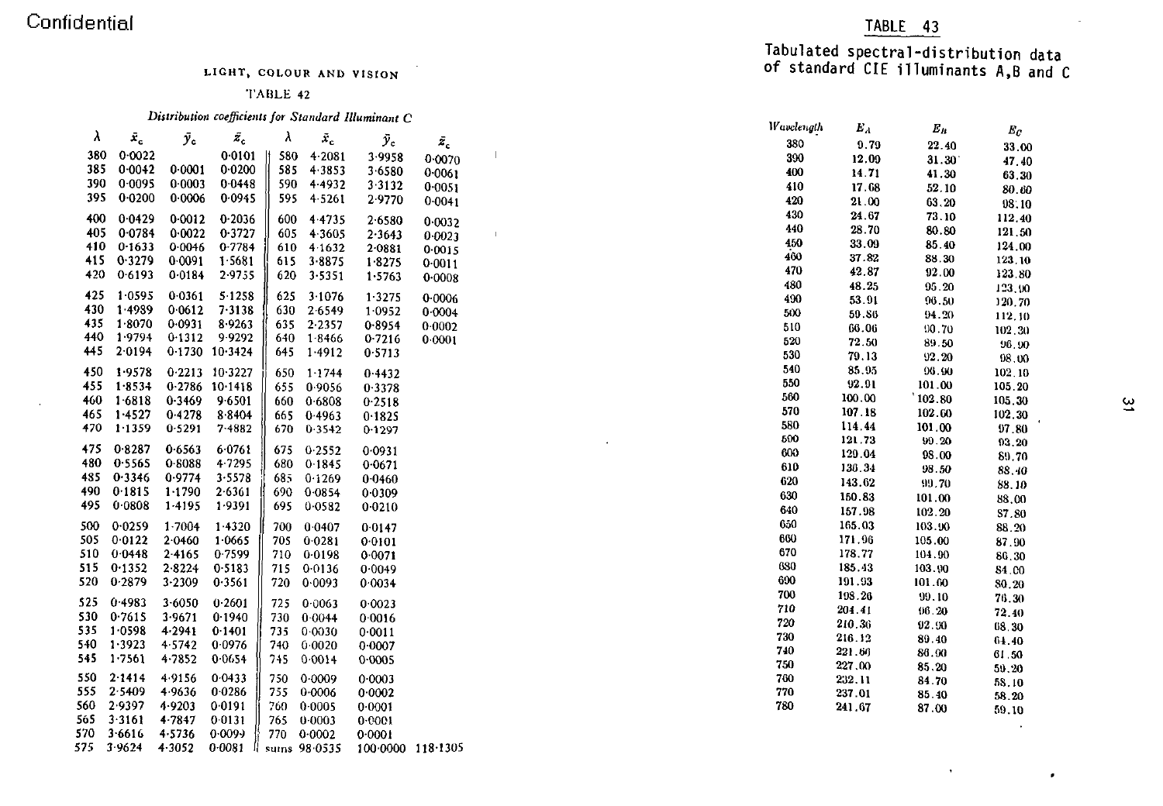#### TABLE 42

|                                         |                                                                                                                                                                                                                                                                                                                                                              |                                                                                                                                                                                                                                                                                                                                                                                                   |                                                                                                                                                                                                                                                                                                                                                                                                                                                            |                                                                                                                                     |                                                                                                                                                                                                                                                                                                                                                                                                                                                                                                   |                                                                                                                                                                                                                                                                                                                                                                       |                                                                                                              |  |     |                                        |                                                                                                                   | - 5                                                                                                                                                                              |
|-----------------------------------------|--------------------------------------------------------------------------------------------------------------------------------------------------------------------------------------------------------------------------------------------------------------------------------------------------------------------------------------------------------------|---------------------------------------------------------------------------------------------------------------------------------------------------------------------------------------------------------------------------------------------------------------------------------------------------------------------------------------------------------------------------------------------------|------------------------------------------------------------------------------------------------------------------------------------------------------------------------------------------------------------------------------------------------------------------------------------------------------------------------------------------------------------------------------------------------------------------------------------------------------------|-------------------------------------------------------------------------------------------------------------------------------------|---------------------------------------------------------------------------------------------------------------------------------------------------------------------------------------------------------------------------------------------------------------------------------------------------------------------------------------------------------------------------------------------------------------------------------------------------------------------------------------------------|-----------------------------------------------------------------------------------------------------------------------------------------------------------------------------------------------------------------------------------------------------------------------------------------------------------------------------------------------------------------------|--------------------------------------------------------------------------------------------------------------|--|-----|----------------------------------------|-------------------------------------------------------------------------------------------------------------------|----------------------------------------------------------------------------------------------------------------------------------------------------------------------------------|
|                                         |                                                                                                                                                                                                                                                                                                                                                              |                                                                                                                                                                                                                                                                                                                                                                                                   |                                                                                                                                                                                                                                                                                                                                                                                                                                                            |                                                                                                                                     |                                                                                                                                                                                                                                                                                                                                                                                                                                                                                                   |                                                                                                                                                                                                                                                                                                                                                                       |                                                                                                              |  | 380 | 0.79                                   | 22.40                                                                                                             | 33.00                                                                                                                                                                            |
|                                         |                                                                                                                                                                                                                                                                                                                                                              |                                                                                                                                                                                                                                                                                                                                                                                                   |                                                                                                                                                                                                                                                                                                                                                                                                                                                            |                                                                                                                                     |                                                                                                                                                                                                                                                                                                                                                                                                                                                                                                   |                                                                                                                                                                                                                                                                                                                                                                       |                                                                                                              |  |     | 12.09                                  | 31.30                                                                                                             | 47.40                                                                                                                                                                            |
|                                         |                                                                                                                                                                                                                                                                                                                                                              |                                                                                                                                                                                                                                                                                                                                                                                                   |                                                                                                                                                                                                                                                                                                                                                                                                                                                            |                                                                                                                                     |                                                                                                                                                                                                                                                                                                                                                                                                                                                                                                   | 0.0061                                                                                                                                                                                                                                                                                                                                                                |                                                                                                              |  | 400 | 14.71                                  |                                                                                                                   | 63.30                                                                                                                                                                            |
|                                         |                                                                                                                                                                                                                                                                                                                                                              |                                                                                                                                                                                                                                                                                                                                                                                                   |                                                                                                                                                                                                                                                                                                                                                                                                                                                            |                                                                                                                                     | 3 3 1 3 2                                                                                                                                                                                                                                                                                                                                                                                                                                                                                         | 0.0051                                                                                                                                                                                                                                                                                                                                                                |                                                                                                              |  | 410 |                                        |                                                                                                                   | 80.60                                                                                                                                                                            |
|                                         |                                                                                                                                                                                                                                                                                                                                                              |                                                                                                                                                                                                                                                                                                                                                                                                   |                                                                                                                                                                                                                                                                                                                                                                                                                                                            |                                                                                                                                     | 29770                                                                                                                                                                                                                                                                                                                                                                                                                                                                                             |                                                                                                                                                                                                                                                                                                                                                                       |                                                                                                              |  | 420 | 21.00                                  |                                                                                                                   | 98:10                                                                                                                                                                            |
|                                         |                                                                                                                                                                                                                                                                                                                                                              |                                                                                                                                                                                                                                                                                                                                                                                                   |                                                                                                                                                                                                                                                                                                                                                                                                                                                            |                                                                                                                                     |                                                                                                                                                                                                                                                                                                                                                                                                                                                                                                   |                                                                                                                                                                                                                                                                                                                                                                       |                                                                                                              |  | 430 |                                        |                                                                                                                   | 112.40                                                                                                                                                                           |
|                                         |                                                                                                                                                                                                                                                                                                                                                              |                                                                                                                                                                                                                                                                                                                                                                                                   |                                                                                                                                                                                                                                                                                                                                                                                                                                                            |                                                                                                                                     |                                                                                                                                                                                                                                                                                                                                                                                                                                                                                                   |                                                                                                                                                                                                                                                                                                                                                                       |                                                                                                              |  | 440 |                                        |                                                                                                                   | 121.50                                                                                                                                                                           |
|                                         |                                                                                                                                                                                                                                                                                                                                                              |                                                                                                                                                                                                                                                                                                                                                                                                   |                                                                                                                                                                                                                                                                                                                                                                                                                                                            |                                                                                                                                     |                                                                                                                                                                                                                                                                                                                                                                                                                                                                                                   |                                                                                                                                                                                                                                                                                                                                                                       |                                                                                                              |  | 450 |                                        |                                                                                                                   | 124.00                                                                                                                                                                           |
|                                         |                                                                                                                                                                                                                                                                                                                                                              |                                                                                                                                                                                                                                                                                                                                                                                                   |                                                                                                                                                                                                                                                                                                                                                                                                                                                            |                                                                                                                                     |                                                                                                                                                                                                                                                                                                                                                                                                                                                                                                   |                                                                                                                                                                                                                                                                                                                                                                       |                                                                                                              |  | 460 |                                        |                                                                                                                   | 123.10                                                                                                                                                                           |
|                                         |                                                                                                                                                                                                                                                                                                                                                              |                                                                                                                                                                                                                                                                                                                                                                                                   |                                                                                                                                                                                                                                                                                                                                                                                                                                                            |                                                                                                                                     |                                                                                                                                                                                                                                                                                                                                                                                                                                                                                                   |                                                                                                                                                                                                                                                                                                                                                                       |                                                                                                              |  | 470 |                                        |                                                                                                                   | 123.80                                                                                                                                                                           |
|                                         |                                                                                                                                                                                                                                                                                                                                                              |                                                                                                                                                                                                                                                                                                                                                                                                   |                                                                                                                                                                                                                                                                                                                                                                                                                                                            |                                                                                                                                     |                                                                                                                                                                                                                                                                                                                                                                                                                                                                                                   |                                                                                                                                                                                                                                                                                                                                                                       |                                                                                                              |  | 480 |                                        |                                                                                                                   | 123,90                                                                                                                                                                           |
|                                         |                                                                                                                                                                                                                                                                                                                                                              |                                                                                                                                                                                                                                                                                                                                                                                                   |                                                                                                                                                                                                                                                                                                                                                                                                                                                            |                                                                                                                                     |                                                                                                                                                                                                                                                                                                                                                                                                                                                                                                   | 0.0006                                                                                                                                                                                                                                                                                                                                                                |                                                                                                              |  | 490 |                                        |                                                                                                                   | 120.70                                                                                                                                                                           |
|                                         |                                                                                                                                                                                                                                                                                                                                                              |                                                                                                                                                                                                                                                                                                                                                                                                   |                                                                                                                                                                                                                                                                                                                                                                                                                                                            |                                                                                                                                     |                                                                                                                                                                                                                                                                                                                                                                                                                                                                                                   | 0.0004                                                                                                                                                                                                                                                                                                                                                                |                                                                                                              |  | 500 |                                        |                                                                                                                   | 112,30                                                                                                                                                                           |
|                                         |                                                                                                                                                                                                                                                                                                                                                              |                                                                                                                                                                                                                                                                                                                                                                                                   |                                                                                                                                                                                                                                                                                                                                                                                                                                                            |                                                                                                                                     |                                                                                                                                                                                                                                                                                                                                                                                                                                                                                                   | 0.0002                                                                                                                                                                                                                                                                                                                                                                |                                                                                                              |  | 510 |                                        |                                                                                                                   | 102.30                                                                                                                                                                           |
|                                         |                                                                                                                                                                                                                                                                                                                                                              |                                                                                                                                                                                                                                                                                                                                                                                                   |                                                                                                                                                                                                                                                                                                                                                                                                                                                            |                                                                                                                                     | 0.7216                                                                                                                                                                                                                                                                                                                                                                                                                                                                                            | 0.0001                                                                                                                                                                                                                                                                                                                                                                |                                                                                                              |  | 520 |                                        |                                                                                                                   | 96.90                                                                                                                                                                            |
|                                         |                                                                                                                                                                                                                                                                                                                                                              |                                                                                                                                                                                                                                                                                                                                                                                                   |                                                                                                                                                                                                                                                                                                                                                                                                                                                            |                                                                                                                                     |                                                                                                                                                                                                                                                                                                                                                                                                                                                                                                   |                                                                                                                                                                                                                                                                                                                                                                       |                                                                                                              |  | 530 |                                        |                                                                                                                   | 08.00                                                                                                                                                                            |
|                                         |                                                                                                                                                                                                                                                                                                                                                              |                                                                                                                                                                                                                                                                                                                                                                                                   |                                                                                                                                                                                                                                                                                                                                                                                                                                                            |                                                                                                                                     |                                                                                                                                                                                                                                                                                                                                                                                                                                                                                                   |                                                                                                                                                                                                                                                                                                                                                                       |                                                                                                              |  | 540 |                                        |                                                                                                                   | 102.10                                                                                                                                                                           |
|                                         |                                                                                                                                                                                                                                                                                                                                                              |                                                                                                                                                                                                                                                                                                                                                                                                   |                                                                                                                                                                                                                                                                                                                                                                                                                                                            |                                                                                                                                     |                                                                                                                                                                                                                                                                                                                                                                                                                                                                                                   |                                                                                                                                                                                                                                                                                                                                                                       |                                                                                                              |  | 550 | 92.91                                  |                                                                                                                   | 105.20                                                                                                                                                                           |
|                                         |                                                                                                                                                                                                                                                                                                                                                              |                                                                                                                                                                                                                                                                                                                                                                                                   |                                                                                                                                                                                                                                                                                                                                                                                                                                                            |                                                                                                                                     |                                                                                                                                                                                                                                                                                                                                                                                                                                                                                                   |                                                                                                                                                                                                                                                                                                                                                                       |                                                                                                              |  | 560 | 100.00                                 |                                                                                                                   | 105.30                                                                                                                                                                           |
|                                         |                                                                                                                                                                                                                                                                                                                                                              |                                                                                                                                                                                                                                                                                                                                                                                                   |                                                                                                                                                                                                                                                                                                                                                                                                                                                            |                                                                                                                                     |                                                                                                                                                                                                                                                                                                                                                                                                                                                                                                   |                                                                                                                                                                                                                                                                                                                                                                       |                                                                                                              |  | 570 | 107.18                                 | 102.60                                                                                                            | 102.30                                                                                                                                                                           |
|                                         |                                                                                                                                                                                                                                                                                                                                                              |                                                                                                                                                                                                                                                                                                                                                                                                   |                                                                                                                                                                                                                                                                                                                                                                                                                                                            |                                                                                                                                     |                                                                                                                                                                                                                                                                                                                                                                                                                                                                                                   |                                                                                                                                                                                                                                                                                                                                                                       |                                                                                                              |  | 580 | 114.44                                 |                                                                                                                   | 97.80                                                                                                                                                                            |
|                                         |                                                                                                                                                                                                                                                                                                                                                              |                                                                                                                                                                                                                                                                                                                                                                                                   |                                                                                                                                                                                                                                                                                                                                                                                                                                                            |                                                                                                                                     |                                                                                                                                                                                                                                                                                                                                                                                                                                                                                                   |                                                                                                                                                                                                                                                                                                                                                                       |                                                                                                              |  | 500 | 121.73                                 | 99.20                                                                                                             | 93.20                                                                                                                                                                            |
|                                         |                                                                                                                                                                                                                                                                                                                                                              |                                                                                                                                                                                                                                                                                                                                                                                                   |                                                                                                                                                                                                                                                                                                                                                                                                                                                            |                                                                                                                                     |                                                                                                                                                                                                                                                                                                                                                                                                                                                                                                   |                                                                                                                                                                                                                                                                                                                                                                       |                                                                                                              |  | 600 | 129.04                                 | 98.00                                                                                                             | 89.70                                                                                                                                                                            |
|                                         |                                                                                                                                                                                                                                                                                                                                                              |                                                                                                                                                                                                                                                                                                                                                                                                   |                                                                                                                                                                                                                                                                                                                                                                                                                                                            |                                                                                                                                     |                                                                                                                                                                                                                                                                                                                                                                                                                                                                                                   |                                                                                                                                                                                                                                                                                                                                                                       |                                                                                                              |  | 610 | 136 34                                 | 98.50                                                                                                             | 88.40                                                                                                                                                                            |
|                                         |                                                                                                                                                                                                                                                                                                                                                              |                                                                                                                                                                                                                                                                                                                                                                                                   |                                                                                                                                                                                                                                                                                                                                                                                                                                                            |                                                                                                                                     |                                                                                                                                                                                                                                                                                                                                                                                                                                                                                                   |                                                                                                                                                                                                                                                                                                                                                                       |                                                                                                              |  |     | 143.62                                 | 99.70                                                                                                             | 88.10                                                                                                                                                                            |
|                                         |                                                                                                                                                                                                                                                                                                                                                              |                                                                                                                                                                                                                                                                                                                                                                                                   |                                                                                                                                                                                                                                                                                                                                                                                                                                                            |                                                                                                                                     |                                                                                                                                                                                                                                                                                                                                                                                                                                                                                                   |                                                                                                                                                                                                                                                                                                                                                                       |                                                                                                              |  | 630 | 150.83                                 | 101.00                                                                                                            | 88.00                                                                                                                                                                            |
|                                         |                                                                                                                                                                                                                                                                                                                                                              |                                                                                                                                                                                                                                                                                                                                                                                                   |                                                                                                                                                                                                                                                                                                                                                                                                                                                            |                                                                                                                                     |                                                                                                                                                                                                                                                                                                                                                                                                                                                                                                   |                                                                                                                                                                                                                                                                                                                                                                       |                                                                                                              |  | 640 | 157.98                                 | 102.20                                                                                                            | 87.80                                                                                                                                                                            |
| 0.0259                                  |                                                                                                                                                                                                                                                                                                                                                              |                                                                                                                                                                                                                                                                                                                                                                                                   |                                                                                                                                                                                                                                                                                                                                                                                                                                                            |                                                                                                                                     |                                                                                                                                                                                                                                                                                                                                                                                                                                                                                                   |                                                                                                                                                                                                                                                                                                                                                                       |                                                                                                              |  | 650 | 165.03                                 |                                                                                                                   | 88.20                                                                                                                                                                            |
| 0.0122                                  | 2.0460                                                                                                                                                                                                                                                                                                                                                       | 1.0665                                                                                                                                                                                                                                                                                                                                                                                            | 705                                                                                                                                                                                                                                                                                                                                                                                                                                                        | 0.0281                                                                                                                              |                                                                                                                                                                                                                                                                                                                                                                                                                                                                                                   |                                                                                                                                                                                                                                                                                                                                                                       |                                                                                                              |  | 600 | 171.96                                 | 105.00                                                                                                            | 87.90                                                                                                                                                                            |
| 0.0448                                  | 24165                                                                                                                                                                                                                                                                                                                                                        | 0.7599                                                                                                                                                                                                                                                                                                                                                                                            | 710                                                                                                                                                                                                                                                                                                                                                                                                                                                        | 0.0198                                                                                                                              |                                                                                                                                                                                                                                                                                                                                                                                                                                                                                                   |                                                                                                                                                                                                                                                                                                                                                                       |                                                                                                              |  | 670 | 178.77                                 | 104.90                                                                                                            | 86.30                                                                                                                                                                            |
|                                         | 28224                                                                                                                                                                                                                                                                                                                                                        | 0.5183                                                                                                                                                                                                                                                                                                                                                                                            | 715                                                                                                                                                                                                                                                                                                                                                                                                                                                        |                                                                                                                                     |                                                                                                                                                                                                                                                                                                                                                                                                                                                                                                   |                                                                                                                                                                                                                                                                                                                                                                       |                                                                                                              |  | 680 | 185.43                                 | 103.90                                                                                                            | 84.00                                                                                                                                                                            |
| 0.2879                                  | 3.2309                                                                                                                                                                                                                                                                                                                                                       | 0.3561                                                                                                                                                                                                                                                                                                                                                                                            | 720                                                                                                                                                                                                                                                                                                                                                                                                                                                        | 0.0093                                                                                                                              |                                                                                                                                                                                                                                                                                                                                                                                                                                                                                                   |                                                                                                                                                                                                                                                                                                                                                                       |                                                                                                              |  |     | 191.93                                 | 101.60                                                                                                            | 80.20                                                                                                                                                                            |
|                                         |                                                                                                                                                                                                                                                                                                                                                              |                                                                                                                                                                                                                                                                                                                                                                                                   |                                                                                                                                                                                                                                                                                                                                                                                                                                                            |                                                                                                                                     |                                                                                                                                                                                                                                                                                                                                                                                                                                                                                                   |                                                                                                                                                                                                                                                                                                                                                                       |                                                                                                              |  | 700 | 193.26                                 | 99.10                                                                                                             | 76.30                                                                                                                                                                            |
|                                         |                                                                                                                                                                                                                                                                                                                                                              |                                                                                                                                                                                                                                                                                                                                                                                                   |                                                                                                                                                                                                                                                                                                                                                                                                                                                            |                                                                                                                                     |                                                                                                                                                                                                                                                                                                                                                                                                                                                                                                   |                                                                                                                                                                                                                                                                                                                                                                       |                                                                                                              |  | 710 | 204.41                                 | 96.20                                                                                                             | 72.40                                                                                                                                                                            |
|                                         |                                                                                                                                                                                                                                                                                                                                                              |                                                                                                                                                                                                                                                                                                                                                                                                   |                                                                                                                                                                                                                                                                                                                                                                                                                                                            |                                                                                                                                     |                                                                                                                                                                                                                                                                                                                                                                                                                                                                                                   |                                                                                                                                                                                                                                                                                                                                                                       |                                                                                                              |  |     | 210.36                                 | 92.90                                                                                                             | 68.30                                                                                                                                                                            |
|                                         |                                                                                                                                                                                                                                                                                                                                                              |                                                                                                                                                                                                                                                                                                                                                                                                   |                                                                                                                                                                                                                                                                                                                                                                                                                                                            |                                                                                                                                     |                                                                                                                                                                                                                                                                                                                                                                                                                                                                                                   |                                                                                                                                                                                                                                                                                                                                                                       |                                                                                                              |  |     | 216.12                                 | 89.40                                                                                                             | 64.40                                                                                                                                                                            |
|                                         |                                                                                                                                                                                                                                                                                                                                                              |                                                                                                                                                                                                                                                                                                                                                                                                   |                                                                                                                                                                                                                                                                                                                                                                                                                                                            |                                                                                                                                     |                                                                                                                                                                                                                                                                                                                                                                                                                                                                                                   |                                                                                                                                                                                                                                                                                                                                                                       |                                                                                                              |  |     | 221.66                                 | 86.00                                                                                                             | 61.50                                                                                                                                                                            |
|                                         |                                                                                                                                                                                                                                                                                                                                                              |                                                                                                                                                                                                                                                                                                                                                                                                   |                                                                                                                                                                                                                                                                                                                                                                                                                                                            |                                                                                                                                     |                                                                                                                                                                                                                                                                                                                                                                                                                                                                                                   |                                                                                                                                                                                                                                                                                                                                                                       |                                                                                                              |  | 750 | 227,00                                 | 85.20                                                                                                             | 59.20                                                                                                                                                                            |
|                                         |                                                                                                                                                                                                                                                                                                                                                              |                                                                                                                                                                                                                                                                                                                                                                                                   | 750                                                                                                                                                                                                                                                                                                                                                                                                                                                        |                                                                                                                                     |                                                                                                                                                                                                                                                                                                                                                                                                                                                                                                   |                                                                                                                                                                                                                                                                                                                                                                       |                                                                                                              |  | 760 | 232.11                                 | 84.70                                                                                                             | 58.10                                                                                                                                                                            |
|                                         |                                                                                                                                                                                                                                                                                                                                                              |                                                                                                                                                                                                                                                                                                                                                                                                   | 755                                                                                                                                                                                                                                                                                                                                                                                                                                                        |                                                                                                                                     | 0.0002                                                                                                                                                                                                                                                                                                                                                                                                                                                                                            |                                                                                                                                                                                                                                                                                                                                                                       |                                                                                                              |  | 770 | 237.01                                 | 85.40                                                                                                             | 58.20                                                                                                                                                                            |
|                                         |                                                                                                                                                                                                                                                                                                                                                              | 0 0 1 9 1                                                                                                                                                                                                                                                                                                                                                                                         | 760                                                                                                                                                                                                                                                                                                                                                                                                                                                        |                                                                                                                                     | 0.0001                                                                                                                                                                                                                                                                                                                                                                                                                                                                                            |                                                                                                                                                                                                                                                                                                                                                                       |                                                                                                              |  | 780 | 241.67                                 | 87.00                                                                                                             | 59.10                                                                                                                                                                            |
|                                         | 47847                                                                                                                                                                                                                                                                                                                                                        | 0 0 1 3 1                                                                                                                                                                                                                                                                                                                                                                                         | 765                                                                                                                                                                                                                                                                                                                                                                                                                                                        |                                                                                                                                     | 0.0001                                                                                                                                                                                                                                                                                                                                                                                                                                                                                            |                                                                                                                                                                                                                                                                                                                                                                       |                                                                                                              |  |     |                                        |                                                                                                                   |                                                                                                                                                                                  |
|                                         | 4 5 7 3 6                                                                                                                                                                                                                                                                                                                                                    | 0.0099                                                                                                                                                                                                                                                                                                                                                                                            | 770                                                                                                                                                                                                                                                                                                                                                                                                                                                        |                                                                                                                                     | 0.0001                                                                                                                                                                                                                                                                                                                                                                                                                                                                                            |                                                                                                                                                                                                                                                                                                                                                                       |                                                                                                              |  |     |                                        |                                                                                                                   |                                                                                                                                                                                  |
|                                         |                                                                                                                                                                                                                                                                                                                                                              |                                                                                                                                                                                                                                                                                                                                                                                                   |                                                                                                                                                                                                                                                                                                                                                                                                                                                            |                                                                                                                                     |                                                                                                                                                                                                                                                                                                                                                                                                                                                                                                   |                                                                                                                                                                                                                                                                                                                                                                       |                                                                                                              |  |     |                                        |                                                                                                                   |                                                                                                                                                                                  |
| 425<br>430<br>435<br>440.<br>450<br>470 | $\bar{x}_{\rm c}$<br>380<br>385<br>390<br>395<br>400<br>405<br>410<br>415<br>420<br>1.4939<br>1.8070<br>2.0194<br>1.9578<br>$1.853+$<br>1.6818<br>1.4527<br>1.1359<br>0.8287<br>0.5565<br>0.3346<br>0.1815<br>0.0808<br>515 0.1352<br>0.4983<br>530 0.7615<br>535 1.0598<br>1.3923<br>545 1.7561<br>2.1414<br>2.5409<br>2.9397<br>3.3161<br>3.6616<br>3.9624 | $\bar{y}_{\rm c}$<br>0.0022<br>0.0042<br>0.0001<br>0.0095<br>0.0200<br>0.0429<br>0.0784<br>0.1633<br>0.3279<br>0.0091<br>0.6193<br>0.0184<br>1.0595<br>0.0361<br>0.0612<br>0.0931<br>1.9794<br>0.3469<br>0.4278<br>0.5291<br>0.6563<br>0.8088<br>0.9774<br>1.1790<br>$1-4195$<br>$1 - 7004$<br>3.6050<br>3.9671<br>4 2 9 4 1<br>4 5 7 4 2<br>4.7852<br>4.9156<br>4 9 6 3 6<br>4 9 2 0 3<br>4.3052 | $\bar{z}_{\rm c}$<br>0.0101<br>0.0200<br>0.0003<br>0.0448<br>0.0006<br>0 0 9 4 5<br>0.0012<br>0.2036<br>0.0022<br>0.3727<br>0.0046<br>0.7784<br>1.5681<br>2.9755<br>5.1258<br>7.3138<br>8.9263<br>0.1312<br>9.9292<br>$0.1730$ 10.3424<br>0.2213 10.3227<br>$0.2786$ 10.1418<br>9.6501<br>8.8404<br>$7 - 4882$<br>6.0761<br>4.7295<br>3.5578<br>2.6361<br>1.9391<br>1.4320<br>0.2601<br>0.1940<br>0.1401<br>0.0976<br>0.0654<br>0.0433<br>0.0286<br>0.0081 | λ<br>625<br>635<br>645<br>650<br>655<br>660<br>670.<br>675<br>680<br>685.<br>690.<br>695.<br>700<br>725<br>730<br>735<br>740<br>745 | $\tilde{x}_{\rm c}$<br>4.2081<br>580<br>585<br>4.3853<br>590<br>4.4932<br>4.5261<br>595<br>600<br>4.4735<br>4.3605<br>605<br>4.1632<br>610<br>38875<br>615<br>620<br>3.5351<br>3.1076<br>630<br>26549<br>2 2 3 5 7<br>640<br>18466<br>1.4912<br>1.1744<br>0.9056<br>0.6808<br>665<br>0.4963<br>0.3542<br>0.2552<br>0.1845<br>0.1269<br>0.0854<br>0.0582<br>0.0407<br>0.0136<br>0.0063<br>0.0044<br>0.0030<br>0.0020<br>0.0014<br>0.0009<br>0.0006<br>0.0005<br>0.0003<br>0.0002<br>sums $98.0535$ | $\bar{\mathcal{Y}}_{\text{c}}$<br>3.9958<br>3 6 5 8 0<br>26580<br>2 3 6 4 3<br>2.0881<br>18275<br>1.5763<br>1 3 2 7 5<br>1.0952<br>0.8954<br>0.5713<br>0.4432<br>0.3378<br>0.2518<br>0.1825<br>0.1297<br>0.0931<br>0.0671<br>0.0460<br>0.0309<br>0.0210<br>0.0147<br>0.0101<br>0.0071<br>0.0049<br>0.0034<br>0.0023<br>0.0016<br>0.0011<br>0.0007<br>0.0005<br>0.0003 | $\bar{z}_{\rm c}$<br>0.0070<br>0.0041<br>0.0032<br>0.0023<br>0.0015<br>0.0011<br>0.0008<br>100 0000 118 1305 |  |     | 390<br>620<br>690<br>720<br>730<br>740 | 17.68<br>24.67<br>28.70<br>33.09<br>37.82<br>42.87<br>48.25<br>53.91<br>59.86<br>66.06<br>72.50<br>79.13<br>85.95 | 41.30<br>52.10<br>63.20<br>73.10<br>80.80<br>85.40<br>88.30<br>92.00<br>$95\,.20$<br>96.50<br>94.20<br>90.70<br>89.50<br>92.20<br>96.90<br>101.00<br>'102.80<br>101.00<br>103.90 |

### Tabulated spectral-distribution data **LiGHT, COLOUR A~tb** VISION of **standard** CIE illuminants A,B and C

|     |                   |             |                   |            |                             | Distribution coefficients for Standard Illuminant C |                   |
|-----|-------------------|-------------|-------------------|------------|-----------------------------|-----------------------------------------------------|-------------------|
| л   | $\bar{x}_{\rm c}$ | $\bar{y}_c$ | $\bar{z}_{\rm c}$ | Λ          | $\tilde{x}_{\rm c}$         | $\bar{\mathbf{y}}_{\text{c}}$                       | $\bar{z}_{\rm c}$ |
| 80  | 0.0022            |             | 0.0101            | 580        | 4.2081                      | 3.9958                                              |                   |
| 85. | 0.0042            | 0.0001      | 0.0200            |            | 585 4.3853                  | 3 6 5 8 0                                           | 0.0070            |
|     | 90 0.0095         | 0.0003      | 0.0448            |            | 590 4-4932                  | 3 3 1 3 2                                           | 0.0061            |
|     | 95 0.0200         | 0.0006      | 0.0945            |            | 595 4-5261                  |                                                     | 0.0051            |
|     |                   |             |                   |            |                             | 29770                                               | 0.0041            |
| 00  | 0.0429            | 0.0012      | 0.2036            |            | 600 4.4735                  | 2.6580                                              | 0.0032            |
|     | 05 0.0784         | 0.0022      | 0.3727            | 605        | 4.3605                      | 2 3 6 4 3                                           | 0.0023            |
|     | 10 0.1633         | 0.0046      | 0.7784            |            | 610 4.1632                  | 2 0 8 8 1                                           | 0.0015            |
|     | $15 \quad 0.3279$ | 0.0091      | 1.5681            | 615        | 3.8875                      | 18275                                               | 0.0011            |
| 20. | 0.6193            | 0.0184      | 2.9755            | 620        | 3.5351                      | 1.5763                                              | 0.0008            |
| 25. | 1.0595            | 0.0361      | 5.1258            | 625        | 3 1 0 7 6                   |                                                     |                   |
|     | 10 1.4989         | 0.0612      | 7.3138            | 630        | 2.6549                      | 1 3 2 7 5                                           | 0.0006            |
|     | 1.8070            | 0.0931      | 8.9263            |            |                             | 1.0952                                              | 0.0004            |
|     | 10 1.9794         | 0.1312      | 9.9292            |            | 635 2 2 3 5 7<br>640 1.8466 | 0.8954                                              | 0.0002            |
|     | $5 \quad 2.0194$  |             | $0.1730$ 10.3424  | 645        | 1.4912                      | 0.7216                                              | 0.0001            |
|     |                   |             |                   |            |                             | 0.5713                                              |                   |
|     | $0$ 1.9578        |             | 0.2213 10.3227    |            | 650 1 1 7 4 4               | 0.4432                                              |                   |
| 5.  | $1.853+$          |             | $0.2786$ 10.1418  |            | 655 0.9056                  | 0.3378                                              |                   |
| 0   | 1.6818            | 0.3469      | 9.6501            |            | 660 0.6808                  | 0.2518                                              |                   |
| 5.  | 1.4527            | 0.4278      | 8.8404            |            | 665 0.4963                  | 0.1825                                              |                   |
| 0   | 1.1359            | 0.5291      | 7.4882            |            | 670 0.3542                  | 0.1297                                              |                   |
| 5.  | 0.8287            | 0.6563      | 6.0761            |            | 675 0.2552                  |                                                     |                   |
| 0   | 0.5565            | 0.8088      | 4.7295            |            |                             | 0.0931                                              |                   |
|     | 0.3346            | 0.9774      | 3.5578            | 680<br>685 | 0.1845                      | 0.0671                                              |                   |
|     | 0.1815            | 1.1790      |                   |            | 0.1269                      | 0.0460                                              |                   |
|     | 0.0808            | $1-4195$    | 2.6361<br>1.9391  |            | 690 0.0854                  | 0.0309                                              |                   |
|     |                   |             |                   |            | 695 0.0582                  | 0.0210                                              |                   |
|     | 0.0259            | 1.7004      | 1.4320            | 700        | 0.0407                      | 0.0147                                              |                   |
|     | 0.0122            | 2.0460      | 1.0665            |            | 705 0.0281                  | 0.0101                                              |                   |
|     | 0.0448            | 24165       | 0.7599            |            | 710 0.0198                  | 0.0071                                              |                   |
|     | 0.1352            | 28224       | 0.5183            |            | 715 0.0136                  | 0.0049                                              |                   |
|     | 0.2879            | 3.2309      | 0.3561            |            | 720 0.0093                  | 0.0034                                              |                   |
|     | 0.4983            | 3.6050      | 0.2601            |            | 725 0.0063                  |                                                     |                   |
|     |                   |             |                   |            |                             | 0.0023                                              |                   |
|     | 0.7615<br>1.0598  | 3.9671      | 0.1940            |            | 730 0.0044                  | 0.0016                                              |                   |
|     |                   | 4 2 9 4 1   | 0.1401            |            | 735 0.0030                  | 0.0011                                              |                   |
|     | 1.3923            | 4 5 7 4 2   | 0.0976            | 740        | 6.0020                      | 0.0007                                              |                   |
|     | 1.7561            | 4.7852      | 0.0654            |            | 745 0.0014                  | 0.0005                                              |                   |
|     | 2.1414            | 4 9156      | 0.0433            | 750        | 0.0009                      | 0.0003                                              |                   |
|     | 2.5409            | 4 9 6 3 6   | 0.0286            |            | 755 0.0006                  | 0.0002                                              |                   |
|     | 2.9397            | 4 9 2 0 3   | 0 0 1 9 1         |            | 760 0.0005                  | 0.0001                                              |                   |

 $\bullet$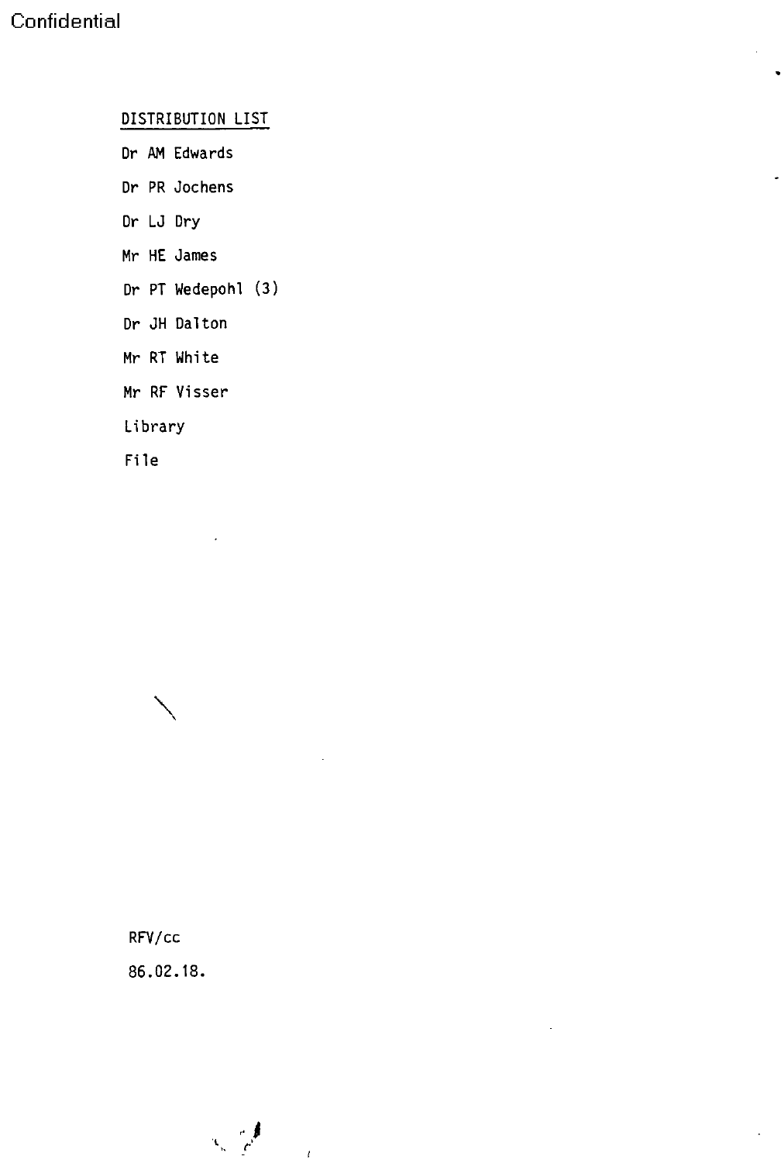DISTRIBUTION LIST

- Dr AM Edwards
- Dr PR Jochens
- Dr LJ Dry
- Mr HE James
- Dr PT Wedepohl (3)
- Dr JH Dalton
- Mr RT White
- Mr RF Visser

Library

File

RFV/cc 86.02.18.

 $\mathcal{L} \subset \mathcal{L}$  $\mathcal{A}$